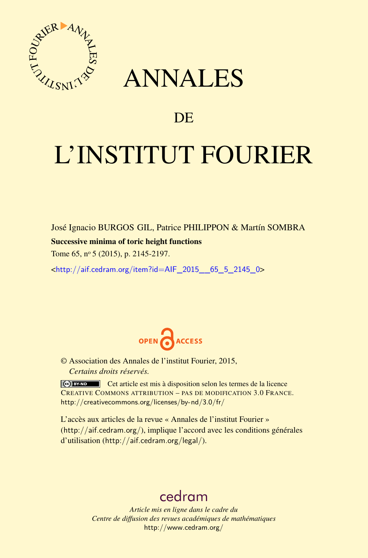

## ANNALES

### **DE**

# L'INSTITUT FOURIER

José Ignacio BURGOS GIL, Patrice PHILIPPON & Martín SOMBRA

#### Successive minima of toric height functions

Tome 65, nº 5 (2015), p. 2145-2197.

 $\kappa$ http://aif.cedram.org/item?id=AIF 2015 65 5 2145 0>



© Association des Annales de l'institut Fourier, 2015, *Certains droits réservés.*

Cet article est mis à disposition selon les termes de la licence CREATIVE COMMONS ATTRIBUTION – PAS DE MODIFICATION 3.0 FRANCE. <http://creativecommons.org/licenses/by-nd/3.0/fr/>

L'accès aux articles de la revue « Annales de l'institut Fourier » (<http://aif.cedram.org/>), implique l'accord avec les conditions générales d'utilisation (<http://aif.cedram.org/legal/>).

## [cedram](http://www.cedram.org/)

*Article mis en ligne dans le cadre du Centre de diffusion des revues académiques de mathématiques* <http://www.cedram.org/>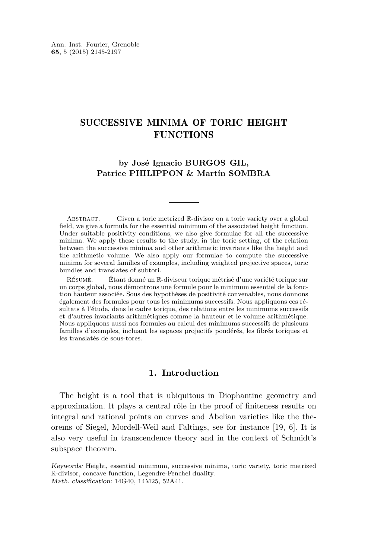#### SUCCESSIVE MINIMA OF TORIC HEIGHT **FUNCTIONS**

#### **by José Ignacio BURGOS GIL, Patrice PHILIPPON & Martín SOMBRA**

ABSTRACT. — Given a toric metrized  $\mathbb R$ -divisor on a toric variety over a global field, we give a formula for the essential minimum of the associated height function. Under suitable positivity conditions, we also give formulae for all the successive minima. We apply these results to the study, in the toric setting, of the relation between the successive minima and other arithmetic invariants like the height and the arithmetic volume. We also apply our formulae to compute the successive minima for several families of examples, including weighted projective spaces, toric bundles and translates of subtori.

Résumé. — Étant donné un R-diviseur torique métrisé d'une variété torique sur un corps global, nous démontrons une formule pour le minimum essentiel de la fonction hauteur associée. Sous des hypothèses de positivité convenables, nous donnons également des formules pour tous les minimums successifs. Nous appliquons ces résultats à l'étude, dans le cadre torique, des relations entre les minimums successifs et d'autres invariants arithmétiques comme la hauteur et le volume arithmétique. Nous appliquons aussi nos formules au calcul des minimums successifs de plusieurs familles d'exemples, incluant les espaces projectifs pondérés, les fibrés toriques et les translatés de sous-tores.

#### **1. Introduction**

The height is a tool that is ubiquitous in Diophantine geometry and approximation. It plays a central rôle in the proof of finiteness results on integral and rational points on curves and Abelian varieties like the theorems of Siegel, Mordell-Weil and Faltings, see for instance [\[19,](#page-52-0) [6\]](#page-52-0). It is also very useful in transcendence theory and in the context of Schmidt's subspace theorem.

Keywords: Height, essential minimum, successive minima, toric variety, toric metrized R-divisor, concave function, Legendre-Fenchel duality. Math. classification: 14G40, 14M25, 52A41.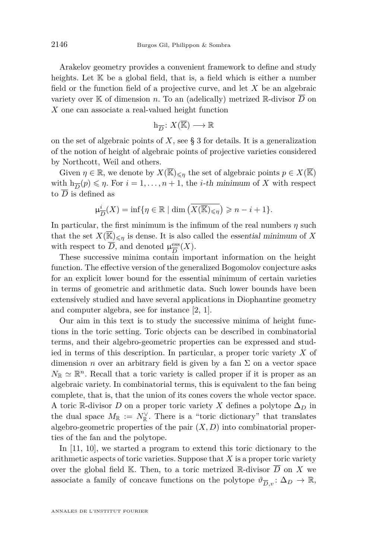Arakelov geometry provides a convenient framework to define and study heights. Let  $K$  be a global field, that is, a field which is either a number field or the function field of a projective curve, and let *X* be an algebraic variety over K of dimension *n*. To an (adelically) metrized R-divisor  $\overline{D}$  on *X* one can associate a real-valued height function

$$
\mathbf{h}_{\overline{D}}\colon X(\overline{\mathbb{K}})\longrightarrow \mathbb{R}
$$

on the set of algebraic points of *X*, see § [3](#page-17-0) for details. It is a generalization of the notion of height of algebraic points of projective varieties considered by Northcott, Weil and others.

Given  $\eta \in \mathbb{R}$ , we denote by  $X(\overline{\mathbb{K}})_{\leq \eta}$  the set of algebraic points  $p \in X(\overline{\mathbb{K}})$ with  $h_{\overline{D}}(p) \leq \eta$ . For  $i = 1, ..., n + 1$ , the *i*-th minimum of *X* with respect to  $\overline{D}$  is defined as

$$
\mu_{\overline{D}}^i(X) = \inf \{ \eta \in \mathbb{R} \mid \dim \left( \overline{X(\overline{\mathbb{K}})_{\leq \eta}} \right) \geqslant n - i + 1 \}.
$$

In particular, the first minimum is the infimum of the real numbers  $\eta$  such that the set  $X(\overline{\mathbb{K}})_{\leq n}$  is dense. It is also called the essential minimum of X with respect to  $\overline{D}$ , and denoted  $\mu_{\overline{D}}^{\text{ess}}$  $rac{\text{ess}}{D}(X)$ .

These successive minima contain important information on the height function. The effective version of the generalized Bogomolov conjecture asks for an explicit lower bound for the essential minimum of certain varieties in terms of geometric and arithmetic data. Such lower bounds have been extensively studied and have several applications in Diophantine geometry and computer algebra, see for instance [\[2,](#page-52-0) [1\]](#page-52-0).

Our aim in this text is to study the successive minima of height functions in the toric setting. Toric objects can be described in combinatorial terms, and their algebro-geometric properties can be expressed and studied in terms of this description. In particular, a proper toric variety *X* of dimension *n* over an arbitrary field is given by a fan  $\Sigma$  on a vector space  $N_{\mathbb{R}} \simeq \mathbb{R}^n$ . Recall that a toric variety is called proper if it is proper as an algebraic variety. In combinatorial terms, this is equivalent to the fan being complete, that is, that the union of its cones covers the whole vector space. A toric R-divisor *D* on a proper toric variety *X* defines a polytope  $\Delta_D$  in the dual space  $M_{\mathbb{R}} := N_{\mathbb{R}}^{\vee}$ . There is a "toric dictionary" that translates algebro-geometric properties of the pair  $(X, D)$  into combinatorial properties of the fan and the polytope.

In [\[11,](#page-52-0) [10\]](#page-52-0), we started a program to extend this toric dictionary to the arithmetic aspects of toric varieties. Suppose that *X* is a proper toric variety over the global field K. Then, to a toric metrized R-divisor  $\overline{D}$  on *X* we associate a family of concave functions on the polytope  $\vartheta_{\overline{D},v} : \Delta_D \to \mathbb{R}$ ,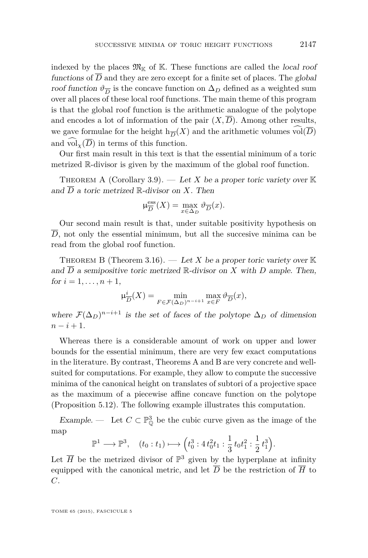<span id="page-3-0"></span>indexed by the places  $\mathfrak{M}_{\mathbb{K}}$  of K. These functions are called the local roof functions of  $\overline{D}$  and they are zero except for a finite set of places. The global roof function  $\vartheta_{\overline{D}}$  is the concave function on  $\Delta_D$  defined as a weighted sum over all places of these local roof functions. The main theme of this program is that the global roof function is the arithmetic analogue of the polytope and encodes a lot of information of the pair  $(X,\overline{D})$ . Among other results, we gave formulae for the height  $h_{\overline{D}}(X)$  and the arithmetic volumes vol $(D)$ and  $\widehat{\text{vol}_{\infty}(\overline{D})}$  in terms of this function.

Our first main result in this text is that the essential minimum of a toric metrized R-divisor is given by the maximum of the global roof function.

THEOREM A (Corollary [3.9\)](#page-25-0). — Let X be a proper toric variety over  $K$ and  $\overline{D}$  a toric metrized  $\mathbb{R}$ -divisor on X. Then

$$
\mu_{\overline{D}}^{\text{ess}}(X) = \max_{x \in \Delta_D} \vartheta_{\overline{D}}(x).
$$

Our second main result is that, under suitable positivity hypothesis on  $\overline{D}$ , not only the essential minimum, but all the succesive minima can be read from the global roof function.

THEOREM B (Theorem [3.16\)](#page-29-0).  $-$  Let X be a proper toric variety over K and  $\overline{D}$  a semipositive toric metrized  $\mathbb{R}$ -divisor on *X* with *D* ample. Then, for  $i = 1, ..., n + 1$ ,

$$
\mu_{\overline{D}}^{i}(X) = \min_{F \in \mathcal{F}(\Delta_D)^{n-i+1}} \max_{x \in F} \vartheta_{\overline{D}}(x),
$$

where  $\mathcal{F}(\Delta_D)^{n-i+1}$  is the set of faces of the polytope  $\Delta_D$  of dimension *n* − *i* + 1.

Whereas there is a considerable amount of work on upper and lower bounds for the essential minimum, there are very few exact computations in the literature. By contrast, Theorems A and B are very concrete and wellsuited for computations. For example, they allow to compute the successive minima of the canonical height on translates of subtori of a projective space as the maximum of a piecewise affine concave function on the polytope (Proposition [5.12\)](#page-47-0). The following example illustrates this computation.

Example. — Let  $C \subset \mathbb{P}^3_0$  be the cubic curve given as the image of the map

$$
\mathbb{P}^1 \longrightarrow \mathbb{P}^3, \quad (t_0 : t_1) \longmapsto \left(t_0^3 : 4 t_0^2 t_1 : \frac{1}{3} t_0 t_1^2 : \frac{1}{2} t_1^3\right)
$$

*.*

Let  $\overline{H}$  be the metrized divisor of  $\mathbb{P}^3$  given by the hyperplane at infinity equipped with the canonical metric, and let  $\overline{D}$  be the restriction of  $\overline{H}$  to *C*.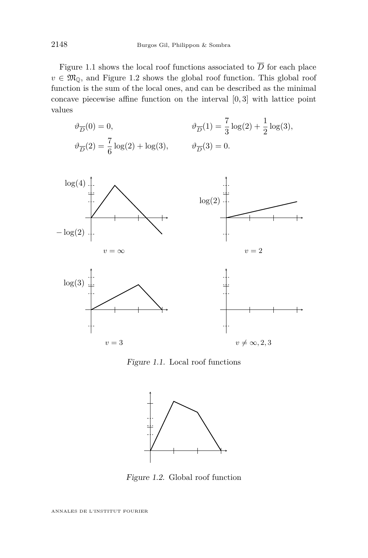Figure 1.1 shows the local roof functions associated to  $\overline{D}$  for each place  $v \in \mathfrak{M}_{0}$ , and Figure 1.2 shows the global roof function. This global roof function is the sum of the local ones, and can be described as the minimal concave piecewise affine function on the interval [0*,* 3] with lattice point values

$$
\vartheta_{\overline{D}}(0) = 0, \qquad \qquad \vartheta_{\overline{D}}(1) = \frac{7}{3}\log(2) + \frac{1}{2}\log(3),
$$
  

$$
\vartheta_{\overline{D}}(2) = \frac{7}{6}\log(2) + \log(3), \qquad \qquad \vartheta_{\overline{D}}(3) = 0.
$$



Figure 1.1. Local roof functions



Figure 1.2. Global roof function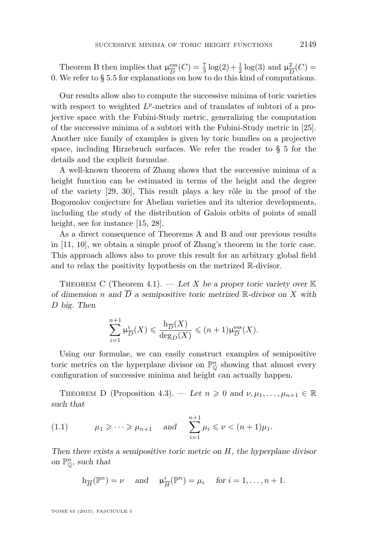<span id="page-5-0"></span>Theorem [B](#page-3-0) then implies that  $\mu_{\overline{D}}^{\text{ess}}$  $\frac{\text{ess}}{D}(C) = \frac{7}{3}\log(2) + \frac{1}{2}\log(3)$  and  $\mu_{\overline{L}}^2$  $\frac{2}{D}(C) =$ 0*.* We refer to § [5.5](#page-46-0) for explanations on how to do this kind of computations.

Our results allow also to compute the successive minima of toric varieties with respect to weighted  $L^p$ -metrics and of translates of subtori of a projective space with the Fubini-Study metric, generalizing the computation of the successive minima of a subtori with the Fubini-Study metric in [\[25\]](#page-53-0). Another nice family of examples is given by toric bundles on a projective space, including Hirzebruch surfaces. We refer the reader to § [5](#page-37-0) for the details and the explicit formulae.

A well-known theorem of Zhang shows that the successive minima of a height function can be estimated in terms of the height and the degree of the variety [\[29,](#page-53-0) [30\]](#page-53-0), This result plays a key rôle in the proof of the Bogomolov conjecture for Abelian varieties and its ulterior developments, including the study of the distribution of Galois orbits of points of small height, see for instance [\[15,](#page-52-0) [28\]](#page-53-0).

[A](#page-3-0)s a direct consequence of Theorems A and [B](#page-3-0) and our previous results in [\[11,](#page-52-0) [10\]](#page-52-0), we obtain a simple proof of Zhang's theorem in the toric case. This approach allows also to prove this result for an arbitrary global field and to relax the positivity hypothesis on the metrized R-divisor.

THEOREM C (Theorem [4.1\)](#page-31-0). — Let *X* be a proper toric variety over  $K$ of dimension *n* and  $\overline{D}$  a semipositive toric metrized R-divisor on X with *D* big. Then

$$
\sum_{i=1}^{n+1} \mu_{\overline{D}}^i(X) \leq \frac{\mathbf{h}_{\overline{D}}(X)}{\deg_D(X)} \leq (n+1)\mu_{\overline{D}}^{\text{ess}}(X).
$$

Using our formulae, we can easily construct examples of semipositive toric metrics on the hyperplane divisor on  $\mathbb{P}^n_{\mathbb{O}}$  showing that almost every configuration of successive minima and height can actually happen.

THEOREM D (Proposition [4.3\)](#page-32-0). — Let  $n \geq 0$  and  $\nu, \mu_1, \ldots, \mu_{n+1} \in \mathbb{R}$ such that

(1.1) 
$$
\mu_1 \geq \cdots \geq \mu_{n+1}
$$
 and  $\sum_{i=1}^{n+1} \mu_i \leq \nu < (n+1)\mu_1$ .

Then there exists a semipositive toric metric on *H*, the hyperplane divisor on  $\mathbb{P}^n_{\mathbb{O}}$ , such that

$$
h_{\overline{H}}(\mathbb{P}^n) = \nu
$$
 and  $\mu_{\overline{H}}^i(\mathbb{P}^n) = \mu_i$  for  $i = 1, ..., n + 1$ .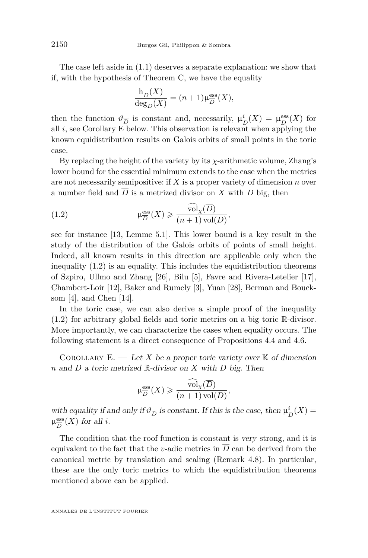The case left aside in [\(1.1\)](#page-5-0) deserves a separate explanation: we show that if, with the hypothesis of Theorem [C,](#page-5-0) we have the equality

$$
\frac{\mathrm{h}_{\overline{D}}(X)}{\mathrm{deg}_D(X)} = (n+1)\mu_{\overline{D}}^{\mathrm{ess}}(X),
$$

then the function  $\vartheta_{\overline{D}}$  is constant and, necessarily,  $\mu_{\overline{I}}^i$  $\frac{i}{D}(X) = \mu_{\overline{D}}^{\text{ess}}$  $\frac{\text{ess}}{D}(X)$  for all *i*, see Corollary E below. This observation is relevant when applying the known equidistribution results on Galois orbits of small points in the toric case.

By replacing the height of the variety by its *χ*-arithmetic volume, Zhang's lower bound for the essential minimum extends to the case when the metrics are not necessarily semipositive: if *X* is a proper variety of dimension *n* over a number field and  $\overline{D}$  is a metrized divisor on *X* with *D* big, then

(1.2) 
$$
\mu_{\overline{D}}^{\text{ess}}(X) \geqslant \frac{\widehat{\text{vol}}_{\chi}(\overline{D})}{(n+1)\,\text{vol}(D)},
$$

see for instance [\[13,](#page-52-0) Lemme 5.1]. This lower bound is a key result in the study of the distribution of the Galois orbits of points of small height. Indeed, all known results in this direction are applicable only when the inequality (1.2) is an equality. This includes the equidistribution theorems of Szpiro, Ullmo and Zhang [\[26\]](#page-53-0), Bilu [\[5\]](#page-52-0), Favre and Rivera-Letelier [\[17\]](#page-52-0), Chambert-Loir [\[12\]](#page-52-0), Baker and Rumely [\[3\]](#page-52-0), Yuan [\[28\]](#page-53-0), Berman and Boucksom [\[4\]](#page-52-0), and Chen [\[14\]](#page-52-0).

In the toric case, we can also derive a simple proof of the inequality (1.2) for arbitrary global fields and toric metrics on a big toric R-divisor. More importantly, we can characterize the cases when equality occurs. The following statement is a direct consequence of Propositions [4.4](#page-33-0) and [4.6.](#page-35-0)

COROLLARY  $E = \text{Let } X$  be a proper toric variety over  $K$  of dimension *n* and  $\overline{D}$  a toric metrized  $\mathbb{R}$ -divisor on *X* with *D* big. Then

$$
\mu_{\overline{D}}^{\text{ess}}(X) \geqslant \frac{\widehat{\text{vol}}_{\chi}(\overline{D})}{(n+1)\,\text{vol}(D)},
$$

with equality if and only if  $\vartheta_{\overline{D}}$  is constant. If this is the case, then  $\mu_{\overline{1}}^i$  $\frac{i}{D}(X) =$  $\mu_{\overline{D}}^{\text{ess}}$  $\frac{\text{ess}}{D}(X)$  for all *i*.

The condition that the roof function is constant is very strong, and it is equivalent to the fact that the *v*-adic metrics in  $\overline{D}$  can be derived from the canonical metric by translation and scaling (Remark [4.8\)](#page-36-0). In particular, these are the only toric metrics to which the equidistribution theorems mentioned above can be applied.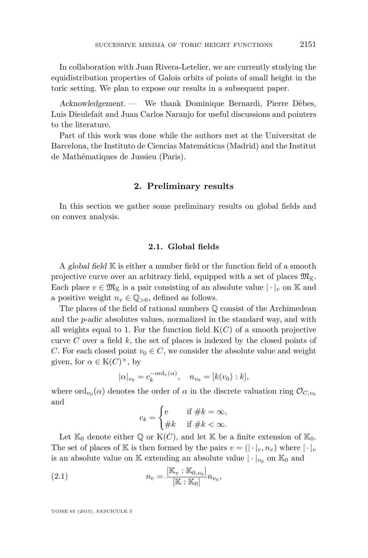In collaboration with Juan Rivera-Letelier, we are currently studying the equidistribution properties of Galois orbits of points of small height in the toric setting. We plan to expose our results in a subsequent paper.

Acknowledgement. — We thank Dominique Bernardi, Pierre Dèbes, Luis Dieulefait and Juan Carlos Naranjo for useful discussions and pointers to the literature.

Part of this work was done while the authors met at the Universitat de Barcelona, the Instituto de Ciencias Matemáticas (Madrid) and the Institut de Mathématiques de Jussieu (Paris).

#### **2. Preliminary results**

In this section we gather some preliminary results on global fields and on convex analysis.

#### **2.1. Global fields**

A global field  $\mathbb K$  is either a number field or the function field of a smooth projective curve over an arbitrary field, equipped with a set of places  $\mathfrak{M}_{\mathbb{K}}$ . Each place  $v \in \mathfrak{M}_{\mathbb{K}}$  is a pair consisting of an absolute value  $|\cdot|_v$  on K and a positive weight  $n_v \in \mathbb{Q}_{>0}$ , defined as follows.

The places of the field of rational numbers  $\mathbb{O}$  consist of the Archimedean and the *p*-adic absolutes values, normalized in the standard way, and with all weights equal to 1. For the function field  $K(C)$  of a smooth projective curve *C* over a field *k*, the set of places is indexed by the closed points of *C*. For each closed point  $v_0 \in C$ , we consider the absolute value and weight given, for  $\alpha \in K(C)^{\times}$ , by

$$
|\alpha|_{v_0} = c_k^{-\text{ord}_v(\alpha)}, \quad n_{v_0} = [k(v_0) : k],
$$

where  $\text{ord}_{v_0}(\alpha)$  denotes the order of  $\alpha$  in the discrete valuation ring  $\mathcal{O}_{C,v_0}$ and

$$
c_k = \begin{cases} e & \text{if } \# k = \infty, \\ \# k & \text{if } \# k < \infty. \end{cases}
$$

Let  $\mathbb{K}_0$  denote either  $\mathbb{Q}$  or  $K(C)$ , and let  $\mathbb{K}$  be a finite extension of  $\mathbb{K}_0$ . The set of places of K is then formed by the pairs  $v = (|\cdot|_v, n_v)$  where  $|\cdot|_v$ is an absolute value on  $\mathbb K$  extending an absolute value  $|\cdot|_{v_0}$  on  $\mathbb K_0$  and

(2.1) 
$$
n_v = \frac{[\mathbb{K}_v : \mathbb{K}_{0,v_0}]}{[\mathbb{K} : \mathbb{K}_0]} n_{v_0},
$$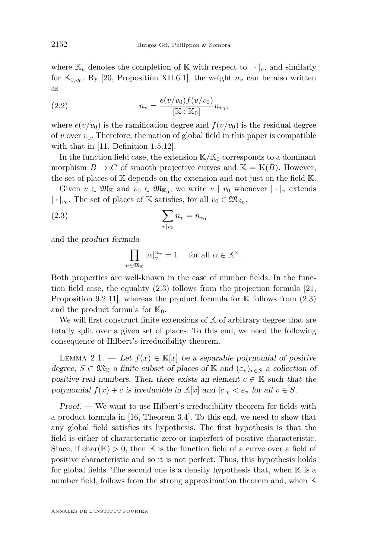<span id="page-8-0"></span>where  $\mathbb{K}_v$  denotes the completion of  $\mathbb{K}$  with respect to  $|\cdot|_v$ , and similarly for  $\mathbb{K}_{0,v_0}$ . By [\[20,](#page-53-0) Proposition XII.6.1], the weight  $n_v$  can be also written as

(2.2) 
$$
n_v = \frac{e(v/v_0)f(v/v_0)}{[\mathbb{K} : \mathbb{K}_0]} n_{v_0},
$$

where  $e(v/v_0)$  is the ramification degree and  $f(v/v_0)$  is the residual degree of *v* over  $v_0$ . Therefore, the notion of global field in this paper is compatible with that in [\[11,](#page-52-0) Definition 1.5.12].

In the function field case, the extension  $K/K_0$  corresponds to a dominant morphism  $B \to C$  of smooth projective curves and  $\mathbb{K} = \mathcal{K}(B)$ . However, the set of places of  $K$  depends on the extension and not just on the field  $K$ .

Given  $v \in \mathfrak{M}_{\mathbb{K}}$  and  $v_0 \in \mathfrak{M}_{\mathbb{K}_0}$ , we write  $v \mid v_0$  whenever  $\vert \cdot \vert_v$  extends  $|\cdot|_{v_0}.$  The set of places of  $\mathbb K$  satisfies, for all  $v_0\in \mathfrak{M}_{\mathbb K_0},$ 

$$
\sum_{v|v_0} n_v = n_{v_0}
$$

and the product formula

$$
\prod_{v \in \mathfrak{M}_{\mathbb{K}}} |\alpha|_v^{n_v} = 1 \quad \text{ for all } \alpha \in \mathbb{K}^\times.
$$

Both properties are well-known in the case of number fields. In the function field case, the equality (2.3) follows from the projection formula [\[21,](#page-53-0) Proposition 9.2.11], whereas the product formula for  $K$  follows from  $(2.3)$ and the product formula for  $\mathbb{K}_0$ .

We will first construct finite extensions of  $K$  of arbitrary degree that are totally split over a given set of places. To this end, we need the following consequence of Hilbert's irreducibility theorem.

LEMMA 2.1. — Let  $f(x) \in K[x]$  be a separable polynomial of positive degree,  $S \subset \mathfrak{M}_{\mathbb{K}}$  a finite subset of places of  $\mathbb{K}$  and  $(\varepsilon_v)_{v \in S}$  a collection of positive real numbers. Then there exists an element  $c \in \mathbb{K}$  such that the polynomial  $f(x) + c$  is irreducible in  $\mathbb{K}[x]$  and  $|c|_v < \varepsilon_v$  for all  $v \in S$ .

Proof. — We want to use Hilbert's irreducibility theorem for fields with a product formula in [\[16,](#page-52-0) Theorem 3.4]. To this end, we need to show that any global field satisfies its hypothesis. The first hypothesis is that the field is either of characteristic zero or imperfect of positive characteristic. Since, if char( $\mathbb{K}$ ) > 0, then  $\mathbb{K}$  is the function field of a curve over a field of positive characteristic and so it is not perfect. Thus, this hypothesis holds for global fields. The second one is a density hypothesis that, when  $K$  is a number field, follows from the strong approximation theorem and, when K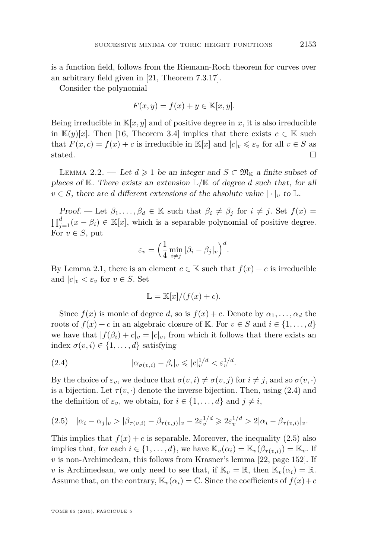<span id="page-9-0"></span>is a function field, follows from the Riemann-Roch theorem for curves over an arbitrary field given in [\[21,](#page-53-0) Theorem 7.3.17].

Consider the polynomial

$$
F(x, y) = f(x) + y \in \mathbb{K}[x, y].
$$

Being irreducible in  $\mathbb{K}[x, y]$  and of positive degree in x, it is also irreducible in  $\mathbb{K}(y)[x]$ . Then [\[16,](#page-52-0) Theorem 3.4] implies that there exists  $c \in \mathbb{K}$  such that  $F(x, c) = f(x) + c$  is irreducible in  $\mathbb{K}[x]$  and  $|c|_v \leq \varepsilon_v$  for all  $v \in S$  as stated.  $\Box$ 

LEMMA 2.2. — Let  $d \geq 1$  be an integer and  $S \subset \mathfrak{M}_{\mathbb{K}}$  a finite subset of places of K. There exists an extension L*/*K of degree *d* such that, for all  $v \in S$ , there are *d* different extensions of the absolute value  $|\cdot|_v$  to L.

Proof. — Let  $\beta_1, \ldots, \beta_d \in \mathbb{K}$  such that  $\beta_i \neq \beta_j$  for  $i \neq j$ . Set  $f(x) =$  $\prod_{j=1}^{d} (x - \beta_i) \in \mathbb{K}[x]$ , which is a separable polynomial of positive degree. For  $v \in S$ , put

$$
\varepsilon_v = \left(\frac{1}{4} \min_{i \neq j} |\beta_i - \beta_j|_v\right)^d.
$$

By Lemma [2.1,](#page-8-0) there is an element  $c \in \mathbb{K}$  such that  $f(x) + c$  is irreducible and  $|c|_v < \varepsilon_v$  for  $v \in S$ . Set

$$
\mathbb{L} = \mathbb{K}[x]/(f(x) + c).
$$

Since  $f(x)$  is monic of degree *d*, so is  $f(x) + c$ . Denote by  $\alpha_1, \ldots, \alpha_d$  the roots of  $f(x) + c$  in an algebraic closure of K. For  $v \in S$  and  $i \in \{1, \ldots, d\}$ we have that  $|f(\beta_i) + c|_{v} = |c|_{v}$ , from which it follows that there exists an index  $\sigma(v, i) \in \{1, \ldots, d\}$  satisfying

$$
(2.4) \qquad |\alpha_{\sigma(v,i)} - \beta_i|_v \leqslant |c|_v^{1/d} < \varepsilon_v^{1/d}.
$$

By the choice of  $\varepsilon_v$ , we deduce that  $\sigma(v, i) \neq \sigma(v, j)$  for  $i \neq j$ , and so  $\sigma(v, \cdot)$ is a bijection. Let  $\tau(v, \cdot)$  denote the inverse bijection. Then, using (2.4) and the definition of  $\varepsilon_v$ , we obtain, for  $i \in \{1, ..., d\}$  and  $j \neq i$ ,

$$
(2.5) \quad |\alpha_i - \alpha_j|_v > |\beta_{\tau(v,i)} - \beta_{\tau(v,j)}|_v - 2\varepsilon_v^{1/d} \geq 2\varepsilon_v^{1/d} > 2|\alpha_i - \beta_{\tau(v,i)}|_v.
$$

This implies that  $f(x) + c$  is separable. Moreover, the inequality (2.5) also implies that, for each  $i \in \{1, ..., d\}$ , we have  $\mathbb{K}_v(\alpha_i) = \mathbb{K}_v(\beta_{\tau(v,i)}) = \mathbb{K}_v$ . If *v* is non-Archimedean, this follows from Krasner's lemma [\[22,](#page-53-0) page 152]. If *v* is Archimedean, we only need to see that, if  $\mathbb{K}_v = \mathbb{R}$ , then  $\mathbb{K}_v(\alpha_i) = \mathbb{R}$ . Assume that, on the contrary,  $\mathbb{K}_v(\alpha_i) = \mathbb{C}$ . Since the coefficients of  $f(x) + c$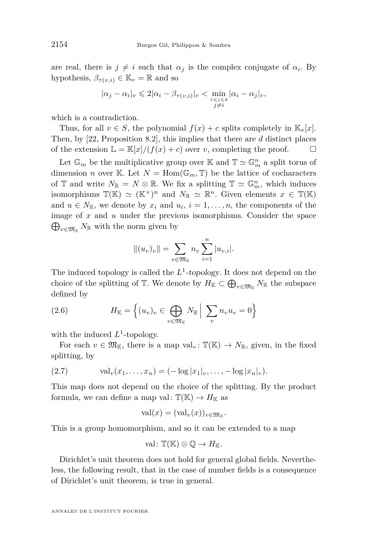<span id="page-10-0"></span>are real, there is  $j \neq i$  such that  $\alpha_j$  is the complex conjugate of  $\alpha_i$ . By hypothesis,  $\beta_{\tau(n,i)} \in \mathbb{K}_v = \mathbb{R}$  and so

$$
|\alpha_j - \alpha_i|_v \leq 2|\alpha_i - \beta_{\tau(v,i)}|_v < \min_{\substack{1 \leq j \leq d \\ j \neq i}} |\alpha_i - \alpha_j|_v,
$$

which is a contradiction.

Thus, for all  $v \in S$ , the polynomial  $f(x) + c$  splits completely in  $\mathbb{K}_v[x]$ . Then, by [\[22,](#page-53-0) Proposition 8.2], this implies that there are *d* distinct places of the extension  $\mathbb{L} = \mathbb{K}[x]/(f(x) + c)$  over *v*, completing the proof.

Let  $\mathbb{G}_m$  be the multiplicative group over  $\mathbb{K}$  and  $\mathbb{T}\simeq \mathbb{G}_m^n$  a split torus of dimension *n* over K. Let  $N = \text{Hom}(\mathbb{G}_m, \mathbb{T})$  be the lattice of cocharacters of  $\mathbb{T}$  and write  $N_{\mathbb{R}} = N \otimes \mathbb{R}$ . We fix a splitting  $\mathbb{T} \simeq \mathbb{G}_m^n$ , which induces isomorphisms  $\mathbb{T}(\mathbb{K}) \simeq (\mathbb{K}^{\times})^n$  and  $N_{\mathbb{R}} \simeq \mathbb{R}^n$ . Given elements  $x \in \mathbb{T}(\mathbb{K})$ and  $u \in N_{\mathbb{R}}$ , we denote by  $x_i$  and  $u_i$ ,  $i = 1, \ldots, n$ , the components of the image of *x* and *u* under the previous isomorphisms. Consider the space  $\bigoplus_{v \in \mathfrak{M}_{\mathbb{K}}} N_{\mathbb{R}}$  with the norm given by

$$
||(u_v)_v|| = \sum_{v \in \mathfrak{M}_{\mathbb{K}}} n_v \sum_{i=1}^n |u_{v,i}|.
$$

The induced topology is called the  $L^1$ -topology. It does not depend on the choice of the splitting of  $\mathbb{T}$ . We denote by  $H_{\mathbb{K}} \subset \bigoplus_{v \in \mathfrak{M}_{\mathbb{K}}} N_{\mathbb{R}}$  the subspace defined by

(2.6) 
$$
H_{\mathbb{K}} = \left\{ (u_v)_v \in \bigoplus_{v \in \mathfrak{M}_{\mathbb{K}}} N_{\mathbb{R}} \middle| \sum_v n_v u_v = 0 \right\}
$$

with the induced  $L^1$ -topology.

For each  $v \in \mathfrak{M}_{\mathbb{K}}$ , there is a map val<sub>v</sub>:  $\mathbb{T}(\mathbb{K}) \to N_{\mathbb{R}}$ , given, in the fixed splitting, by

(2.7) 
$$
\text{val}_{v}(x_{1},...,x_{n}) = (-\log |x_{1}|_{v},...,-\log |x_{n}|_{v}).
$$

This map does not depend on the choice of the splitting. By the product formula, we can define a map val:  $\mathbb{T}(\mathbb{K}) \to H_{\mathbb{K}}$  as

$$
\mathrm{val}(x)=(\mathrm{val}_v(x))_{v\in \mathfrak{M}_{\mathbb{K}}}.
$$

This is a group homomorphism, and so it can be extended to a map

val: 
$$
\mathbb{T}(\mathbb{K}) \otimes \mathbb{Q} \to H_{\mathbb{K}}
$$
.

Dirichlet's unit theorem does not hold for general global fields. Nevertheless, the following result, that in the case of number fields is a consequence of Dirichlet's unit theorem, is true in general.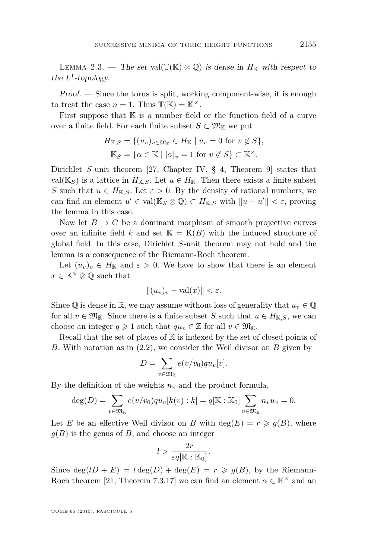<span id="page-11-0"></span>LEMMA 2.3. — The set val( $\mathbb{T}(\mathbb{K}) \otimes \mathbb{Q}$ ) is dense in  $H_{\mathbb{K}}$  with respect to the  $L^1$ -topology.

Proof. — Since the torus is split, working component-wise, it is enough to treat the case  $n = 1$ . Thus  $\mathbb{T}(\mathbb{K}) = \mathbb{K}^{\times}$ .

First suppose that  $K$  is a number field or the function field of a curve over a finite field. For each finite subset  $S \subset \mathfrak{M}_{\mathbb{K}}$  we put

$$
H_{\mathbb{K},S} = \{ (u_v)_{v \in \mathfrak{M}_{\mathbb{K}}} \in H_{\mathbb{K}} \mid u_v = 0 \text{ for } v \notin S \},\
$$

$$
\mathbb{K}_S = \{ \alpha \in \mathbb{K} \mid |\alpha|_v = 1 \text{ for } v \notin S \} \subset \mathbb{K}^\times.
$$

Dirichlet *S*-unit theorem [\[27,](#page-53-0) Chapter IV, § 4, Theorem 9] states that val( $\mathbb{K}_S$ ) is a lattice in  $H_{\mathbb{K},S}$ . Let  $u \in H_{\mathbb{K}}$ . Then there exists a finite subset *S* such that  $u \in H_{K,S}$ . Let  $\varepsilon > 0$ . By the density of rational numbers, we can find an element  $u' \in \text{val}(\mathbb{K}_S \otimes \mathbb{Q}) \subset H_{\mathbb{K},S}$  with  $||u - u'|| < \varepsilon$ , proving the lemma in this case.

Now let  $B \to C$  be a dominant morphism of smooth projective curves over an infinite field k and set  $\mathbb{K} = \mathcal{K}(B)$  with the induced structure of global field. In this case, Dirichlet *S*-unit theorem may not hold and the lemma is a consequence of the Riemann-Roch theorem.

Let  $(u_v)_v \in H_{\mathbb{K}}$  and  $\varepsilon > 0$ . We have to show that there is an element  $x \in \mathbb{K}^{\times} \otimes \mathbb{Q}$  such that

$$
||(u_v)_v - \text{val}(x)|| < \varepsilon.
$$

Since  $\mathbb{Q}$  is dense in  $\mathbb{R}$ , we may assume without loss of generality that  $u_v \in \mathbb{Q}$ for all  $v \in \mathfrak{M}_{\mathbb{K}}$ . Since there is a finite subset *S* such that  $u \in H_{\mathbb{K},S}$ , we can choose an integer  $q \geq 1$  such that  $qu_v \in \mathbb{Z}$  for all  $v \in \mathfrak{M}_{\mathbb{K}}$ .

Recall that the set of places of K is indexed by the set of closed points of *B*. With notation as in [\(2.2\)](#page-8-0), we consider the Weil divisor on *B* given by

$$
D = \sum_{v \in \mathfrak{M}_{\mathbb{K}}} e(v/v_0)qu_v[v].
$$

By the definition of the weights  $n<sub>v</sub>$  and the product formula,

$$
\deg(D) = \sum_{v \in \mathfrak{M}_{\mathbb{K}}} e(v/v_0)qu_v[k(v):k] = q[\mathbb{K}:\mathbb{K}_0] \sum_{v \in \mathfrak{M}_{\mathbb{K}}} n_v u_v = 0.
$$

Let *E* be an effective Weil divisor on *B* with  $deg(E) = r \geq g(B)$ , where  $g(B)$  is the genus of *B*, and choose an integer

$$
l > \frac{2r}{\varepsilon q[\mathbb{K} : \mathbb{K}_0]}.
$$

Since  $deg(1D + E) = l deg(D) + deg(E) = r \geq g(B)$ , by the Riemann-Roch theorem [\[21,](#page-53-0) Theorem 7.3.17] we can find an element  $\alpha \in \mathbb{K}^{\times}$  and an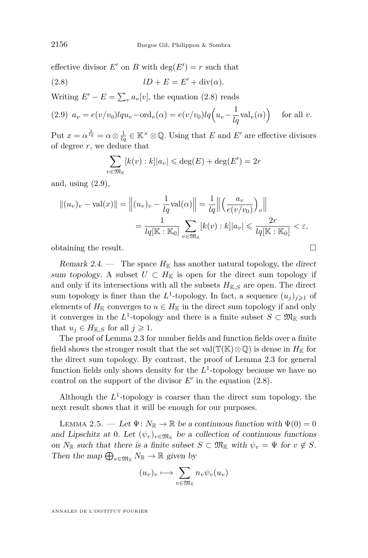<span id="page-12-0"></span>effective divisor  $E'$  on  $B$  with  $deg(E') = r$  such that

(2.8) *lD* + *E* = *E* <sup>0</sup> + div(*α*)*.*

Writing  $E' - E = \sum_{v} a_v[v]$ , the equation (2.8) reads

(2.9) 
$$
a_v = e(v/v_0)lqu_v - \text{ord}_v(\alpha) = e(v/v_0)lq(u_v - \frac{1}{lq}\text{val}_v(\alpha)) \quad \text{for all } v.
$$

Put  $x = \alpha^{\frac{1}{l_q}} = \alpha \otimes \frac{1}{l_q} \in \mathbb{K}^\times \otimes \mathbb{Q}$ . Using that *E* and *E'* are effective divisors of degree *r*, we deduce that

$$
\sum_{v \in \mathfrak{M}_{\mathbb{K}}} [k(v) : k] |a_v| \leqslant \deg(E) + \deg(E') = 2r
$$

and, using (2.9),

$$
||(u_v)_v - \text{val}(x)|| = \left\| (u_v)_v - \frac{1}{lq} \text{val}(\alpha) \right\| = \frac{1}{lq} \left\| \left( \frac{a_v}{e(v/v_0)} \right)_v \right\|
$$
  

$$
= \frac{1}{lq[\mathbb{K} : \mathbb{K}_0]} \sum_{v \in \mathfrak{M}_{\mathbb{K}}} [k(v) : k] |a_v| \leq \frac{2r}{lq[\mathbb{K} : \mathbb{K}_0]} < \varepsilon,
$$

obtaining the result.

Remark 2.4. — The space  $H_{\mathbb{K}}$  has another natural topology, the direct sum topology. A subset  $U \subset H_{\mathbb{K}}$  is open for the direct sum topology if and only if its intersections with all the subsets  $H_{K,S}$  are open. The direct sum topology is finer than the  $L^1$ -topology. In fact, a sequence  $(u_j)_{j\geqslant 1}$  of elements of  $H_{\mathbb{K}}$  converges to  $u \in H_{\mathbb{K}}$  in the direct sum topology if and only it converges in the  $L^1$ -topology and there is a finite subset  $S \subset \mathfrak{M}_{\mathbb{K}}$  such that  $u_j \in H_{K,S}$  for all  $j \geqslant 1$ .

The proof of Lemma [2.3](#page-11-0) for number fields and function fields over a finite field shows the stronger result that the set val( $\mathbb{T}(\mathbb{K})\otimes\mathbb{Q}$ ) is dense in  $H_{\mathbb{K}}$  for the direct sum topology. By contrast, the proof of Lemma [2.3](#page-11-0) for general function fields only shows density for the  $L^1$ -topology because we have no control on the support of the divisor  $E'$  in the equation  $(2.8)$ .

Although the  $L^1$ -topology is coarser than the direct sum topology, the next result shows that it will be enough for our purposes.

LEMMA 2.5. — Let  $\Psi: N_{\mathbb{R}} \to \mathbb{R}$  be a continuous function with  $\Psi(0) = 0$ and Lipschitz at 0. Let  $(\psi_v)_{v \in \mathfrak{M}_{\mathbb{K}}}$  be a collection of continuous functions on  $N_{\mathbb{R}}$  such that there is a finite subset  $S \subset \mathfrak{M}_{\mathbb{K}}$  with  $\psi_v = \Psi$  for  $v \notin S$ . Then the map  $\bigoplus_{v \in \mathfrak{M}_{\mathbb{K}}} N_{\mathbb{R}} \to \mathbb{R}$  given by

$$
(u_v)_v \longmapsto \sum_{v \in \mathfrak{M}_{\mathbb{K}}} n_v \psi_v(u_v)
$$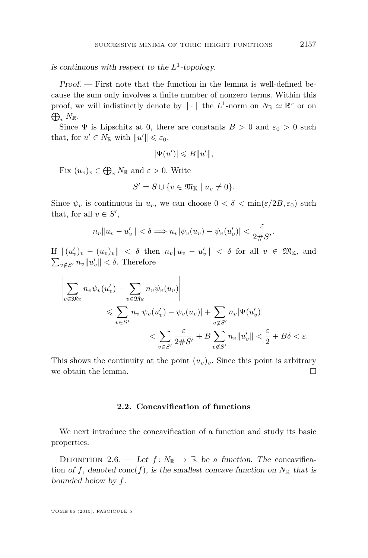is continuous with respect to the  $L^1$ -topology.

Proof. — First note that the function in the lemma is well-defined because the sum only involves a finite number of nonzero terms. Within this proof, we will indistinctly denote by  $\|\cdot\|$  the  $L^1$ -norm on  $N_{\mathbb{R}} \simeq \mathbb{R}^r$  or on  $\bigoplus_{v} N_{\mathbb R}.$ 

Since  $\Psi$  is Lipschitz at 0, there are constants  $B > 0$  and  $\varepsilon_0 > 0$  such that, for  $u' \in N_{\mathbb{R}}$  with  $||u'|| \leq \varepsilon_0$ ,

$$
|\Psi(u')| \leqslant B||u'||,
$$

Fix  $(u_v)_v \in \bigoplus_{v} N_{\mathbb{R}}$  and  $\varepsilon > 0$ . Write

$$
S'=S\cup\{v\in\mathfrak{M}_{\mathbb{K}}\mid u_v\neq 0\}.
$$

Since  $\psi_v$  is continuous in  $u_v$ , we can choose  $0 < \delta < \min(\varepsilon/2B, \varepsilon_0)$  such that, for all  $v \in S'$ ,

$$
n_v \|u_v - u'_v\| < \delta \Longrightarrow n_v |\psi_v(u_v) - \psi_v(u'_v)| < \frac{\varepsilon}{2\#S'}.
$$

 $\text{If } \|(u'_v)_v - (u_v)_v\| < \delta \text{ then } n_v\|u_v - u'_v\| < \delta \text{ for all } v \in \mathfrak{M}_{\mathbb{K}}\text{, and}$  $\sum_{v \notin S'} n_v \|u'_v\| < \delta$ . Therefore

$$
\left| \sum_{v \in \mathfrak{M}_{\mathbb{K}}} n_v \psi_v(u'_v) - \sum_{v \in \mathfrak{M}_{\mathbb{K}}} n_v \psi_v(u_v) \right|
$$
  
\$\leqslant \sum\_{v \in S'} n\_v |\psi\_v(u'\_v) - \psi\_v(u\_v)| + \sum\_{v \notin S'} n\_v |\Psi(u'\_v)|\$  
\$\leqslant \sum\_{v \in S'} \frac{\varepsilon}{2\#S'} + B \sum\_{v \notin S'} n\_v ||u'\_v|| < \frac{\varepsilon}{2} + B\delta < \varepsilon\$.

This shows the continuity at the point  $(u_v)_v$ . Since this point is arbitrary we obtain the lemma.  $\Box$ 

#### **2.2. Concavification of functions**

We next introduce the concavification of a function and study its basic properties.

DEFINITION 2.6. — Let  $f: N_{\mathbb{R}} \to \mathbb{R}$  be a function. The concavification of f, denoted conc $(f)$ , is the smallest concave function on  $N_{\mathbb{R}}$  that is bounded below by *f*.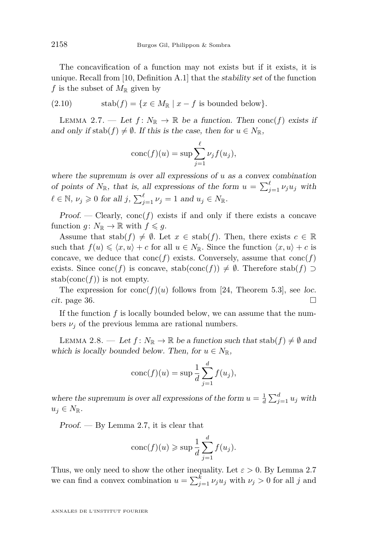<span id="page-14-0"></span>The concavification of a function may not exists but if it exists, it is unique. Recall from [\[10,](#page-52-0) Definition A.1] that the stability set of the function *f* is the subset of  $M_{\mathbb{R}}$  given by

(2.10) 
$$
\text{stab}(f) = \{x \in M_{\mathbb{R}} \mid x - f \text{ is bounded below}\}.
$$

LEMMA 2.7. — Let  $f: N_{\mathbb{R}} \to \mathbb{R}$  be a function. Then conc $(f)$  exists if and only if  $stab(f) \neq \emptyset$ . If this is the case, then for  $u \in N_{\mathbb{R}}$ ,

$$
conc(f)(u) = \sup \sum_{j=1}^{\ell} \nu_j f(u_j),
$$

where the supremum is over all expressions of *u* as a convex combination of points of  $N_{\mathbb{R}}$ , that is, all expressions of the form  $u = \sum_{j=1}^{\ell} \nu_j u_j$  with  $\ell \in \mathbb{N}, \nu_j \geqslant 0$  for all  $j, \sum_{j=1}^{\ell} \nu_j = 1$  and  $u_j \in N_{\mathbb{R}}$ .

Proof. — Clearly,  $\text{conc}(f)$  exists if and only if there exists a concave function  $g: N_{\mathbb{R}} \to \mathbb{R}$  with  $f \leq g$ .

Assume that  $stab(f) \neq \emptyset$ . Let  $x \in stab(f)$ . Then, there exists  $c \in \mathbb{R}$ such that  $f(u) \leq \langle x, u \rangle + c$  for all  $u \in N_{\mathbb{R}}$ . Since the function  $\langle x, u \rangle + c$  is concave, we deduce that  $\text{conc}(f)$  exists. Conversely, assume that  $\text{conc}(f)$ exists. Since conc(*f*) is concave, stab(conc(*f*))  $\neq \emptyset$ . Therefore stab(*f*) ⊃ stab(conc( $f$ )) is not empty.

The expression for  $conc(f)(u)$  follows from [\[24,](#page-53-0) Theorem 5.3], see loc. cit. page 36.  $\Box$ 

If the function *f* is locally bounded below, we can assume that the numbers  $\nu_i$  of the previous lemma are rational numbers.

LEMMA 2.8. — Let  $f: N_{\mathbb{R}} \to \mathbb{R}$  be a function such that  $stab(f) \neq \emptyset$  and which is locally bounded below. Then, for  $u \in N_{\mathbb{R}}$ ,

$$
conc(f)(u) = \sup \frac{1}{d} \sum_{j=1}^{d} f(u_j),
$$

where the supremum is over all expressions of the form  $u = \frac{1}{d} \sum_{j=1}^{d} u_j$  with  $u_j \in N_{\mathbb{R}}$ .

Proof. — By Lemma 2.7, it is clear that

$$
conc(f)(u) \geqslant \sup \frac{1}{d} \sum_{j=1}^{d} f(u_j).
$$

Thus, we only need to show the other inequality. Let  $\varepsilon > 0$ . By Lemma 2.7 we can find a convex combination  $u = \sum_{j=1}^{k} \nu_j u_j$  with  $\nu_j > 0$  for all *j* and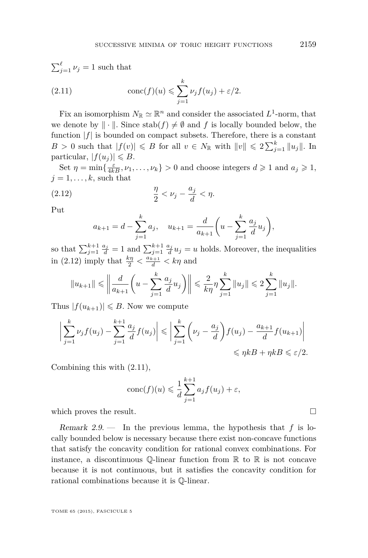$$
\sum_{j=1}^{\ell} \nu_j = 1 \text{ such that}
$$
  
(2.11) 
$$
\text{conc}(f)(u) \leqslant \sum_{j=1}^{k} \nu_j f(u_j) + \varepsilon/2.
$$

Fix an isomorphism  $N_{\mathbb{R}} \simeq \mathbb{R}^n$  and consider the associated  $L^1$ -norm, that we denote by  $\|\cdot\|$ . Since  $\text{stab}(f) \neq \emptyset$  and *f* is locally bounded below, the function  $|f|$  is bounded on compact subsets. Therefore, there is a constant  $B > 0$  such that  $|f(v)| \le B$  for all  $v \in N_{\mathbb{R}}$  with  $||v|| \le 2 \sum_{j=1}^{k} ||u_j||$ . In particular,  $|f(u_i)| \leq B$ .

Set  $\eta = \min\left\{\frac{\varepsilon}{4kB}, \nu_1, \ldots, \nu_k\right\} > 0$  and choose integers  $d \geq 1$  and  $a_j \geq 1$ ,  $j = 1, \ldots, k$ , such that

$$
\frac{\eta}{2} < \nu_j - \frac{a_j}{d} < \eta.
$$

Put

$$
a_{k+1} = d - \sum_{j=1}^{k} a_j
$$
,  $u_{k+1} = \frac{d}{a_{k+1}} \left( u - \sum_{j=1}^{k} \frac{a_j}{d} u_j \right)$ ,

so that  $\sum_{j=1}^{k+1} \frac{a_j}{d} = 1$  and  $\sum_{j=1}^{k+1} \frac{a_j}{d} u_j = u$  holds. Moreover, the inequalities in (2.12) imply that  $\frac{k\eta}{2} < \frac{a_{k+1}}{d} < k\eta$  and

$$
||u_{k+1}|| \le ||\frac{d}{a_{k+1}} \left( u - \sum_{j=1}^k \frac{a_j}{d} u_j \right) || \le \frac{2}{k\eta} \eta \sum_{j=1}^k ||u_j|| \le 2 \sum_{j=1}^k ||u_j||.
$$

Thus  $|f(u_{k+1})| \leq B$ . Now we compute

$$
\left| \sum_{j=1}^{k} \nu_j f(u_j) - \sum_{j=1}^{k+1} \frac{a_j}{d} f(u_j) \right| \leqslant \left| \sum_{j=1}^{k} \left( \nu_j - \frac{a_j}{d} \right) f(u_j) - \frac{a_{k+1}}{d} f(u_{k+1}) \right|
$$
  

$$
\leqslant \eta k + \eta k \leqslant \varepsilon/2.
$$

Combining this with (2.11),

$$
conc(f)(u) \le \frac{1}{d} \sum_{j=1}^{k+1} a_j f(u_j) + \varepsilon,
$$

which proves the result.  $\Box$ 

Remark 2.9. — In the previous lemma, the hypothesis that *f* is locally bounded below is necessary because there exist non-concave functions that satisfy the concavity condition for rational convex combinations. For instance, a discontinuous  $\mathbb{Q}$ -linear function from  $\mathbb{R}$  to  $\mathbb{R}$  is not concave because it is not continuous, but it satisfies the concavity condition for rational combinations because it is Q-linear.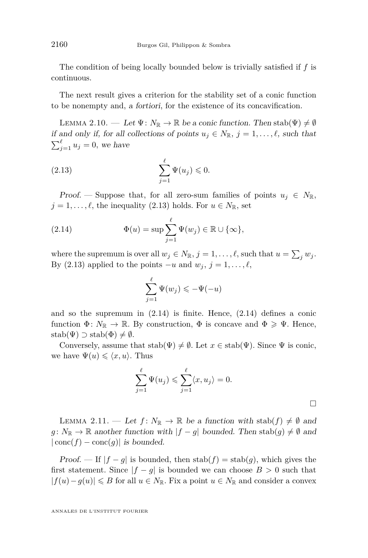<span id="page-16-0"></span>The condition of being locally bounded below is trivially satisfied if *f* is continuous.

The next result gives a criterion for the stability set of a conic function to be nonempty and, a fortiori, for the existence of its concavification.

LEMMA 2.10. — Let  $\Psi: N_{\mathbb{R}} \to \mathbb{R}$  be a conic function. Then stab $(\Psi) \neq \emptyset$ if and only if, for all collections of points  $u_j \in N_{\mathbb{R}}$ ,  $j = 1, \ldots, \ell$ , such that  $\sum_{j=1}^{\ell} u_j = 0$ , we have

$$
\sum_{j=1}^{\ell} \Psi(u_j) \leq 0.
$$

Proof. — Suppose that, for all zero-sum families of points  $u_j \in N_{\mathbb{R}}$ ,  $j = 1, \ldots, \ell$ , the inequality (2.13) holds. For  $u \in N_{\mathbb{R}}$ , set

(2.14) 
$$
\Phi(u) = \sup \sum_{j=1}^{\ell} \Psi(w_j) \in \mathbb{R} \cup \{\infty\},
$$

where the supremum is over all  $w_j \in N_{\mathbb{R}}$ ,  $j = 1, \ldots, \ell$ , such that  $u = \sum_j w_j$ . By (2.13) applied to the points  $-u$  and  $w_j$ ,  $j = 1, \ldots, \ell$ ,

$$
\sum_{j=1}^{\ell} \Psi(w_j) \leqslant -\Psi(-u)
$$

and so the supremum in  $(2.14)$  is finite. Hence,  $(2.14)$  defines a conic function  $\Phi: N_{\mathbb{R}} \to \mathbb{R}$ . By construction,  $\Phi$  is concave and  $\Phi \geq \Psi$ . Hence,  $stab(\Psi) \supset$  stab $(\Phi) \neq \emptyset$ .

Conversely, assume that  $stab(\Psi) \neq \emptyset$ . Let  $x \in stab(\Psi)$ . Since  $\Psi$  is conic, we have  $\Psi(u) \leq \langle x, u \rangle$ . Thus

$$
\sum_{j=1}^{\ell} \Psi(u_j) \leqslant \sum_{j=1}^{\ell} \langle x, u_j \rangle = 0.
$$

LEMMA 2.11. — Let  $f: N_{\mathbb{R}} \to \mathbb{R}$  be a function with stab(f)  $\neq \emptyset$  and *g*:  $N_{\mathbb{R}} \to \mathbb{R}$  another function with  $|f - g|$  bounded. Then stab(g)  $\neq \emptyset$  and  $|\text{conc}(f) - \text{conc}(g)|$  is bounded.

Proof. — If  $|f - g|$  is bounded, then  $stab(f) = stab(g)$ , which gives the first statement. Since  $|f - g|$  is bounded we can choose  $B > 0$  such that  $|f(u) - g(u)| \le B$  for all  $u \in N_{\mathbb{R}}$ . Fix a point  $u \in N_{\mathbb{R}}$  and consider a convex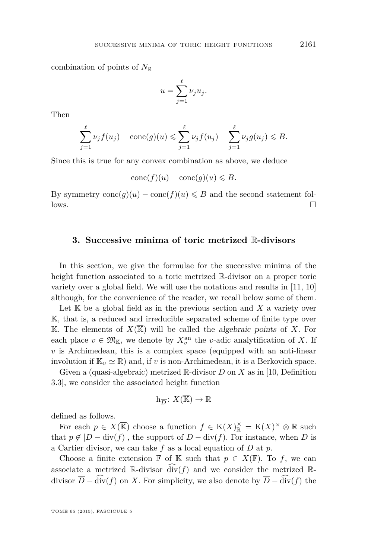<span id="page-17-0"></span>combination of points of  $N_{\mathbb{R}}$ 

$$
u = \sum_{j=1}^{\ell} \nu_j u_j.
$$

Then

$$
\sum_{j=1}^{\ell} \nu_j f(u_j) - \text{conc}(g)(u) \le \sum_{j=1}^{\ell} \nu_j f(u_j) - \sum_{j=1}^{\ell} \nu_j g(u_j) \le B.
$$

Since this is true for any convex combination as above, we deduce

$$
conc(f)(u) - conc(g)(u) \leq B.
$$

By symmetry  $\text{conc}(g)(u) - \text{conc}(f)(u) \leq B$  and the second statement fol- $\Box$ 

#### **3. Successive minima of toric metrized** R**-divisors**

In this section, we give the formulae for the successive minima of the height function associated to a toric metrized R-divisor on a proper toric variety over a global field. We will use the notations and results in [\[11,](#page-52-0) [10\]](#page-52-0) although, for the convenience of the reader, we recall below some of them.

Let  $K$  be a global field as in the previous section and  $X$  a variety over K, that is, a reduced and irreducible separated scheme of finite type over K. The elements of  $X(\mathbb{K})$  will be called the algebraic points of X. For each place  $v \in \mathfrak{M}_{\mathbb{K}}$ , we denote by  $X_v^{\text{an}}$  the *v*-adic analytification of X. If *v* is Archimedean, this is a complex space (equipped with an anti-linear involution if  $\mathbb{K}_v \simeq \mathbb{R}$ ) and, if *v* is non-Archimedean, it is a Berkovich space.

Given a (quasi-algebraic) metrized  $\mathbb R$ -divisor  $\overline{D}$  on  $X$  as in [\[10,](#page-52-0) Definition 3.3], we consider the associated height function

$$
\mathbf{h}_{\overline{D}}\colon X(\overline{\mathbb{K}})\to \mathbb{R}
$$

defined as follows.

For each  $p \in X(\overline{\mathbb{K}})$  choose a function  $f \in K(X)_{\mathbb{R}}^{\times} = K(X)^{\times} \otimes \mathbb{R}$  such that  $p \notin |D - \text{div}(f)|$ , the support of  $D - \text{div}(f)$ . For instance, when *D* is a Cartier divisor, we can take *f* as a local equation of *D* at *p*.

Choose a finite extension  $\mathbb F$  of  $\mathbb K$  such that  $p \in X(\mathbb F)$ . To f, we can associate a metrized  $\mathbb{R}$ -divisor  $\widehat{\text{div}}(f)$  and we consider the metrized  $\mathbb{R}$ divisor  $\overline{D}$  −  $\widehat{\text{div}}(f)$  on *X*. For simplicity, we also denote by  $\overline{D}$  −  $\widehat{\text{div}}(f)$  the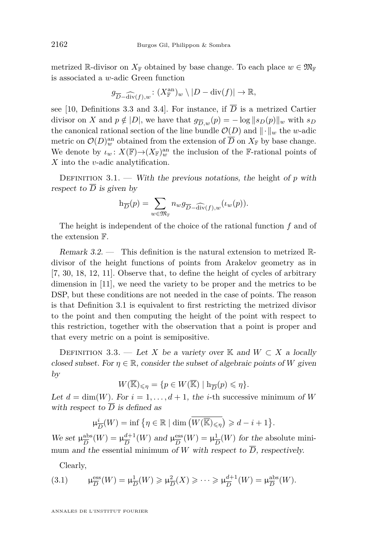<span id="page-18-0"></span>metrized R-divisor on  $X_{\mathbb{F}}$  obtained by base change. To each place  $w \in \mathfrak{M}_{\mathbb{F}}$ is associated a *w*-adic Green function

$$
g_{\overline{D} - \widehat{\mathrm{div}}(f),w} : (X_{\mathbb{F}}^{\mathrm{an}})_{w} \setminus |D - \mathrm{div}(f)| \to \mathbb{R},
$$

see [\[10,](#page-52-0) Definitions 3.3 and 3.4]. For instance, if *D* is a metrized Cartier divisor on *X* and  $p \notin |D|$ , we have that  $g_{\overline{D},w}(p) = -\log ||s_D(p)||_w$  with  $s_D$ the canonical rational section of the line bundle  $\mathcal{O}(D)$  and  $\|\cdot\|_w$  the *w*-adic metric on  $\mathcal{O}(D)_{w}^{\text{an}}$  obtained from the extension of  $\overline{D}$  on  $X_{\mathbb{F}}$  by base change. We denote by  $\iota_w \colon X(\mathbb{F}) \to (X_{\mathbb{F}})_w^{\text{an}}$  the inclusion of the F-rational points of *X* into the *v*-adic analytification.

DEFINITION 3.1. — With the previous notations, the height of  $p$  with respect to  $\overline{D}$  is given by

$$
\mathbf{h}_{\overline{D}}(p) = \sum_{w \in \mathfrak{M}_{\mathbb{F}}} n_w g_{\overline{D} - \widehat{\mathrm{div}}(f), w}(\iota_w(p)).
$$

The height is independent of the choice of the rational function *f* and of the extension F.

Remark 3.2. — This definition is the natural extension to metrized Rdivisor of the height functions of points from Arakelov geometry as in [\[7,](#page-52-0) [30,](#page-53-0) [18,](#page-52-0) [12,](#page-52-0) [11\]](#page-52-0). Observe that, to define the height of cycles of arbitrary dimension in [\[11\]](#page-52-0), we need the variety to be proper and the metrics to be DSP, but these conditions are not needed in the case of points. The reason is that Definition 3.1 is equivalent to first restricting the metrized divisor to the point and then computing the height of the point with respect to this restriction, together with the observation that a point is proper and that every metric on a point is semipositive.

DEFINITION 3.3. — Let X be a variety over K and  $W \subset X$  a locally closed subset. For  $\eta \in \mathbb{R}$ , consider the subset of algebraic points of *W* given by

$$
W(\overline{\mathbb{K}})_{\leqslant \eta}=\{p\in W(\overline{\mathbb{K}})\mid \mathbf{h}_{\overline{D}}(p)\leqslant \eta\}.
$$

Let  $d = \dim(W)$ . For  $i = 1, \ldots, d + 1$ , the *i*-th successive minimum of *W* with respect to  $\overline{D}$  is defined as

$$
\mu_{\overline{D}}^i(W) = \inf \{ \eta \in \mathbb{R} \mid \dim \left( W(\overline{\mathbb{K}})_{\leq \eta} \right) \geq d - i + 1 \}.
$$

We set  $\mu_{\overline{D}}^{\text{abs}}$  $\frac{\text{abs}}{D}(W) = \mu \frac{d+1}{D}$  $\frac{d+1}{D}(W)$  and  $\mu_{\overline{D}}^{\text{ess}}$  $\frac{\text{ess}}{D}(W) = \mu_{\overline{I}}^1$  $\frac{1}{D}(W)$  for the absolute minimum and the essential minimum of *W* with respect to  $\overline{D}$ , respectively.

Clearly,

(3.1) 
$$
\mu_{\overline{D}}^{\text{ess}}(W) = \mu_{\overline{D}}^{\perp}(W) \geq \mu_{\overline{D}}^2(X) \geq \cdots \geq \mu_{\overline{D}}^{d+1}(W) = \mu_{\overline{D}}^{\text{abs}}(W).
$$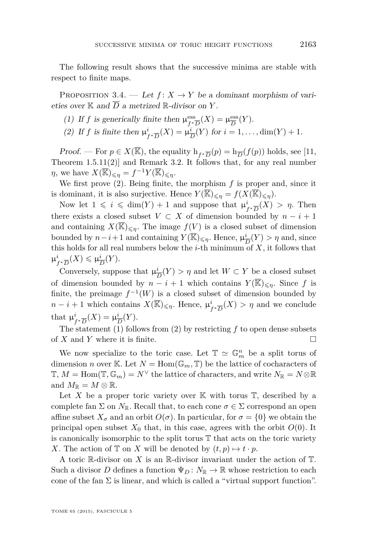<span id="page-19-0"></span>The following result shows that the successive minima are stable with respect to finite maps.

PROPOSITION 3.4. — Let  $f: X \to Y$  be a dominant morphism of varieties over  $K$  and  $\overline{D}$  a metrized  $\mathbb R$ -divisor on  $Y$ .

- (1) If f is generically finite then  $\mu_{\epsilon}^{\text{ess}}$  $\lim_{f^*\overline{D}}(X) = \mu_{\overline{D}}^{\text{ess}}$  $rac{\text{ess}}{D}(Y)$ .
- (2) If *f* is finite then  $\mu^i$  $\frac{i}{f^*\overline{D}}(X) = \mu \frac{i}{D}$  $\frac{i}{D}(Y)$  for  $i = 1, ..., dim(Y) + 1$ .

*Proof.* — For  $p \in X(\overline{\mathbb{K}})$ , the equality  $h_{f^*\overline{D}}(p) = h_{\overline{D}}(f(p))$  holds, see [\[11,](#page-52-0) Theorem  $1.5.11(2)$  and Remark [3.2.](#page-18-0) It follows that, for any real number *η*, we have  $X(\overline{\mathbb{K}})_{\leqslant \eta} = f^{-1}Y(\overline{\mathbb{K}})_{\leqslant \eta}$ .

We first prove (2). Being finite, the morphism *f* is proper and, since it is dominant, it is also surjective. Hence  $Y(\overline{\mathbb{K}})_{\leq \eta} = f(X(\overline{\mathbb{K}})_{\leq \eta})$ .

Now let  $1 \leq i \leq \dim(Y) + 1$  and suppose that  $\mu_i^i$  $f_{f^*\overline{D}}(X) > \eta$ . Then there exists a closed subset  $V \subset X$  of dimension bounded by  $n - i + 1$ and containing  $X(\overline{\mathbb{K}})_{\leq n}$ . The image  $f(V)$  is a closed subset of dimension bounded by  $n-i+1$  and containing  $Y(\overline{\mathbb{K}})_{\leq \eta}$ . Hence,  $\mu^i_{\overline{\eta}}$  $\frac{i}{D}(Y) > \eta$  and, since this holds for all real numbers below the  $i$ -th minimum of  $X$ , it follows that  $\mu^i$  $\frac{i}{f^*\overline{D}}(X) \leqslant \mu^i_{\overline{B}}$  $\frac{\imath}{D}(Y).$ 

Conversely, suppose that  $\mu_{\overline{i}}^i$  $\frac{i}{D}(Y) > \eta$  and let  $W \subset Y$  be a closed subset of dimension bounded by  $n - i + 1$  which contains  $Y(\overline{\mathbb{K}})_{\leq n}$ . Since f is finite, the preimage  $f^{-1}(W)$  is a closed subset of dimension bounded by  $n - i + 1$  which contains  $X(\overline{\mathbb{K}})_{\leqslant \eta}$ . Hence,  $\mu_i^i$  $f^i_{f^*\overline{D}}(X) > \eta$  and we conclude that  $\mu^i_j$  $\frac{i}{f^*\overline{D}}(X) = \mu^i_{\overline{I}}$  $\frac{i}{D}(Y).$ 

The statement (1) follows from (2) by restricting *f* to open dense subsets of  $X$  and  $Y$  where it is finite.

We now specialize to the toric case. Let  $\mathbb{T} \simeq \mathbb{G}_m^n$  be a split torus of dimension *n* over K. Let  $N = \text{Hom}(\mathbb{G}_m, \mathbb{T})$  be the lattice of cocharacters of  $\mathbb{T}, M = \text{Hom}(\mathbb{T}, \mathbb{G}_m) = N^{\vee}$  the lattice of characters, and write  $N_{\mathbb{R}} = N \otimes \mathbb{R}$ and  $M_{\mathbb{R}} = M \otimes \mathbb{R}$ .

Let X be a proper toric variety over  $\mathbb K$  with torus  $\mathbb T$ , described by a complete fan  $\Sigma$  on  $N_{\mathbb{R}}$ . Recall that, to each cone  $\sigma \in \Sigma$  correspond an open affine subset  $X_{\sigma}$  and an orbit  $O(\sigma)$ . In particular, for  $\sigma = \{0\}$  we obtain the principal open subset  $X_0$  that, in this case, agrees with the orbit  $O(0)$ . It is canonically isomorphic to the split torus  $T$  that acts on the toric variety *X*. The action of  $\mathbb{T}$  on *X* will be denoted by  $(t, p) \mapsto t \cdot p$ .

A toric R-divisor on *X* is an R-divisor invariant under the action of T. Such a divisor D defines a function  $\Psi_D: N_{\mathbb{R}} \to \mathbb{R}$  whose restriction to each cone of the fan  $\Sigma$  is linear, and which is called a "virtual support function".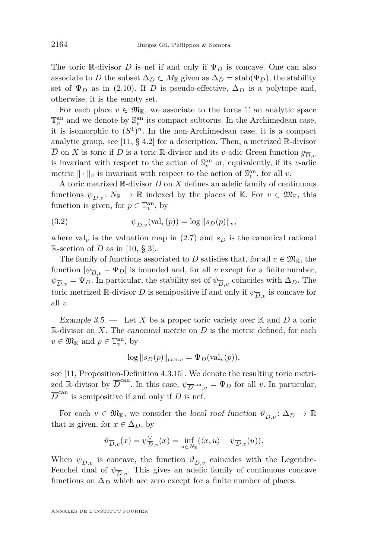<span id="page-20-0"></span>The toric R-divisor *D* is nef if and only if Ψ*<sup>D</sup>* is concave. One can also associate to *D* the subset  $\Delta_D \subset M_{\mathbb{R}}$  given as  $\Delta_D = \text{stab}(\Psi_D)$ , the stability set of  $\Psi_D$  as in [\(2.10\)](#page-14-0). If *D* is pseudo-effective,  $\Delta_D$  is a polytope and, otherwise, it is the empty set.

For each place  $v \in \mathfrak{M}_{\mathbb{K}}$ , we associate to the torus  $\mathbb{T}$  an analytic space  $\mathbb{T}^\text{an}_v$  and we denote by  $\mathbb{S}^\text{an}_v$  its compact subtorus. In the Archimedean case, it is isomorphic to  $(S^1)^n$ . In the non-Archimedean case, it is a compact analytic group, see [\[11,](#page-52-0) § 4.2] for a description. Then, a metrized R-divisor  $\overline{D}$  on *X* is toric if *D* is a toric R-divisor and its *v*-adic Green function  $g_{\overline{D}}$ . is invariant with respect to the action of  $\mathbb{S}_v^{\text{an}}$  or, equivalently, if its *v*-adic metric  $\|\cdot\|_v$  is invariant with respect to the action of  $\mathbb{S}_v^{\text{an}}$ , for all *v*.

A toric metrized  $\mathbb R$ -divisor  $\overline{D}$  on  $X$  defines an adelic family of continuous functions  $\psi_{\overline{D}_v}: N_{\mathbb{R}} \to \mathbb{R}$  indexed by the places of K. For  $v \in \mathfrak{M}_{\mathbb{K}}$ , this function is given, for  $p \in \mathbb{T}_v^{\text{an}}$ , by

(3.2) 
$$
\psi_{\overline{D},v}(\text{val}_v(p)) = \log ||s_D(p)||_v,
$$

where val<sub>v</sub> is the valuation map in  $(2.7)$  and  $s<sub>D</sub>$  is the canonical rational R-section of *D* as in [\[10,](#page-52-0) § 3].

The family of functions associated to  $\overline{D}$  satisfies that, for all  $v \in \mathfrak{M}_{\mathbb{K}}$ , the function  $|\psi_{\overline{D}v} - \Psi_D|$  is bounded and, for all *v* except for a finite number,  $\psi_{D,v}^- = \Psi_D$ . In particular, the stability set of  $\psi_{D,v}^-$  coincides with  $\Delta_D$ . The toric metrized R-divisor  $\overline{D}$  is semipositive if and only if  $\psi_{\overline{D},v}$  is concave for all *v*.

Example 3.5.  $\qquad$  Let X be a proper toric variety over K and D a toric R-divisor on *X*. The canonical metric on *D* is the metric defined, for each  $v \in \mathfrak{M}_{\mathbb{K}}$  and  $p \in \mathbb{T}_v^{\text{an}}$ , by

$$
\log ||s_D(p)||_{\text{can},v} = \Psi_D(\text{val}_v(p)),
$$

see [\[11,](#page-52-0) Proposition-Definition 4.3.15]. We denote the resulting toric metrized R-divisor by  $\overline{D}^{\text{can}}$ . In this case,  $\psi_{\overline{D}^{\text{can}}$ ,  $v = \Psi_D$  for all *v*. In particular,  $\overline{D}^{\text{can}}$  is semipositive if and only if *D* is nef.

For each  $v \in \mathfrak{M}_{\mathbb{K}}$ , we consider the local roof function  $\vartheta_{\overline{D}_v} : \Delta_D \to \mathbb{R}$ that is given, for  $x \in \Delta_D$ , by

$$
\vartheta_{\overline{D},v}(x) = \psi_{\overline{D},v}^{\vee}(x) = \inf_{u \in N_{\mathbb{R}}} (\langle x, u \rangle - \psi_{\overline{D},v}(u)).
$$

When  $\psi_{\overline{D},v}$  is concave, the function  $\vartheta_{\overline{D},v}$  coincides with the Legendre-Fenchel dual of  $\psi_{\overline{D},v}$ . This gives an adelic family of continuous concave functions on  $\Delta_D$  which are zero except for a finite number of places.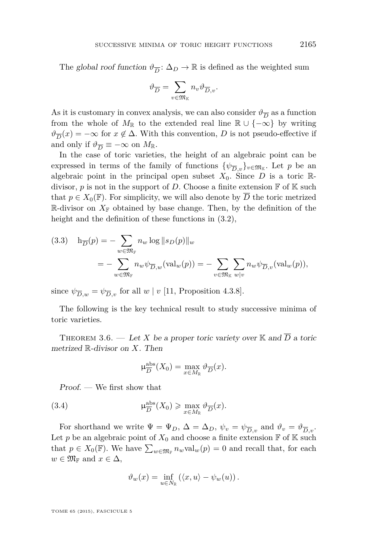<span id="page-21-0"></span>The global roof function  $\vartheta_{\overline{D}}\colon \Delta_D\to \mathbb{R}$  is defined as the weighted sum

$$
\vartheta_{\overline{D}} = \sum_{v \in \mathfrak{M}_{\mathbb{K}}} n_v \vartheta_{\overline{D}, v}.
$$

As it is customary in convex analysis, we can also consider  $\vartheta_{\overline{D}}$  as a function from the whole of  $M_{\mathbb{R}}$  to the extended real line  $\mathbb{R} \cup \{-\infty\}$  by writing  $\vartheta_{\overline{D}}(x) = -\infty$  for  $x \notin \Delta$ . With this convention, *D* is not pseudo-effective if and only if  $\vartheta_{\overline{D}} \equiv -\infty$  on  $M_{\mathbb{R}}$ .

In the case of toric varieties, the height of an algebraic point can be expressed in terms of the family of functions  $\{\psi_{\overline{D},v}\}_{v \in \mathfrak{M}_{\mathbb{K}}}$ . Let *p* be an algebraic point in the principal open subset  $X_0$ . Since  $D$  is a toric  $\mathbb{R}$ divisor,  $p$  is not in the support of  $D$ . Choose a finite extension  $\mathbb F$  of  $\mathbb K$  such that  $p \in X_0(\mathbb{F})$ . For simplicity, we will also denote by  $\overline{D}$  the toric metrized  $\mathbb{R}$ -divisor on  $X_{\mathbb{F}}$  obtained by base change. Then, by the definition of the height and the definition of these functions in  $(3.2)$ ,

(3.3) 
$$
h_{\overline{D}}(p) = -\sum_{w \in \mathfrak{M}_{\mathbb{F}}} n_w \log ||s_D(p)||_w
$$

$$
= -\sum_{w \in \mathfrak{M}_{\mathbb{F}}} n_w \psi_{\overline{D},w} (\text{val}_w(p)) = -\sum_{v \in \mathfrak{M}_{\mathbb{K}}} \sum_{w|v} n_w \psi_{\overline{D},v} (\text{val}_w(p)),
$$

since  $\psi_{\overline{D},w} = \psi_{\overline{D},v}$  for all  $w \mid v$  [\[11,](#page-52-0) Proposition 4.3.8].

The following is the key technical result to study successive minima of toric varieties.

THEOREM 3.6. — Let *X* be a proper toric variety over K and  $\overline{D}$  a toric metrized R-divisor on *X*. Then

$$
\mu_{\overline{D}}^{\text{abs}}(X_0) = \max_{x \in M_{\mathbb{R}}} \vartheta_{\overline{D}}(x).
$$

Proof. — We first show that

(3.4) 
$$
\mu_{\overline{D}}^{\text{abs}}(X_0) \ge \max_{x \in M_{\mathbb{R}}} \vartheta_{\overline{D}}(x).
$$

For shorthand we write  $\Psi = \Psi_D$ ,  $\Delta = \Delta_D$ ,  $\psi_v = \psi_{\overline{D},v}$  and  $\vartheta_v = \vartheta_{\overline{D},v}$ . Let *p* be an algebraic point of  $X_0$  and choose a finite extension  $\mathbb F$  of  $\mathbb K$  such that  $p \in X_0(\mathbb{F})$ . We have  $\sum_{w \in \mathfrak{M}_{\mathbb{F}}} n_w \text{val}_w(p) = 0$  and recall that, for each  $w \in \mathfrak{M}_{\mathbb{F}}$  and  $x \in \Delta$ ,

$$
\vartheta_w(x) = \inf_{u \in N_{\mathbb{R}}} (\langle x, u \rangle - \psi_w(u)).
$$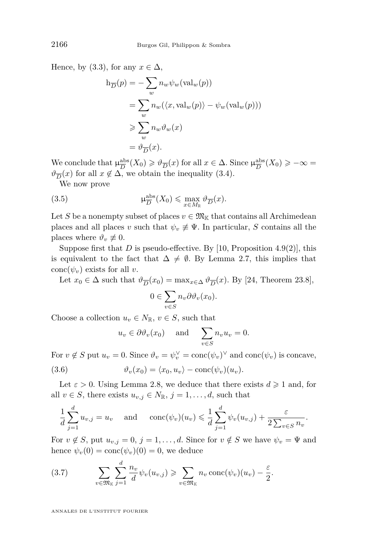Hence, by [\(3.3\)](#page-21-0), for any  $x \in \Delta$ ,

$$
h_{\overline{D}}(p) = -\sum_{w} n_{w} \psi_{w}(\text{val}_{w}(p))
$$
  
= 
$$
\sum_{w} n_{w} (\langle x, \text{val}_{w}(p) \rangle - \psi_{w}(\text{val}_{w}(p)))
$$
  

$$
\geq \sum_{w} n_{w} \vartheta_{w}(x)
$$
  
= 
$$
\vartheta_{\overline{D}}(x).
$$

We conclude that  $\mu_{\overline{D}}^{\text{abs}}$  $\frac{a}{D}$ **D** $(X_0) \ge \theta \frac{a}{D}(x)$  for all  $x \in \Delta$ . Since  $\mu_{\overline{D}}^{\text{abs}}$  $\frac{\text{abs}}{D}(X_0) \geqslant -\infty =$  $\vartheta_{\overline{D}}(x)$  for all  $x \notin \Delta$ , we obtain the inequality [\(3.4\)](#page-21-0).

We now prove

(3.5) 
$$
\mu_{\overline{D}}^{\text{abs}}(X_0) \leq \max_{x \in M_{\mathbb{R}}} \vartheta_{\overline{D}}(x).
$$

Let *S* be a nonempty subset of places  $v \in \mathfrak{M}_{\mathbb{K}}$  that contains all Archimedean places and all places *v* such that  $\psi_v \neq \Psi$ . In particular, *S* contains all the places where  $\vartheta_v \not\equiv 0$ .

Suppose first that *D* is pseudo-effective. By [\[10,](#page-52-0) Proposition 4.9(2)], this is equivalent to the fact that  $\Delta \neq \emptyset$ . By Lemma [2.7,](#page-14-0) this implies that conc $(\psi_v)$  exists for all *v*.

Let  $x_0 \in \Delta$  such that  $\vartheta_{\overline{D}}(x_0) = \max_{x \in \Delta} \vartheta_{\overline{D}}(x)$ . By [\[24,](#page-53-0) Theorem 23.8],

$$
0 \in \sum_{v \in S} n_v \partial \vartheta_v(x_0).
$$

Choose a collection  $u_v \in N_{\mathbb{R}}$ ,  $v \in S$ , such that

$$
u_v \in \partial \vartheta_v(x_0)
$$
 and  $\sum_{v \in S} n_v u_v = 0.$ 

For  $v \notin S$  put  $u_v = 0$ . Since  $\vartheta_v = \psi_v^{\vee} = \text{conc}(\psi_v)^{\vee}$  and  $\text{conc}(\psi_v)$  is concave,

(3.6) 
$$
\vartheta_v(x_0) = \langle x_0, u_v \rangle - \text{conc}(\psi_v)(u_v).
$$

Let  $\varepsilon > 0$ . Using Lemma [2.8,](#page-14-0) we deduce that there exists  $d \geq 1$  and, for all  $v \in S$ , there exists  $u_{v,j} \in N_{\mathbb{R}}$ ,  $j = 1, \ldots, d$ , such that

$$
\frac{1}{d}\sum_{j=1}^d u_{v,j} = u_v \quad \text{and} \quad \text{conc}(\psi_v)(u_v) \leq \frac{1}{d}\sum_{j=1}^d \psi_v(u_{v,j}) + \frac{\varepsilon}{2\sum_{v\in S}n_v}.
$$

For  $v \notin S$ , put  $u_{v,j} = 0$ ,  $j = 1, \ldots, d$ . Since for  $v \notin S$  we have  $\psi_v = \Psi$  and hence  $\psi_v(0) = \text{conc}(\psi_v)(0) = 0$ , we deduce

(3.7) 
$$
\sum_{v \in \mathfrak{M}_{\mathbb{K}}} \sum_{j=1}^d \frac{n_v}{d} \psi_v(u_{v,j}) \geqslant \sum_{v \in \mathfrak{M}_{\mathbb{K}}} n_v \operatorname{conc}(\psi_v)(u_v) - \frac{\varepsilon}{2}.
$$

<span id="page-22-0"></span>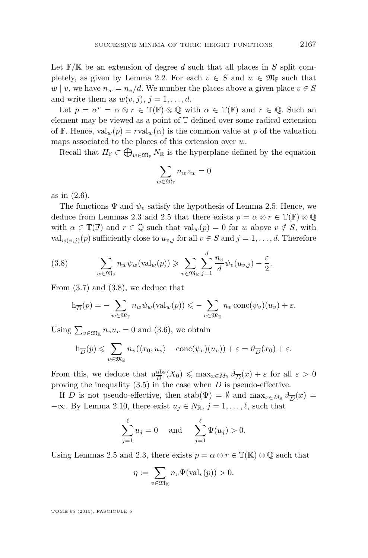Let F*/*K be an extension of degree *d* such that all places in *S* split com-pletely, as given by Lemma [2.2.](#page-9-0) For each  $v \in S$  and  $w \in \mathfrak{M}_{\mathbb{F}}$  such that  $w | v$ , we have  $n_w = n_v/d$ . We number the places above a given place  $v \in S$ and write them as  $w(v, j)$ ,  $j = 1, \ldots, d$ .

Let  $p = \alpha^r = \alpha \otimes r \in \mathbb{T}(\mathbb{F}) \otimes \mathbb{Q}$  with  $\alpha \in \mathbb{T}(\mathbb{F})$  and  $r \in \mathbb{Q}$ . Such an element may be viewed as a point of T defined over some radical extension of F. Hence,  $val_w(p) = rval_w(\alpha)$  is the common value at p of the valuation maps associated to the places of this extension over *w*.

Recall that  $H_{\mathbb{F}} \subset \bigoplus_{w \in \mathfrak{M}_{\mathbb{F}}} N_{\mathbb{R}}$  is the hyperplane defined by the equation

$$
\sum_{w \in \mathfrak{M}_{\mathbb{F}}} n_w z_w = 0
$$

as in [\(2.6\)](#page-10-0).

The functions  $\Psi$  and  $\psi_v$  satisfy the hypothesis of Lemma [2.5.](#page-12-0) Hence, we deduce from Lemmas [2.3](#page-11-0) and [2.5](#page-12-0) that there exists  $p = \alpha \otimes r \in \mathbb{T}(\mathbb{F}) \otimes \mathbb{Q}$ with  $\alpha \in \mathbb{T}(\mathbb{F})$  and  $r \in \mathbb{Q}$  such that  $\text{val}_w(p) = 0$  for w above  $v \notin S$ , with val<sub>*w*(*v,j*)</sub>(*p*) sufficiently close to  $u_{v,j}$  for all  $v \in S$  and  $j = 1, \ldots, d$ . Therefore

(3.8) 
$$
\sum_{w \in \mathfrak{M}_{\mathbb{F}}} n_w \psi_w(\text{val}_w(p)) \geqslant \sum_{v \in \mathfrak{M}_{\mathbb{K}}} \sum_{j=1}^d \frac{n_v}{d} \psi_v(u_{v,j}) - \frac{\varepsilon}{2}.
$$

From [\(3.7\)](#page-22-0) and (3.8), we deduce that

$$
\mathrm{h}_{\overline{D}}(p) = -\sum_{w \in \mathfrak{M}_{\mathbb{F}}} n_w \psi_w(\mathrm{val}_w(p)) \leqslant -\sum_{v \in \mathfrak{M}_{\mathbb{K}}} n_v \operatorname{conc}(\psi_v)(u_v) + \varepsilon.
$$

Using  $\sum_{v \in \mathfrak{M}_{\mathbb{K}}} n_v u_v = 0$  and [\(3.6\)](#page-22-0), we obtain

$$
\mathrm{h}_{\overline{D}}(p) \leqslant \sum_{v \in \mathfrak{M}_{\mathbb{K}}} n_v(\langle x_0, u_v \rangle - \mathrm{conc}(\psi_v)(u_v)) + \varepsilon = \vartheta_{\overline{D}}(x_0) + \varepsilon.
$$

From this, we deduce that  $\mu_{\overline{D}}^{\text{abs}}$  $\frac{\partial}{\partial D}(X_0) \le \max_{x \in M_{\mathbb{R}}} \vartheta_{\overline{D}}(x) + \varepsilon$  for all  $\varepsilon > 0$ proving the inequality [\(3.5\)](#page-22-0) in the case when *D* is pseudo-effective.

If *D* is not pseudo-effective, then  $stab(\Psi) = \emptyset$  and  $\max_{x \in M_{\mathbb{R}}} \vartheta_{\overline{D}}(x) =$  $-\infty$ . By Lemma [2.10,](#page-16-0) there exist  $u_j \in N_{\mathbb{R}}$ ,  $j = 1, \ldots, \ell$ , such that

$$
\sum_{j=1}^{\ell} u_j = 0
$$
 and  $\sum_{j=1}^{\ell} \Psi(u_j) > 0.$ 

Using Lemmas [2.5](#page-12-0) and [2.3,](#page-11-0) there exists  $p = \alpha \otimes r \in \mathbb{T}(\mathbb{K}) \otimes \mathbb{Q}$  such that

$$
\eta := \sum_{v \in \mathfrak{M}_{\mathbb{K}}} n_v \Psi(\text{val}_v(p)) > 0.
$$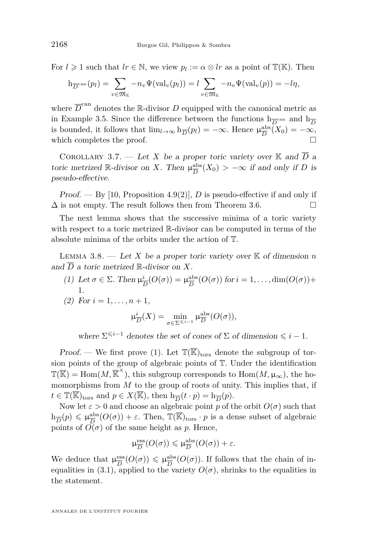<span id="page-24-0"></span>For  $l \geq 1$  such that  $lr \in \mathbb{N}$ , we view  $p_l := \alpha \otimes lr$  as a point of  $\mathbb{T}(\mathbb{K})$ . Then

$$
h_{\overline{D}^{\mathrm{can}}}(p_l) = \sum_{v \in \mathfrak{M}_{\mathbb{K}}} -n_v \Psi(\mathrm{val}_v(p_l)) = l \sum_{v \in \mathfrak{M}_{\mathbb{K}}} -n_v \Psi(\mathrm{val}_v(p)) = -l\eta,
$$

where  $\overline{D}^{\text{can}}$  denotes the R-divisor  $D$  equipped with the canonical metric as in Example [3.5.](#page-20-0) Since the difference between the functions  $h_{\overline{D}}^{\text{can}}$  and  $h_{\overline{D}}$ is bounded, it follows that  $\lim_{l\to\infty}$   $h_{\overline{D}}(p_l) = -\infty$ . Hence  $\mu_{\overline{D}}^{\text{abs}}$  $\frac{\text{abs}}{D}(X_0) = -\infty,$ which completes the proof.

COROLLARY 3.7. — Let X be a proper toric variety over  $\mathbb K$  and  $\overline{D}$  a toric metrized R-divisor on *X*. Then  $\mu_{\overline{D}}^{\text{abs}}$  $\frac{abs}{D}(X_0) > -\infty$  *if and only if D* is pseudo-effective.

Proof. — By [\[10,](#page-52-0) Proposition 4.9(2)], *D* is pseudo-effective if and only if  $\Delta$  is not empty. The result follows then from Theorem [3.6.](#page-21-0)

The next lemma shows that the successive minima of a toric variety with respect to a toric metrized R-divisor can be computed in terms of the absolute minima of the orbits under the action of T.

LEMMA 3.8.  $-$  Let X be a proper toric variety over  $\mathbb K$  of dimension *n* and  $\overline{D}$  a toric metrized  $\mathbb{R}$ -divisor on X.

(1) Let *σ* ∈ Σ. Then  $μ_1^i$  $\frac{i}{D}(O(\sigma)) = \mu_{\overline{D}}^{\text{abs}}$  $\frac{\text{abs}}{D}(O(\sigma))$  for  $i = 1, \ldots, \text{dim}(O(\sigma)) +$ 1.

(2) For 
$$
i = 1, ..., n + 1
$$
,

$$
\mu_{\overline{D}}^{i}(X) = \min_{\sigma \in \Sigma^{\leq i-1}} \mu_{\overline{D}}^{\text{abs}}(O(\sigma)),
$$

where  $\Sigma^{\leq i-1}$  denotes the set of cones of  $\Sigma$  of dimension  $\leq i-1$ .

Proof. — We first prove (1). Let  $\mathbb{T}(\overline{\mathbb{K}})_{\text{tors}}$  denote the subgroup of torsion points of the group of algebraic points of T. Under the identification  $\mathbb{T}(\overline{\mathbb{K}}) = \text{Hom}(M, \overline{\mathbb{K}}^{\times})$ , this subgroup corresponds to  $\text{Hom}(M, \mu_{\infty})$ , the homomorphisms from *M* to the group of roots of unity. This implies that, if  $t \in \mathbb{T}(\overline{\mathbb{K}})_{\text{tors}}$  and  $p \in X(\overline{\mathbb{K}})$ , then  $h_{\overline{D}}(t \cdot p) = h_{\overline{D}}(p)$ .

Now let  $\varepsilon > 0$  and choose an algebraic point *p* of the orbit  $O(\sigma)$  such that  $h_{\overline{D}}(p) \leqslant \mu_{\overline{D}}^{\text{abs}}$  $\frac{a}{D}$ <sup>b</sup> $(O(\sigma)) + \varepsilon$ . Then,  $\mathbb{T}(\overline{\mathbb{K}})_{\text{tors}} \cdot p$  is a dense subset of algebraic points of  $O(\sigma)$  of the same height as *p*. Hence,

$$
\mu_{\overline{D}}^{\text{ess}}(O(\sigma)) \leqslant \mu_{\overline{D}}^{\text{abs}}(O(\sigma)) + \varepsilon.
$$

We deduce that  $\mu_{\overline{D}}^{\text{ess}}$  $\frac{\text{ess}}{D}(O(\sigma)) \leq \mu_{\overline{D}}^{\text{abs}}$  $\frac{\text{abs}}{D}(O(\sigma))$ . If follows that the chain of in-equalities in [\(3.1\)](#page-18-0), applied to the variety  $O(\sigma)$ , shrinks to the equalities in the statement.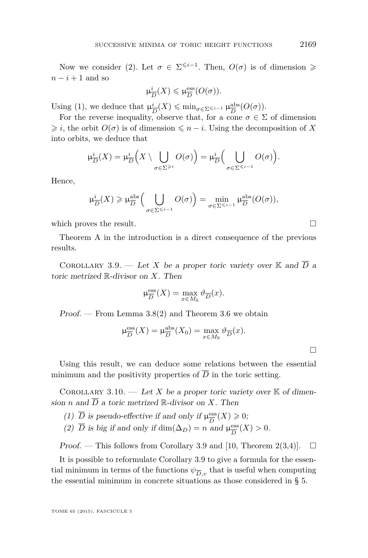<span id="page-25-0"></span>Now we consider [\(2\)](#page-24-0). Let  $\sigma \in \Sigma^{\leq i-1}$ . Then,  $O(\sigma)$  is of dimension  $\geq$  $n-i+1$  and so

$$
\mu_{\overline{D}}^{i}(X) \leq \mu_{\overline{D}}^{\text{ess}}(O(\sigma)).
$$

Using [\(1\)](#page-24-0), we deduce that  $\mu_{\bar{i}}^i$  $\frac{i}{D}(X) \leqslant \min_{\sigma \in \Sigma^{\leqslant i-1}} \mu_{\overline{D}}^{\text{abs}}$  $rac{\text{abs}}{D}(O(\sigma)).$ 

For the reverse inequality, observe that, for a cone  $\sigma \in \Sigma$  of dimension  $\geq i$ , the orbit  $O(\sigma)$  is of dimension  $\leq n-i$ . Using the decomposition of X into orbits, we deduce that

$$
\mu_{\overline{D}}^{i}(X) = \mu_{\overline{D}}^{i}\left(X \setminus \bigcup_{\sigma \in \Sigma^{\geq i}} O(\sigma)\right) = \mu_{\overline{D}}^{i}\left(\bigcup_{\sigma \in \Sigma^{\leq i-1}} O(\sigma)\right).
$$

Hence,

$$
\mu_{\overline{D}}^i(X) \geqslant \mu_{\overline{D}}^{\text{abs}}\Big(\bigcup_{\sigma \in \Sigma^{\leqslant i-1}} O(\sigma)\Big) = \min_{\sigma \in \Sigma^{\leqslant i-1}} \mu_{\overline{D}}^{\text{abs}}(O(\sigma)),
$$

which proves the result.  $\Box$ 

Theorem [A](#page-3-0) in the introduction is a direct consequence of the previous results.

COROLLARY 3.9. — Let *X* be a proper toric variety over K and  $\overline{D}$  a toric metrized R-divisor on *X*. Then

$$
\mu_{\overline{D}}^{\text{ess}}(X) = \max_{x \in M_{\mathbb{R}}} \vartheta_{\overline{D}}(x).
$$

Proof. — From Lemma  $3.8(2)$  and Theorem [3.6](#page-21-0) we obtain

$$
\mu_{\overline{D}}^{\text{ess}}(X) = \mu_{\overline{D}}^{\text{abs}}(X_0) = \max_{x \in M_{\mathbb{R}}} \vartheta_{\overline{D}}(x).
$$

Using this result, we can deduce some relations between the essential minimum and the positivity properties of  $\overline{D}$  in the toric setting.

COROLLARY 3.10. — Let X be a proper toric variety over  $K$  of dimension *n* and  $\overline{D}$  a toric metrized R-divisor on *X*. Then

(1)  $\overline{D}$  is pseudo-effective if and only if  $\mu_{\overline{D}}^{\text{ess}}$  $\frac{\text{ess}}{D}(X) \geqslant 0;$ 

(2)  $\overline{D}$  is big if and only if  $\dim(\Delta_D) = n$  and  $\mu_{\overline{D}}^{\text{ess}}$  $\frac{\text{ess}}{D}(X) > 0.$ 

*Proof.* — This follows from Corollary 3.9 and [\[10,](#page-52-0) Theorem 2(3,4)].  $\Box$ 

It is possible to reformulate Corollary 3.9 to give a formula for the essential minimum in terms of the functions  $\psi_{\overline{D},v}$  that is useful when computing the essential minimum in concrete situations as those considered in § [5.](#page-37-0)

 $\Box$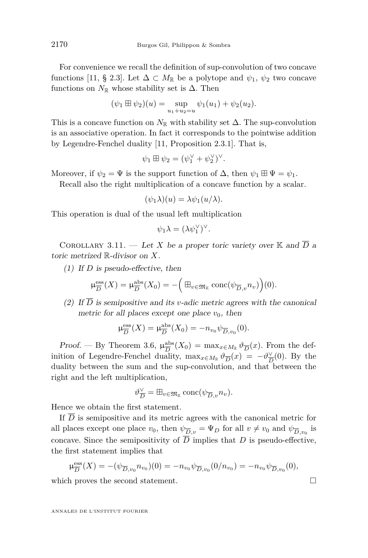<span id="page-26-0"></span>For convenience we recall the definition of sup-convolution of two concave functions [\[11,](#page-52-0) § 2.3]. Let  $\Delta \subset M_{\mathbb{R}}$  be a polytope and  $\psi_1$ ,  $\psi_2$  two concave functions on  $N_{\mathbb{R}}$  whose stability set is  $\Delta$ . Then

$$
(\psi_1 \boxplus \psi_2)(u) = \sup_{u_1 + u_2 = u} \psi_1(u_1) + \psi_2(u_2).
$$

This is a concave function on  $N_{\mathbb{R}}$  with stability set  $\Delta$ . The sup-convolution is an associative operation. In fact it corresponds to the pointwise addition by Legendre-Fenchel duality [\[11,](#page-52-0) Proposition 2.3.1]. That is,

$$
\psi_1 \boxplus \psi_2 = (\psi_1^{\vee} + \psi_2^{\vee})^{\vee}.
$$

Moreover, if  $\psi_2 = \Psi$  is the support function of  $\Delta$ , then  $\psi_1 \boxplus \Psi = \psi_1$ .

Recall also the right multiplication of a concave function by a scalar.

$$
(\psi_1 \lambda)(u) = \lambda \psi_1(u/\lambda).
$$

This operation is dual of the usual left multiplication

$$
\psi_1 \lambda = (\lambda \psi_1^{\vee})^{\vee}.
$$

COROLLARY 3.11. — Let X be a proper toric variety over  $\mathbb K$  and  $\overline{D}$  a toric metrized R-divisor on *X*.

(1) If *D* is pseudo-effective, then

$$
\mu_{\overline{D}}^{\text{ess}}(X) = \mu_{\overline{D}}^{\text{abs}}(X_0) = -\Big(\boxplus_{v \in \mathfrak{M}_{\mathbb{K}}} \text{conc}(\psi_{\overline{D},v} n_v)\Big)(0).
$$

(2) If  $\overline{D}$  is semipositive and its *v*-adic metric agrees with the canonical metric for all places except one place  $v_0$ , then

$$
\mu_{\overline{D}}^{\text{ess}}(X) = \mu_{\overline{D}}^{\text{abs}}(X_0) = -n_{v_0} \psi_{\overline{D}, v_0}(0).
$$

Proof. — By Theorem [3.6,](#page-21-0)  $\mu_{\overline{D}}^{\text{abs}}$  $\frac{\partial}{\partial D}$ <sup>2</sup> $(X_0)$  = max<sub>*x*∈*M*<sub>R</sub></sub>  $\vartheta$ <sub>*D*</sub> $(x)$ . From the definition of Legendre-Fenchel duality,  $\max_{x \in M_{\mathbb{R}}} \vartheta_{\overline{D}}(x) = -\vartheta_{\overline{D}}^{\vee}$  $\frac{\sqrt{D}}{D}(0)$ . By the duality between the sum and the sup-convolution, and that between the right and the left multiplication,

$$
\vartheta_{\overline{D}}^\vee = \boxplus_{v \in \mathfrak{M}_{\mathbb{K}}} \text{conc}(\psi_{\overline{D},v} n_v).
$$

Hence we obtain the first statement.

If  $\overline{D}$  is semipositive and its metric agrees with the canonical metric for all places except one place  $v_0$ , then  $\psi_{\overline{D},v} = \Psi_D$  for all  $v \neq v_0$  and  $\psi_{\overline{D},v_0}$  is concave. Since the semipositivity of  $\overline{D}$  implies that *D* is pseudo-effective, the first statement implies that

$$
\mu_{\overline{D}}^{\text{ess}}(X) = -(\psi_{\overline{D},v_0} n_{v_0})(0) = -n_{v_0} \psi_{\overline{D},v_0}(0/n_{v_0}) = -n_{v_0} \psi_{\overline{D},v_0}(0),
$$

which proves the second statement.  $\Box$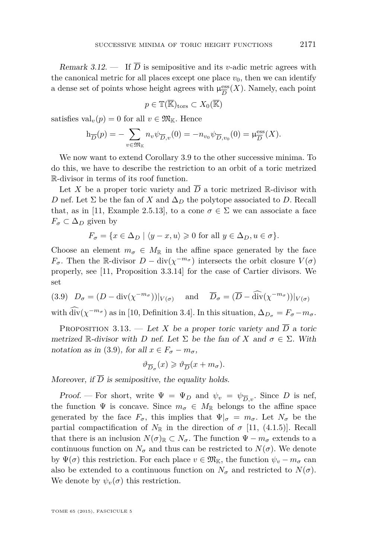<span id="page-27-0"></span>Remark 3.12. — If  $\overline{D}$  is semipositive and its *v*-adic metric agrees with the canonical metric for all places except one place  $v_0$ , then we can identify a dense set of points whose height agrees with  $\mu_{\overline{D}}^{\text{ess}}$  $\frac{\text{ess}}{D}(X)$ . Namely, each point

$$
p\in\mathbb{T}(\overline{\mathbb{K}})_{\text{tors}}\subset X_0(\overline{\mathbb{K}})
$$

satisfies  $val_v(p) = 0$  for all  $v \in \mathfrak{M}_{\mathbb{K}}$ . Hence

$$
h_{\overline{D}}(p) = -\sum_{v \in \mathfrak{M}_{K}} n_{v} \psi_{\overline{D}, v}(0) = -n_{v_{0}} \psi_{\overline{D}, v_{0}}(0) = \mu_{\overline{D}}^{\text{ess}}(X).
$$

We now want to extend Corollary [3.9](#page-25-0) to the other successive minima. To do this, we have to describe the restriction to an orbit of a toric metrized R-divisor in terms of its roof function.

Let X be a proper toric variety and  $\overline{D}$  a toric metrized R-divisor with *D* nef. Let  $\Sigma$  be the fan of *X* and  $\Delta_D$  the polytope associated to *D*. Recall that, as in [\[11,](#page-52-0) Example 2.5.13], to a cone  $\sigma \in \Sigma$  we can associate a face  $F_{\sigma} \subset \Delta_D$  given by

$$
F_{\sigma} = \{ x \in \Delta_D \mid \langle y - x, u \rangle \geq 0 \text{ for all } y \in \Delta_D, u \in \sigma \}.
$$

Choose an element  $m_{\sigma} \in M_{\mathbb{R}}$  in the affine space generated by the face *F*<sup>*σ*</sup>. Then the R-divisor *D* − div( $\chi$ <sup>-*m*<sub>*σ*</sub></sup>) intersects the orbit closure *V*( $\sigma$ ) properly, see [\[11,](#page-52-0) Proposition 3.3.14] for the case of Cartier divisors. We set

(3.9) 
$$
D_{\sigma} = (D - \text{div}(\chi^{-m_{\sigma}}))|_{V(\sigma)}
$$
 and  $\overline{D}_{\sigma} = (\overline{D} - \widehat{\text{div}}(\chi^{-m_{\sigma}}))|_{V(\sigma)}$ 

with  $\hat{\text{div}}(\chi^{-m_{\sigma}})$  as in [\[10,](#page-52-0) Definition 3.4]. In this situation,  $\Delta_{D_{\sigma}} = F_{\sigma} - m_{\sigma}$ .

PROPOSITION 3.13. — Let *X* be a proper toric variety and  $\overline{D}$  a toric metrized R-divisor with *D* nef. Let  $\Sigma$  be the fan of *X* and  $\sigma \in \Sigma$ . With notation as in (3.9), for all  $x \in F_{\sigma} - m_{\sigma}$ ,

$$
\vartheta_{\overline{D}_{\sigma}}(x)\geqslant \vartheta_{\overline{D}}(x+m_{\sigma}).
$$

Moreover, if  $\overline{D}$  is semipositive, the equality holds.

Proof. — For short, write  $\Psi = \Psi_D$  and  $\psi_v = \psi_{\overline{D},v}$ . Since *D* is nef, the function  $\Psi$  is concave. Since  $m_{\sigma} \in M_{\mathbb{R}}$  belongs to the affine space generated by the face  $F_{\sigma}$ , this implies that  $\Psi|_{\sigma} = m_{\sigma}$ . Let  $N_{\sigma}$  be the partial compactification of  $N_{\mathbb{R}}$  in the direction of  $\sigma$  [\[11,](#page-52-0) (4.1.5)]. Recall that there is an inclusion  $N(\sigma)_{\mathbb{R}} \subset N_{\sigma}$ . The function  $\Psi - m_{\sigma}$  extends to a continuous function on  $N_{\sigma}$  and thus can be restricted to  $N(\sigma)$ . We denote by  $\Psi(\sigma)$  this restriction. For each place  $v \in \mathfrak{M}_{\mathbb{K}}$ , the function  $\psi_v - m_{\sigma}$  can also be extended to a continuous function on  $N_{\sigma}$  and restricted to  $N(\sigma)$ . We denote by  $\psi_v(\sigma)$  this restriction.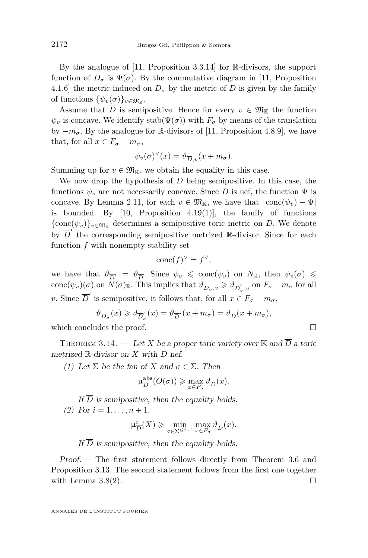<span id="page-28-0"></span>By the analogue of [\[11,](#page-52-0) Proposition 3.3.14] for R-divisors, the support function of  $D_{\sigma}$  is  $\Psi(\sigma)$ . By the commutative diagram in [\[11,](#page-52-0) Proposition 4.1.6] the metric induced on  $D_{\sigma}$  by the metric of *D* is given by the family of functions  $\{\psi_v(\sigma)\}_{v \in \mathfrak{M}_{\mathbb{K}}}$ .

Assume that  $\overline{D}$  is semipositive. Hence for every  $v \in \mathfrak{M}_{\mathbb{K}}$  the function  $\psi$ <sup>*v*</sup> is concave. We identify stab( $\Psi(\sigma)$ ) with  $F_{\sigma}$  by means of the translation by  $-m_{\sigma}$ . By the analogue for R-divisors of [\[11,](#page-52-0) Proposition 4.8.9], we have that, for all  $x \in F_{\sigma} - m_{\sigma}$ ,

$$
\psi_v(\sigma)^{\vee}(x) = \vartheta_{\overline{D},v}(x + m_{\sigma}).
$$

Summing up for  $v \in \mathfrak{M}_{\mathbb{K}}$ , we obtain the equality in this case.

We now drop the hypothesis of  $\overline{D}$  being semipositive. In this case, the functions  $\psi_v$  are not necessarily concave. Since *D* is nef, the function  $\Psi$  is concave. By Lemma [2.11,](#page-16-0) for each  $v \in \mathfrak{M}_{\mathbb{K}}$ , we have that  $|\text{conc}(\psi_v) - \Psi|$ is bounded. By  $[10,$  Proposition 4.19 $(1)$ , the family of functions  ${\rm (conc}(\psi_v)\}_{v \in \mathfrak{M}_\mathbb{K}}$  determines a semipositive toric metric on *D*. We denote by  $\overline{D}'$  the corresponding semipositive metrized R-divisor. Since for each function *f* with nonempty stability set

$$
\operatorname{conc}(f)^{\vee} = f^{\vee},
$$

we have that  $\vartheta_{\overline{D}'} = \vartheta_{\overline{D}}$ . Since  $\psi_v \leqslant \text{conc}(\psi_v)$  on  $N_{\mathbb{R}}$ , then  $\psi_v(\sigma) \leqslant$  $\text{conc}(\psi_v)(\sigma)$  on  $\widetilde{N}(\sigma)_{\mathbb{R}}$ . This implies that  $\vartheta_{\overline{D}_{\sigma},v} \geq \vartheta_{\overline{D}'_{\sigma},v}$  on  $F_{\sigma} - m_{\sigma}$  for all *v*. Since  $\overline{D}'$  is semipositive, it follows that, for all  $x \in F_{\sigma} - m_{\sigma}$ ,

$$
\vartheta_{\overline{D}_{\sigma}}(x)\geqslant \vartheta_{\overline{D}'_{\sigma}}(x)=\vartheta_{\overline{D}'}(x+m_{\sigma})=\vartheta_{\overline{D}}(x+m_{\sigma}),
$$
 which concludes the proof.

THEOREM 3.14. — Let *X* be a proper toric variety over  $\mathbb{K}$  and  $\overline{D}$  a toric metrized R-divisor on *X* with *D* nef.

(1) Let  $\Sigma$  be the fan of X and  $\sigma \in \Sigma$ . Then

$$
\mu_{\overline{D}}^{\text{abs}}(O(\sigma)) \ge \max_{x \in F_{\sigma}} \vartheta_{\overline{D}}(x).
$$

If  $\overline{D}$  is semipositive, then the equality holds. (2) For  $i = 1, \ldots, n + 1$ ,

$$
\mu^i_{\overline{D}}(X) \geqslant \min_{\sigma \in \Sigma^{\leqslant i-1}} \max_{x \in F_{\sigma}} \vartheta_{\overline{D}}(x).
$$

If  $\overline{D}$  is semipositive, then the equality holds.

Proof. — The first statement follows directly from Theorem [3.6](#page-21-0) and Proposition [3.13.](#page-27-0) The second statement follows from the first one together with Lemma [3.8\(2\)](#page-24-0).  $\Box$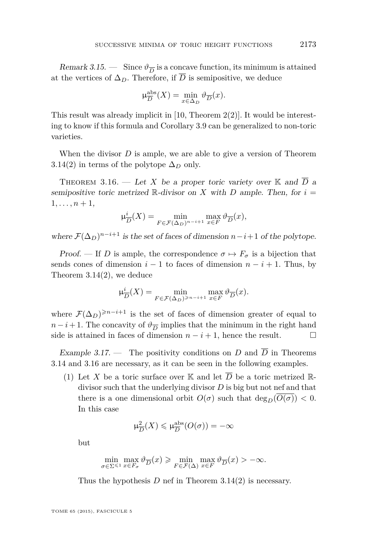<span id="page-29-0"></span>Remark 3.15.  $\frac{1}{D}$  Since  $\vartheta_{\overline{D}}$  is a concave function, its minimum is attained at the vertices of  $\Delta_D$ . Therefore, if  $\overline{D}$  is semipositive, we deduce

$$
\mu_{\overline{D}}^{\text{abs}}(X) = \min_{x \in \Delta_D} \vartheta_{\overline{D}}(x).
$$

This result was already implicit in [\[10,](#page-52-0) Theorem 2(2)]. It would be interesting to know if this formula and Corollary [3.9](#page-25-0) can be generalized to non-toric varieties.

When the divisor *D* is ample, we are able to give a version of Theorem [3.14\(2\)](#page-28-0) in terms of the polytope  $\Delta_D$  only.

THEOREM 3.16. — Let *X* be a proper toric variety over K and  $\overline{D}$  a semipositive toric metrized  $\mathbb{R}$ -divisor on *X* with *D* ample. Then, for  $i =$  $1, \ldots, n+1,$ 

$$
\mu_{\overline{D}}^{i}(X) = \min_{F \in \mathcal{F}(\Delta_D)^{n-i+1}} \max_{x \in F} \vartheta_{\overline{D}}(x),
$$

where  $\mathcal{F}(\Delta_D)^{n-i+1}$  is the set of faces of dimension  $n-i+1$  of the polytope.

Proof. — If *D* is ample, the correspondence  $\sigma \mapsto F_{\sigma}$  is a bijection that sends cones of dimension  $i - 1$  to faces of dimension  $n - i + 1$ . Thus, by Theorem [3.14\(2\)](#page-28-0), we deduce

$$
\mu_{\overline{D}}^{i}(X) = \min_{F \in \mathcal{F}(\Delta_D)^{\geqslant n-i+1}} \max_{x \in F} \vartheta_{\overline{D}}(x).
$$

where  $\mathcal{F}(\Delta_D)^{\geqslant n-i+1}$  is the set of faces of dimension greater of equal to *n* − *i* + 1. The concavity of  $\vartheta_{\overline{D}}$  implies that the minimum in the right hand side is attained in faces of dimension  $n - i + 1$ , hence the result.

Example 3.17. – The positivity conditions on *D* and  $\overline{D}$  in Theorems [3.14](#page-28-0) and 3.16 are necessary, as it can be seen in the following examples.

(1) Let X be a toric surface over K and let  $\overline{D}$  be a toric metrized Rdivisor such that the underlying divisor *D* is big but not nef and that there is a one dimensional orbit  $O(\sigma)$  such that  $\deg_D(O(\sigma)) < 0$ . In this case

$$
\mu_{\overline{D}}^2(X) \leq \mu_{\overline{D}}^{\text{abs}}(O(\sigma)) = -\infty
$$

but

$$
\min_{\sigma \in \Sigma^{\leqslant 1}} \max_{x \in F_{\sigma}} \vartheta_{\overline{D}}(x) \geqslant \min_{F \in \mathcal{F}(\Delta)} \max_{x \in F} \vartheta_{\overline{D}}(x) > -\infty.
$$

Thus the hypothesis *D* nef in Theorem [3.14\(2\)](#page-28-0) is necessary.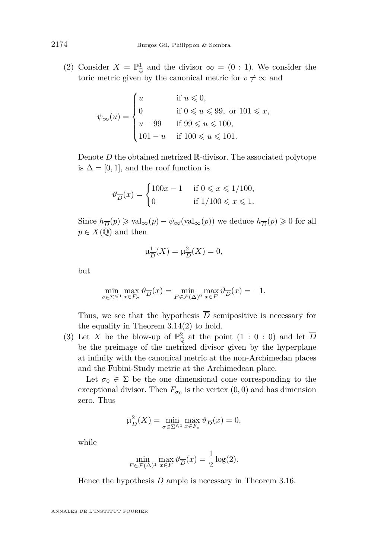(2) Consider  $X = \mathbb{P}_{\mathbb{Q}}^1$  and the divisor  $\infty = (0 : 1)$ . We consider the toric metric given by the canonical metric for  $v \neq \infty$  and

$$
\psi_{\infty}(u) = \begin{cases}\n u & \text{if } u \leq 0, \\
 0 & \text{if } 0 \leq u \leq 99, \text{ or } 101 \leq x, \\
 u - 99 & \text{if } 99 \leq u \leq 100, \\
 101 - u & \text{if } 100 \leq u \leq 101.\n\end{cases}
$$

Denote  $\overline{D}$  the obtained metrized R-divisor. The associated polytope is  $\Delta = [0, 1]$ , and the roof function is

$$
\vartheta_{\overline{D}}(x) = \begin{cases} 100x - 1 & \text{if } 0 \le x \le 1/100, \\ 0 & \text{if } 1/100 \le x \le 1. \end{cases}
$$

Since  $h_{\overline{D}}(p) \geq \text{val}_{\infty}(p) - \psi_{\infty}(\text{val}_{\infty}(p))$  we deduce  $h_{\overline{D}}(p) \geq 0$  for all  $p \in X(\overline{\mathbb{Q}})$  and then

$$
\mu_{\overline{D}}^1(X) = \mu_{\overline{D}}^2(X) = 0,
$$

but

$$
\min_{\sigma \in \Sigma^{\leqslant 1}} \max_{x \in F_{\sigma}} \vartheta_{\overline{D}}(x) = \min_{F \in \mathcal{F}(\Delta)^0} \max_{x \in F} \vartheta_{\overline{D}}(x) = -1.
$$

Thus, we see that the hypothesis  $\overline{D}$  semipositive is necessary for the equality in Theorem [3.14\(2\)](#page-28-0) to hold.

(3) Let X be the blow-up of  $\mathbb{P}^2_{\mathbb{Q}}$  at the point  $(1:0:0)$  and let  $\overline{D}$ be the preimage of the metrized divisor given by the hyperplane at infinity with the canonical metric at the non-Archimedan places and the Fubini-Study metric at the Archimedean place.

Let  $\sigma_0 \in \Sigma$  be the one dimensional cone corresponding to the exceptional divisor. Then  $F_{\sigma_0}$  is the vertex  $(0,0)$  and has dimension zero. Thus

$$
\mu_{\overline{D}}^2(X) = \min_{\sigma \in \Sigma^{\leq 1}} \max_{x \in F_{\sigma}} \vartheta_{\overline{D}}(x) = 0,
$$

while

$$
\min_{F \in \mathcal{F}(\Delta)^1} \max_{x \in F} \vartheta_{\overline{D}}(x) = \frac{1}{2} \log(2).
$$

Hence the hypothesis *D* ample is necessary in Theorem [3.16.](#page-29-0)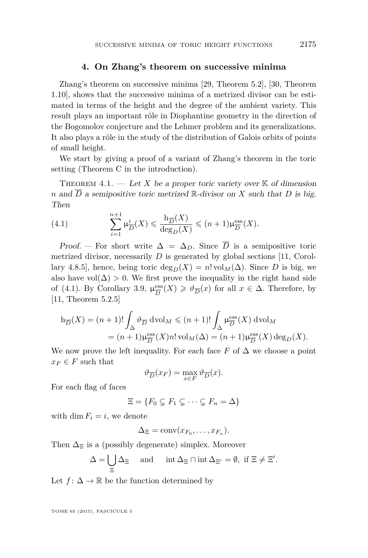#### **4. On Zhang's theorem on successive minima**

<span id="page-31-0"></span>Zhang's theorem on successive minima [\[29,](#page-53-0) Theorem 5.2], [\[30,](#page-53-0) Theorem 1.10], shows that the successive minima of a metrized divisor can be estimated in terms of the height and the degree of the ambient variety. This result plays an important rôle in Diophantine geometry in the direction of the Bogomolov conjecture and the Lehmer problem and its generalizations. It also plays a rôle in the study of the distribution of Galois orbits of points of small height.

We start by giving a proof of a variant of Zhang's theorem in the toric setting (Theorem [C](#page-5-0) in the introduction).

THEOREM 4.1. — Let X be a proper toric variety over  $K$  of dimension *n* and  $\overline{D}$  a semipositive toric metrized R-divisor on *X* such that *D* is big. Then

(4.1) 
$$
\sum_{i=1}^{n+1} \mu_{\overline{D}}^i(X) \leq \frac{\mathrm{h}_{\overline{D}}(X)}{\deg_D(X)} \leq (n+1)\mu_{\overline{D}}^{\text{ess}}(X).
$$

Proof. — For short write  $\Delta = \Delta_D$ . Since  $\overline{D}$  is a semipositive toric metrized divisor, necessarily *D* is generated by global sections [\[11,](#page-52-0) Corollary 4.8.5], hence, being toric  $\deg_D(X) = n! \operatorname{vol}_M(\Delta)$ . Since *D* is big, we also have vol $(\Delta) > 0$ . We first prove the inequality in the right hand side of (4.1). By Corollary [3.9,](#page-25-0)  $\mu_{\overline{D}}^{\text{ess}}$  $\frac{\text{ess}}{D}(X) \geq \vartheta_{\overline{D}}(x)$  for all  $x \in \Delta$ . Therefore, by [\[11,](#page-52-0) Theorem 5.2.5]

$$
h_{\overline{D}}(X) = (n+1)! \int_{\Delta} \vartheta_{\overline{D}} \, \mathrm{d} \mathrm{vol}_M \leqslant (n+1)! \int_{\Delta} \mu_{\overline{D}}^{\mathrm{ess}}(X) \, \mathrm{d} \mathrm{vol}_M
$$
  
=  $(n+1) \mu_{\overline{D}}^{\mathrm{ess}}(X) n! \, \mathrm{vol}_M(\Delta) = (n+1) \mu_{\overline{D}}^{\mathrm{ess}}(X) \deg_D(X).$ 

We now prove the left inequality. For each face  $F$  of  $\Delta$  we choose a point  $x_F \in F$  such that

$$
\vartheta_{\overline{D}}(x_F) = \max_{x \in F} \vartheta_{\overline{D}}(x).
$$

For each flag of faces

$$
\Xi = \{ F_0 \subsetneq F_1 \subsetneq \cdots \subsetneq F_n = \Delta \}
$$

with dim  $F_i = i$ , we denote

$$
\Delta_{\Xi} = \text{conv}(x_{F_0}, \ldots, x_{F_n}).
$$

Then  $\Delta_{\Xi}$  is a (possibly degenerate) simplex. Moreover

$$
\Delta = \bigcup_{\Xi} \Delta_{\Xi} \quad \text{and} \quad \text{int } \Delta_{\Xi} \cap \text{int } \Delta_{\Xi'} = \emptyset, \text{ if } \Xi \neq \Xi'.
$$

Let  $f: \Delta \to \mathbb{R}$  be the function determined by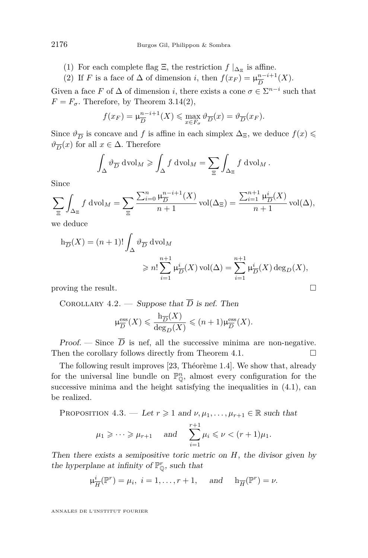- <span id="page-32-0"></span>(1) For each complete flag  $\Xi$ , the restriction  $f|_{\Delta_{\Xi}}$  is affine.
- (2) If *F* is a face of  $\Delta$  of dimension *i*, then  $f(x_F) = \mu_{\overline{D}}^{n-i+1}$  $\frac{n-i+1}{D}(X).$

Given a face *F* of  $\Delta$  of dimension *i*, there exists a cone  $\sigma \in \Sigma^{n-i}$  such that  $F = F_{\sigma}$ . Therefore, by Theorem [3.14\(2\)](#page-28-0),

$$
f(x_F) = \mu_{\overline{D}}^{n-i+1}(X) \le \max_{x \in F_{\sigma}} \vartheta_{\overline{D}}(x) = \vartheta_{\overline{D}}(x_F).
$$

Since  $\vartheta_{\overline{D}}$  is concave and *f* is affine in each simplex  $\Delta_{\Xi}$ , we deduce  $f(x)$  $\vartheta_{\overline{D}}(x)$  for all  $x \in \Delta$ . Therefore

$$
\int_{\Delta} \vartheta_{\overline{D}} \, \mathrm{d} \mathrm{vol}_M \geqslant \int_{\Delta} f \, \mathrm{d} \mathrm{vol}_M = \sum_{\Xi} \int_{\Delta_{\Xi}} f \, \mathrm{d} \mathrm{vol}_M \, .
$$

Since

$$
\sum_{\Xi} \int_{\Delta_{\Xi}} f \, \mathrm{d} \mathrm{vol}_M = \sum_{\Xi} \frac{\sum_{i=0}^n \mu_{\overline{D}}^{n-i+1}(X)}{n+1} \mathrm{vol}(\Delta_{\Xi}) = \frac{\sum_{i=1}^{n+1} \mu_{\overline{D}}^i(X)}{n+1} \mathrm{vol}(\Delta),
$$

we deduce

$$
h_{\overline{D}}(X) = (n+1)! \int_{\Delta} \vartheta_{\overline{D}} \, \mathrm{d} \mathrm{vol}_M
$$
  

$$
\geq n! \sum_{i=1}^{n+1} \mu_{\overline{D}}^i(X) \, \mathrm{vol}(\Delta) = \sum_{i=1}^{n+1} \mu_{\overline{D}}^i(X) \, \mathrm{deg}_D(X),
$$
  
proving the result.

COROLLARY 4.2. — Suppose that  $\overline{D}$  is nef. Then

$$
\mu_{\overline{D}}^{\text{ess}}(X) \leq \frac{\mathbf{h}_{\overline{D}}(X)}{\deg_D(X)} \leq (n+1)\mu_{\overline{D}}^{\text{ess}}(X).
$$

Proof. — Since  $\overline{D}$  is nef, all the successive minima are non-negative. Then the corollary follows directly from Theorem [4.1.](#page-31-0)

The following result improves [\[23,](#page-53-0) Théorème 1.4]. We show that, already for the universal line bundle on  $\mathbb{P}^n_{\mathbb{O}}$ , almost every configuration for the successive minima and the height satisfying the inequalities in  $(4.1)$ , can be realized.

PROPOSITION 4.3. — Let  $r \geq 1$  and  $\nu, \mu_1, \ldots, \mu_{r+1} \in \mathbb{R}$  such that

$$
\mu_1 \geqslant \cdots \geqslant \mu_{r+1}
$$
 and 
$$
\sum_{i=1}^{r+1} \mu_i \leqslant \nu < (r+1)\mu_1.
$$

Then there exists a semipositive toric metric on *H*, the divisor given by the hyperplane at infinity of  $\mathbb{P}^r_{\mathbb{Q}}$ , such that

$$
\mu_{\overline{H}}^i(\mathbb{P}^r) = \mu_i, \ i = 1, \dots, r+1, \text{ and } \mathbf{h}_{\overline{H}}(\mathbb{P}^r) = \nu.
$$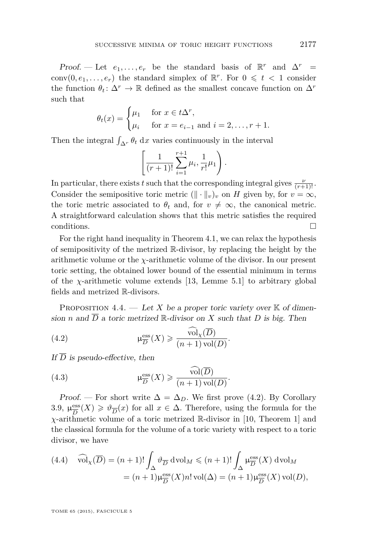<span id="page-33-0"></span>Proof. — Let  $e_1, \ldots, e_r$  be the standard basis of  $\mathbb{R}^r$  and  $\Delta^r$  = conv $(0, e_1, \ldots, e_r)$  the standard simplex of  $\mathbb{R}^r$ . For  $0 \leq t < 1$  consider the function  $\theta_t: \Delta^r \to \mathbb{R}$  defined as the smallest concave function on  $\Delta^r$ such that

$$
\theta_t(x) = \begin{cases} \mu_1 & \text{for } x \in t\Delta^r, \\ \mu_i & \text{for } x = e_{i-1} \text{ and } i = 2, \dots, r+1. \end{cases}
$$

Then the integral  $\int_{\Delta^r} \theta_t \, dx$  varies continuously in the interval

$$
\left[\frac{1}{(r+1)!} \sum_{i=1}^{r+1} \mu_i, \frac{1}{r!} \mu_1\right).
$$

In particular, there exists *t* such that the corresponding integral gives  $\frac{\nu}{(r+1)!}$ . Consider the semipositive toric metric  $(\Vert \cdot \Vert_v)_v$  on *H* given by, for  $v = \infty$ , the toric metric associated to  $\theta_t$  and, for  $v \neq \infty$ , the canonical metric. A straightforward calculation shows that this metric satisfies the required conditions.  $\Box$ 

For the right hand inequality in Theorem [4.1,](#page-31-0) we can relax the hypothesis of semipositivity of the metrized R-divisor, by replacing the height by the arithmetic volume or the *χ*-arithmetic volume of the divisor. In our present toric setting, the obtained lower bound of the essential minimum in terms of the *χ*-arithmetic volume extends [\[13,](#page-52-0) Lemme 5.1] to arbitrary global fields and metrized R-divisors.

PROPOSITION 4.4. — Let X be a proper toric variety over  $K$  of dimension *n* and  $\overline{D}$  a toric metrized  $\mathbb{R}$ -divisor on *X* such that *D* is big. Then

(4.2) 
$$
\mu_{\overline{D}}^{\text{ess}}(X) \geqslant \frac{\widehat{\text{vol}}_{\chi}(\overline{D})}{(n+1)\,\text{vol}(D)}.
$$

If  $\overline{D}$  is pseudo-effective, then

(4.3) 
$$
\mu_{\overline{D}}^{\text{ess}}(X) \geqslant \frac{\text{vol}(\overline{D})}{(n+1)\,\text{vol}(D)}.
$$

*Proof.* — For short write  $\Delta = \Delta_D$ . We first prove (4.2). By Corollary [3.9,](#page-25-0)  $\mu_{\overline{D}}^{\text{ess}}$  $\frac{\text{ess}}{D}(X)$  ≥  $\vartheta$ <sub>*D*</sub>(*x*) for all *x* ∈ ∆. Therefore, using the formula for the *χ*-arithmetic volume of a toric metrized R-divisor in [\[10,](#page-52-0) Theorem 1] and the classical formula for the volume of a toric variety with respect to a toric divisor, we have

(4.4) 
$$
\widehat{\text{vol}}_{\chi}(\overline{D}) = (n+1)! \int_{\Delta} \vartheta_{\overline{D}} \, \text{dvol}_M \leq (n+1)! \int_{\Delta} \mu_{\overline{D}}^{\text{ess}}(X) \, \text{dvol}_M
$$

$$
= (n+1) \mu_{\overline{D}}^{\text{ess}}(X) n! \text{vol}(\Delta) = (n+1) \mu_{\overline{D}}^{\text{ess}}(X) \text{vol}(D),
$$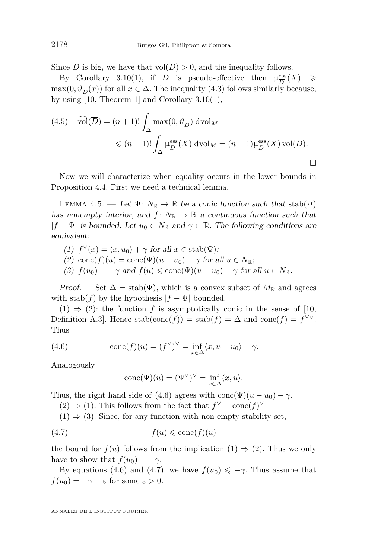<span id="page-34-0"></span>Since *D* is big, we have that  $vol(D) > 0$ , and the inequality follows.

By Corollary [3.10\(1\)](#page-25-0), if  $\overline{D}$  is pseudo-effective then  $\mu_{\overline{D}}^{\text{ess}}(X) \ge$  $\max(0, \vartheta_{\overline{D}}(x))$  for all  $x \in \Delta$ . The inequality [\(4.3\)](#page-33-0) follows similarly because, by using [\[10,](#page-52-0) Theorem 1] and Corollary [3.10\(1\)](#page-25-0),

(4.5) 
$$
\widehat{\text{vol}}(\overline{D}) = (n+1)! \int_{\Delta} \max(0, \vartheta_{\overline{D}}) \text{ dvol}_M
$$
  
 $\leq (n+1)! \int_{\Delta} \mu_{\overline{D}}^{\text{ess}}(X) \text{ dvol}_M = (n+1) \mu_{\overline{D}}^{\text{ess}}(X) \text{ vol}(D).$ 

Now we will characterize when equality occurs in the lower bounds in Proposition [4.4.](#page-33-0) First we need a technical lemma.

LEMMA 4.5. — Let  $\Psi: N_{\mathbb{R}} \to \mathbb{R}$  be a conic function such that  $stab(\Psi)$ has nonempty interior, and  $f: N_{\mathbb{R}} \to \mathbb{R}$  a continuous function such that  $|f - \Psi|$  is bounded. Let  $u_0 \in N_{\mathbb{R}}$  and  $\gamma \in \mathbb{R}$ . The following conditions are equivalent:

(1) 
$$
f^{\vee}(x) = \langle x, u_0 \rangle + \gamma
$$
 for all  $x \in \text{stab}(\Psi)$ ;

- (2) conc $(f)(u) = \text{conc}(\Psi)(u u_0) \gamma$  for all  $u \in N_{\mathbb{R}}$ ;
- (3)  $f(u_0) = -\gamma$  and  $f(u) \leqslant \text{conc}(\Psi)(u u_0) \gamma$  for all  $u \in N_{\mathbb{R}}$ .

Proof. — Set  $\Delta = \text{stab}(\Psi)$ , which is a convex subset of  $M_{\mathbb{R}}$  and agrees with stab( $f$ ) by the hypothesis  $|f - \Psi|$  bounded.

 $(1) \Rightarrow (2)$ : the function f is asymptotically conic in the sense of [\[10,](#page-52-0) Definition A.3]. Hence stab(conc(*f*)) = stab(*f*) =  $\Delta$  and conc(*f*) =  $f^{\vee\vee}$ . Thus

(4.6) 
$$
\operatorname{conc}(f)(u) = (f^{\vee})^{\vee} = \inf_{x \in \Delta} \langle x, u - u_0 \rangle - \gamma.
$$

Analogously

$$
\text{conc}(\Psi)(u) = (\Psi^{\vee})^{\vee} = \inf_{x \in \Delta} \langle x, u \rangle.
$$

Thus, the right hand side of (4.6) agrees with conc( $\Psi$ )( $u - u_0$ ) –  $\gamma$ .

(2)  $\Rightarrow$  (1): This follows from the fact that  $f^{\vee} = \text{conc}(f)^{\vee}$ 

 $(1) \Rightarrow (3)$ : Since, for any function with non empty stability set,

$$
(4.7) \t f(u) \leqslant \text{conc}(f)(u)
$$

the bound for  $f(u)$  follows from the implication  $(1) \Rightarrow (2)$ . Thus we only have to show that  $f(u_0) = -\gamma$ .

By equations (4.6) and (4.7), we have  $f(u_0) \leq -\gamma$ . Thus assume that  $f(u_0) = -\gamma - \varepsilon$  for some  $\varepsilon > 0$ .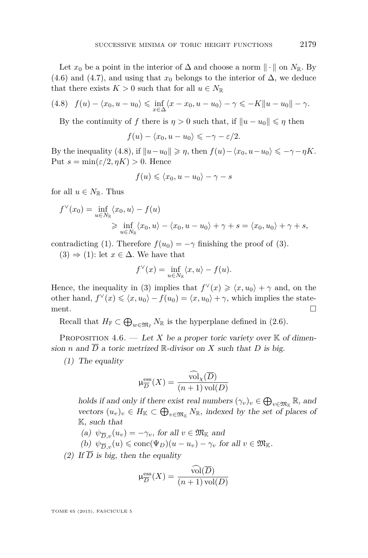<span id="page-35-0"></span>Let  $x_0$  be a point in the interior of  $\Delta$  and choose a norm  $\|\cdot\|$  on  $N_{\mathbb{R}}$ . By [\(4.6\)](#page-34-0) and [\(4.7\)](#page-34-0), and using that  $x_0$  belongs to the interior of  $\Delta$ , we deduce that there exists  $K > 0$  such that for all  $u \in N_{\mathbb{R}}$ 

$$
(4.8) \quad f(u) - \langle x_0, u - u_0 \rangle \leq \inf_{x \in \Delta} \langle x - x_0, u - u_0 \rangle - \gamma \leq -K \|u - u_0\| - \gamma.
$$

By the continuity of *f* there is  $\eta > 0$  such that, if  $||u - u_0|| \leq \eta$  then

$$
f(u) - \langle x_0, u - u_0 \rangle \leqslant -\gamma - \varepsilon/2.
$$

By the inequality (4.8), if  $||u - u_0|| \ge \eta$ , then  $f(u) - \langle x_0, u - u_0 \rangle \le -\gamma - \eta K$ . Put  $s = \min(\varepsilon/2, \eta K) > 0$ . Hence

$$
f(u) \leqslant \langle x_0, u - u_0 \rangle - \gamma - s
$$

for all  $u \in N_{\mathbb{R}}$ . Thus

$$
f^{\vee}(x_0) = \inf_{u \in N_{\mathbb{R}}} \langle x_0, u \rangle - f(u)
$$
  
\n
$$
\geq \inf_{u \in N_{\mathbb{R}}} \langle x_0, u \rangle - \langle x_0, u - u_0 \rangle + \gamma + s = \langle x_0, u_0 \rangle + \gamma + s,
$$

contradicting [\(1\)](#page-34-0). Therefore  $f(u_0) = -\gamma$  finishing the proof of [\(3\)](#page-34-0).

 $(3) \Rightarrow (1)$  $(3) \Rightarrow (1)$  $(3) \Rightarrow (1)$ : let  $x \in \Delta$ . We have that

$$
f^{\vee}(x) = \inf_{u \in N_{\mathbb{R}}} \langle x, u \rangle - f(u).
$$

Hence, the inequality in [\(3\)](#page-34-0) implies that  $f^{\vee}(x) \geq \langle x, u_0 \rangle + \gamma$  and, on the other hand,  $f^{\vee}(x) \leq \langle x, u_0 \rangle - f(u_0) = \langle x, u_0 \rangle + \gamma$ , which implies the statement.  $\Box$ 

Recall that  $H_{\mathbb{F}} \subset \bigoplus_{w \in \mathfrak{M}_{\mathbb{F}}} N_{\mathbb{R}}$  is the hyperplane defined in [\(2.6\)](#page-10-0).

PROPOSITION 4.6. — Let *X* be a proper toric variety over  $K$  of dimension *n* and  $\overline{D}$  a toric metrized R-divisor on *X* such that *D* is big.

(1) The equality

$$
\mu_{\overline{D}}^{\text{ess}}(X) = \frac{\text{vol}_{\chi}(\overline{D})}{(n+1)\,\text{vol}(D)}
$$

holds if and only if there exist real numbers  $(\gamma_v)_v \in \bigoplus_{v \in \mathfrak{M}_{\mathbb{K}}} \mathbb{R}$ , and vectors  $(u_v)_v \in H_{\mathbb{K}} \subset \bigoplus_{v \in \mathfrak{M}_{\mathbb{K}}} N_{\mathbb{R}}$ , indexed by the set of places of K, such that

(a)  $\psi_{\overline{D}_v}(u_v) = -\gamma_v$ , for all  $v \in \mathfrak{M}_{\mathbb{K}}$  and

 $(b)$   $\psi_{\overline{D},v}(u) \leqslant \text{conc}(\Psi_D)(u - u_v) - \gamma_v$  for all  $v \in \mathfrak{M}_{\mathbb{K}}$ .

(2) If  $\overline{D}$  is big, then the equality

$$
\mu_{\overline{D}}^{\text{ess}}(X) = \frac{\text{vol}(\overline{D})}{(n+1)\,\text{vol}(D)}
$$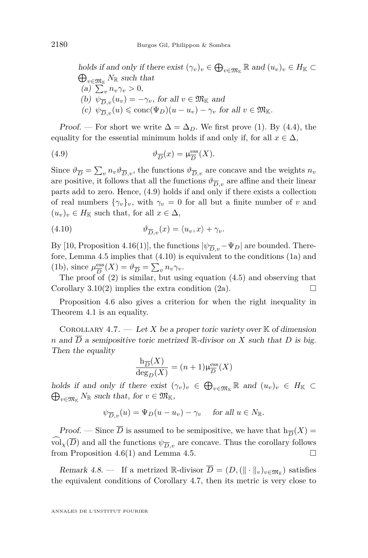<span id="page-36-0"></span>holds if and only if there exist  $(\gamma_v)_v \in \bigoplus_{v \in \mathfrak{M}_{\mathbb{K}}} \mathbb{R}$  and  $(u_v)_v \in H_{\mathbb{K}} \subset$  $\bigoplus_{v \in \mathfrak{M}_{\mathbb{K}}} N_{\mathbb{R}}$  such that (a)  $\sum_{v} n_v \gamma_v > 0$ , (b)  $\psi_{\overline{D},v}(u_v) = -\gamma_v$ , for all  $v \in \mathfrak{M}_{\mathbb{K}}$  and  $(c)$   $\psi_{\overline{D},v}(u) \leqslant \text{conc}(\Psi_D)(u - u_v) - \gamma_v$  for all  $v \in \mathfrak{M}_{\mathbb{K}}$ .

Proof. — For short we write  $\Delta = \Delta_D$ . We first prove [\(1\)](#page-35-0). By [\(4.4\)](#page-33-0), the equality for the essential minimum holds if and only if, for all  $x \in \Delta$ ,

(4.9) 
$$
\vartheta_{\overline{D}}(x) = \mu_{\overline{D}}^{\text{ess}}(X).
$$

Since  $\vartheta_{\overline{D}} = \sum_{v} n_v \vartheta_{\overline{D},v}$ , the functions  $\vartheta_{\overline{D},v}$  are concave and the weights  $n_v$ are positive, it follows that all the functions  $\vartheta_{\overline{D},v}$  are affine and their linear parts add to zero. Hence, (4.9) holds if and only if there exists a collection of real numbers  $\{\gamma_v\}_v$ , with  $\gamma_v = 0$  for all but a finite number of *v* and  $(u_v)_v \in H_{\mathbb{K}}$  such that, for all  $x \in \Delta$ ,

(4.10) 
$$
\vartheta_{\overline{D},v}(x) = \langle u_v, x \rangle + \gamma_v.
$$

By [\[10,](#page-52-0) Proposition 4.16(1)], the functions  $|\psi_{\overline{D},v}-\Psi_D|$  are bounded. Therefore, Lemma [4.5](#page-34-0) implies that (4.10) is equivalent to the conditions [\(1a\)](#page-35-0) and [\(1b\)](#page-35-0), since  $\mu_{\overline{D}}^{\text{ess}}$  $\frac{\text{ess}}{D}(X) = \vartheta_{\overline{D}} = \sum_{v} n_v \gamma_v.$ 

The proof of [\(2\)](#page-35-0) is similar, but using equation [\(4.5\)](#page-34-0) and observing that Corollary [3.10\(2\)](#page-25-0) implies the extra condition (2a).

Proposition [4.6](#page-35-0) also gives a criterion for when the right inequality in Theorem [4.1](#page-31-0) is an equality.

COROLLARY 4.7. — Let *X* be a proper toric variety over  $K$  of dimension *n* and  $\overline{D}$  a semipositive toric metrized R-divisor on *X* such that *D* is big. Then the equality

$$
\frac{\mathrm{h}_{\overline{D}}(X)}{\deg_D(X)} = (n+1)\mu_{\overline{D}}^{\mathrm{ess}}(X)
$$

holds if and only if there exist  $(\gamma_v)_v \in \bigoplus_{v \in \mathfrak{M}_{\mathbb{K}}} \mathbb{R}$  and  $(u_v)_v \in H_{\mathbb{K}} \subset$  $\bigoplus_{v \in \mathfrak{M}_{\mathbb{K}}} N_{\mathbb{R}}$  such that, for  $v \in \mathfrak{M}_{\mathbb{K}}$ ,

$$
\psi_{\overline{D},v}(u) = \Psi_D(u - u_v) - \gamma_v \quad \text{ for all } u \in N_{\mathbb{R}}.
$$

*Proof.* — Since *D* is assumed to be semipositive, we have that  $h_{\overline{D}}(X) =$  $\widehat{\text{vol}_X}(\overline{D})$  and all the functions  $\psi_{\overline{D}_y}$  are concave. Thus the corollary follows from Proposition [4.6\(1\)](#page-35-0) and Lemma [4.5.](#page-34-0)

Remark 4.8. — If a metrized R-divisor  $\overline{D} = (D, (\|\cdot\|_v)_{v \in \mathfrak{M}_{\mathbb{K}}} )$  satisfies the equivalent conditions of Corollary 4.7, then its metric is very close to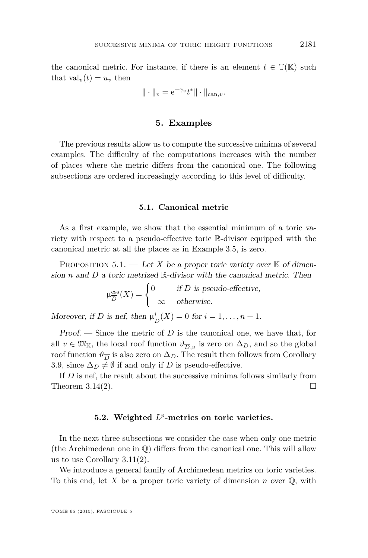$$
\|\cdot\|_v = \mathrm{e}^{-\gamma_v} t^* \|\cdot\|_{\mathrm{can},v}.
$$

#### **5. Examples**

<span id="page-37-0"></span>The previous results allow us to compute the successive minima of several examples. The difficulty of the computations increases with the number of places where the metric differs from the canonical one. The following subsections are ordered increasingly according to this level of difficulty.

#### **5.1. Canonical metric**

As a first example, we show that the essential minimum of a toric variety with respect to a pseudo-effective toric R-divisor equipped with the canonical metric at all the places as in Example [3.5,](#page-20-0) is zero.

PROPOSITION  $5.1.$  — Let X be a proper toric variety over K of dimension *n* and  $\overline{D}$  a toric metrized R-divisor with the canonical metric. Then

$$
\mu_{\overline{D}}^{\text{ess}}(X) = \begin{cases} 0 & \text{if } D \text{ is pseudo-effective,} \\ -\infty & \text{otherwise.} \end{cases}
$$

Moreover, if *D* is nef, then  $\mu_{\overline{j}}^i$  $\frac{i}{D}(X) = 0$  for  $i = 1, ..., n + 1$ .

Proof. — Since the metric of  $\overline{D}$  is the canonical one, we have that, for all  $v \in \mathfrak{M}_{\mathbb{K}}$ , the local roof function  $\vartheta_{\overline{D},v}$  is zero on  $\Delta_D$ , and so the global roof function  $\vartheta_{\overline{D}}$  is also zero on  $\Delta_D$ . The result then follows from Corollary [3.9,](#page-25-0) since  $\Delta_D \neq \emptyset$  if and only if *D* is pseudo-effective.

If *D* is nef, the result about the successive minima follows similarly from Theorem [3.14\(2\)](#page-28-0).  $\Box$ 

#### **5.2. Weighted** *L p* **-metrics on toric varieties.**

In the next three subsections we consider the case when only one metric (the Archimedean one in Q) differs from the canonical one. This will allow us to use Corollary [3.11\(2\)](#page-26-0).

We introduce a general family of Archimedean metrics on toric varieties. To this end, let *X* be a proper toric variety of dimension *n* over Q, with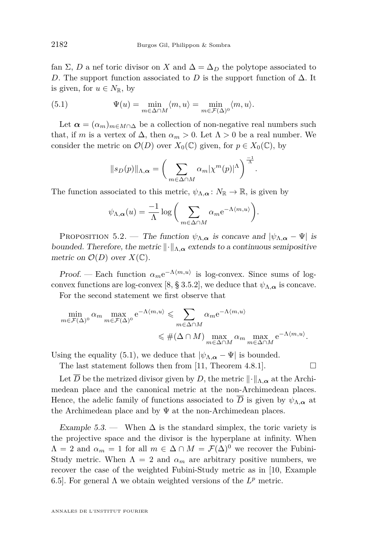<span id="page-38-0"></span>fan  $\Sigma$ , *D* a nef toric divisor on *X* and  $\Delta = \Delta_D$  the polytope associated to *D*. The support function associated to *D* is the support function of  $\Delta$ . It is given, for  $u \in N_{\mathbb{R}}$ , by

(5.1) 
$$
\Psi(u) = \min_{m \in \Delta \cap M} \langle m, u \rangle = \min_{m \in \mathcal{F}(\Delta)^0} \langle m, u \rangle.
$$

Let  $\alpha = (\alpha_m)_{m \in M \cap \Delta}$  be a collection of non-negative real numbers such that, if *m* is a vertex of  $\Delta$ , then  $\alpha_m > 0$ . Let  $\Lambda > 0$  be a real number. We consider the metric on  $\mathcal{O}(D)$  over  $X_0(\mathbb{C})$  given, for  $p \in X_0(\mathbb{C})$ , by

$$
||s_D(p)||_{\Lambda,\alpha} = \left(\sum_{m \in \Delta \cap M} \alpha_m |\chi^m(p)|^{\Lambda}\right)^{\frac{-1}{\Lambda}}
$$

*.*

The function associated to this metric,  $\psi_{\Lambda,\alpha} : N_{\mathbb{R}} \to \mathbb{R}$ , is given by

$$
\psi_{\Lambda,\alpha}(u) = \frac{-1}{\Lambda} \log \bigg( \sum_{m \in \Delta \cap M} \alpha_m e^{-\Lambda \langle m, u \rangle} \bigg).
$$

PROPOSITION 5.2. — The function  $\psi_{\Lambda,\alpha}$  is concave and  $|\psi_{\Lambda,\alpha} - \Psi|$  is bounded. Therefore, the metric  $\|\cdot\|_{\Lambda,\alpha}$  extends to a continuous semipositive metric on  $\mathcal{O}(D)$  over  $X(\mathbb{C})$ .

Proof. — Each function  $\alpha_m e^{-\Lambda \langle m, u \rangle}$  is log-convex. Since sums of log-convex functions are log-convex [\[8,](#page-52-0) § 3.5.2], we deduce that  $\psi_{\Lambda,\alpha}$  is concave.

For the second statement we first observe that

$$
\min_{m \in \mathcal{F}(\Delta)^0} \alpha_m \max_{m \in \mathcal{F}(\Delta)^0} e^{-\Lambda \langle m, u \rangle} \leq \sum_{m \in \Delta \cap M} \alpha_m e^{-\Lambda \langle m, u \rangle}
$$
  

$$
\leq \#(\Delta \cap M) \max_{m \in \Delta \cap M} \alpha_m \max_{m \in \Delta \cap M} e^{-\Lambda \langle m, u \rangle}.
$$

Using the equality (5.1), we deduce that  $|\psi_{\Lambda,\alpha}-\Psi|$  is bounded.

The last statement follows then from [\[11,](#page-52-0) Theorem 4.8.1].  $\Box$ 

Let  $\overline{D}$  be the metrized divisor given by *D*, the metric  $\|\cdot\|_{\Lambda,\alpha}$  at the Archimedean place and the canonical metric at the non-Archimedean places. Hence, the adelic family of functions associated to *D* is given by  $\psi_{\Lambda,\alpha}$  at the Archimedean place and by  $\Psi$  at the non-Archimedean places.

Example 5.3. — When  $\Delta$  is the standard simplex, the toric variety is the projective space and the divisor is the hyperplane at infinity. When  $\Lambda = 2$  and  $\alpha_m = 1$  for all  $m \in \Delta \cap M = \mathcal{F}(\Delta)^0$  we recover the Fubini-Study metric. When  $\Lambda = 2$  and  $\alpha_m$  are arbitrary positive numbers, we recover the case of the weighted Fubini-Study metric as in [\[10,](#page-52-0) Example 6.5. For general  $\Lambda$  we obtain weighted versions of the  $L^p$  metric.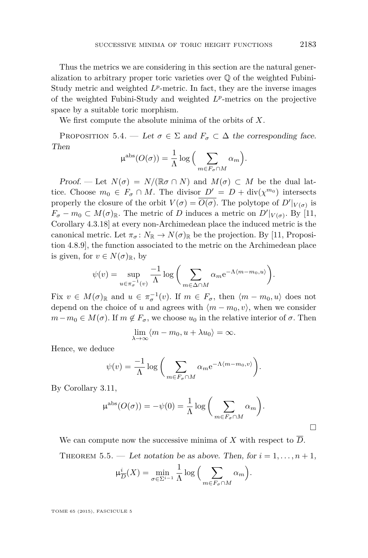<span id="page-39-0"></span>Thus the metrics we are considering in this section are the natural generalization to arbitrary proper toric varieties over Q of the weighted Fubini-Study metric and weighted  $L^p$ -metric. In fact, they are the inverse images of the weighted Fubini-Study and weighted *L p* -metrics on the projective space by a suitable toric morphism.

We first compute the absolute minima of the orbits of *X*.

PROPOSITION 5.4. — Let  $\sigma \in \Sigma$  and  $F_{\sigma} \subset \Delta$  the corresponding face. Then

$$
\mu^{\rm abs}(O(\sigma)) = \frac{1}{\Lambda} \log \Big( \sum_{m \in F_{\sigma} \cap M} \alpha_m \Big).
$$

Proof. — Let  $N(\sigma) = N/(\mathbb{R}\sigma \cap N)$  and  $M(\sigma) \subset M$  be the dual lattice. Choose  $m_0 \in F_\sigma \cap M$ . The divisor  $D' = D + \text{div}(\chi^{m_0})$  intersects properly the closure of the orbit  $V(\sigma) = \overline{O(\sigma)}$ . The polytope of  $D'|_{V(\sigma)}$  is  $F_{\sigma} - m_0 \subset M(\sigma)_{\mathbb{R}}$ . The metric of *D* induces a metric on  $D'|_{V(\sigma)}$ . By [\[11,](#page-52-0) Corollary 4.3.18] at every non-Archimedean place the induced metric is the canonical metric. Let  $\pi_{\sigma}: N_{\mathbb{R}} \to N(\sigma)_{\mathbb{R}}$  be the projection. By [\[11,](#page-52-0) Proposition 4.8.9], the function associated to the metric on the Archimedean place is given, for  $v \in N(\sigma)_{\mathbb{R}}$ , by

$$
\psi(v) = \sup_{u \in \pi_{\sigma}^{-1}(v)} \frac{-1}{\Lambda} \log \bigg( \sum_{m \in \Delta \cap M} \alpha_m e^{-\Lambda(m - m_0, u)} \bigg).
$$

Fix  $v \in M(\sigma)_{\mathbb{R}}$  and  $u \in \pi_{\sigma}^{-1}(v)$ . If  $m \in F_{\sigma}$ , then  $\langle m - m_0, u \rangle$  does not depend on the choice of *u* and agrees with  $\langle m - m_0, v \rangle$ , when we consider  $m - m_0 \in M(\sigma)$ . If  $m \notin F_{\sigma}$ , we choose  $u_0$  in the relative interior of  $\sigma$ . Then

$$
\lim_{\lambda \to \infty} \langle m - m_0, u + \lambda u_0 \rangle = \infty.
$$

Hence, we deduce

$$
\psi(v) = \frac{-1}{\Lambda} \log \bigg( \sum_{m \in F_{\sigma} \cap M} \alpha_m e^{-\Lambda \langle m - m_0, v \rangle} \bigg).
$$

By Corollary [3.11,](#page-26-0)

$$
\mu^{\rm abs}(O(\sigma)) = -\psi(0) = \frac{1}{\Lambda} \log \bigg( \sum_{m \in F_{\sigma} \cap M} \alpha_m \bigg).
$$

We can compute now the successive minima of X with respect to  $\overline{D}$ . THEOREM 5.5. — Let notation be as above. Then, for  $i = 1, \ldots, n + 1$ ,

$$
\mu_{\overline{D}}^i(X) = \min_{\sigma \in \Sigma^{i-1}} \frac{1}{\Lambda} \log \Big( \sum_{m \in F_{\sigma} \cap M} \alpha_m \Big).
$$

TOME 65 (2015), FASCICULE 5

 $\Box$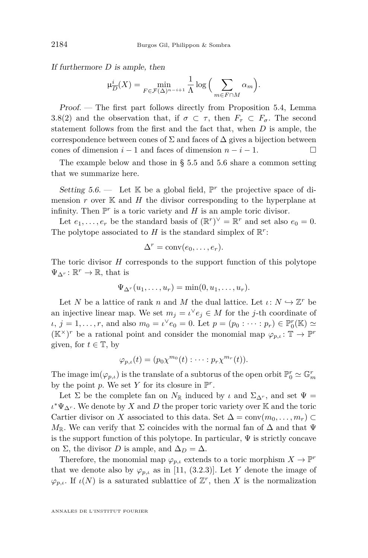<span id="page-40-0"></span>If furthermore *D* is ample, then

$$
\mu_{\overline{D}}^i(X) = \min_{F \in \mathcal{F}(\Delta)^{n-i+1}} \frac{1}{\Lambda} \log \Big( \sum_{m \in F \cap M} \alpha_m \Big).
$$

Proof. — The first part follows directly from Proposition [5.4,](#page-39-0) Lemma [3.8\(2\)](#page-24-0) and the observation that, if  $\sigma \subset \tau$ , then  $F_{\tau} \subset F_{\sigma}$ . The second statement follows from the first and the fact that, when *D* is ample, the correspondence between cones of  $\Sigma$  and faces of  $\Delta$  gives a bijection between cones of dimension  $i - 1$  and faces of dimension  $n - i - 1$ .

The example below and those in § [5.5](#page-46-0) and [5.6](#page-49-0) share a common setting that we summarize here.

Setting  $5.6$ . — Let  $K$  be a global field,  $\mathbb{P}^r$  the projective space of dimension  $r$  over  $K$  and  $H$  the divisor corresponding to the hyperplane at infinity. Then  $\mathbb{P}^r$  is a toric variety and  $H$  is an ample toric divisor.

Let  $e_1, \ldots, e_r$  be the standard basis of  $(\mathbb{R}^r)^{\vee} = \mathbb{R}^r$  and set also  $e_0 = 0$ . The polytope associated to  $H$  is the standard simplex of  $\mathbb{R}^r$ :

$$
\Delta^r = \text{conv}(e_0, \ldots, e_r).
$$

The toric divisor *H* corresponds to the support function of this polytope  $\Psi_{\Delta^r} \colon \mathbb{R}^r \to \mathbb{R}$ , that is

$$
\Psi_{\Delta^r}(u_1,\ldots,u_r)=\min(0,u_1,\ldots,u_r).
$$

Let *N* be a lattice of rank *n* and *M* the dual lattice. Let  $\iota: N \hookrightarrow \mathbb{Z}^r$  be an injective linear map. We set  $m_j = \iota^{\vee} e_j \in M$  for the *j*-th coordinate of *ι*,  $j = 1, ..., r$ , and also  $m_0 = \iota^{\vee} e_0 = 0$ . Let  $p = (p_0 : \cdots : p_r) \in \mathbb{P}^r_0(\mathbb{K}) \simeq$  $(\mathbb{K}^{\times})^r$  be a rational point and consider the monomial map  $\varphi_{p,\iota} \colon \mathbb{T} \to \mathbb{P}^r$ given, for  $t \in \mathbb{T}$ , by

$$
\varphi_{p,\iota}(t)=(p_0\chi^{m_0}(t):\cdots:p_r\chi^{m_r}(t)).
$$

The image  $\text{im}(\varphi_{p,\iota})$  is the translate of a subtorus of the open orbit  $\mathbb{P}^r_0 \simeq \mathbb{G}_m^r$ by the point  $p$ . We set  $Y$  for its closure in  $\mathbb{P}^r$ .

Let  $\Sigma$  be the complete fan on  $N_{\mathbb{R}}$  induced by *ι* and  $\Sigma_{\Delta^r}$ , and set  $\Psi =$  $\iota^* \Psi_{\Delta^r}$ . We denote by *X* and *D* the proper toric variety over K and the toric Cartier divisor on *X* associated to this data. Set  $\Delta = \text{conv}(m_0, \ldots, m_r)$  $M_{\mathbb{R}}$ . We can verify that  $\Sigma$  coincides with the normal fan of  $\Delta$  and that  $\Psi$ is the support function of this polytope. In particular,  $\Psi$  is strictly concave on Σ, the divisor *D* is ample, and  $\Delta_D = \Delta$ .

Therefore, the monomial map  $\varphi_{p,\iota}$  extends to a toric morphism  $X \to \mathbb{P}^r$ that we denote also by  $\varphi_{p,\iota}$  as in [\[11,](#page-52-0) (3.2.3)]. Let *Y* denote the image of  $\varphi_{p,\iota}$ . If  $\iota(N)$  is a saturated sublattice of  $\mathbb{Z}^r$ , then *X* is the normalization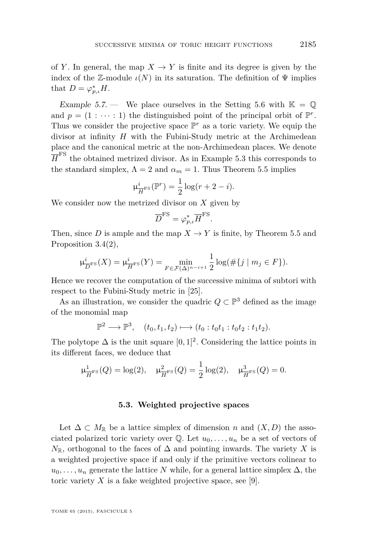<span id="page-41-0"></span>of *Y*. In general, the map  $X \to Y$  is finite and its degree is given by the index of the Z-module  $\iota(N)$  in its saturation. The definition of  $\Psi$  implies that  $D = \varphi_{p,\iota}^* H$ .

Example 5.7. — We place ourselves in the Setting [5.6](#page-40-0) with  $\mathbb{K} = \mathbb{Q}$ and  $p = (1 : \cdots : 1)$  the distinguished point of the principal orbit of  $\mathbb{P}^r$ . Thus we consider the projective space  $\mathbb{P}^r$  as a toric variety. We equip the divisor at infinity *H* with the Fubini-Study metric at the Archimedean place and the canonical metric at the non-Archimedean places. We denote  $\overline{H}^{\text{FS}}$  the obtained metrized divisor. As in Example [5.3](#page-38-0) this corresponds to the standard simplex,  $\Lambda = 2$  and  $\alpha_m = 1$ . Thus Theorem [5.5](#page-39-0) implies

$$
\mu_{\overline{H}^{\text{FS}}}^i(\mathbb{P}^r) = \frac{1}{2}\log(r+2-i).
$$

We consider now the metrized divisor on *X* given by

$$
\overline{D}^{\text{FS}} = \varphi_{p,\iota}^* \overline{H}^{\text{FS}}.
$$

Then, since *D* is ample and the map  $X \to Y$  is finite, by Theorem [5.5](#page-39-0) and Proposition [3.4\(2\)](#page-19-0),

$$
\mu_{\overline{D}^{\text{FS}}}(X) = \mu_{\overline{H}^{\text{FS}}}(Y) = \min_{F \in \mathcal{F}(\Delta)^{n-i+1}} \frac{1}{2} \log(\#\{j \mid m_j \in F\}).
$$

Hence we recover the computation of the successive minima of subtori with respect to the Fubini-Study metric in [\[25\]](#page-53-0).

As an illustration, we consider the quadric  $Q \subset \mathbb{P}^3$  defined as the image of the monomial map

$$
\mathbb{P}^2 \longrightarrow \mathbb{P}^3, \quad (t_0, t_1, t_2) \longmapsto (t_0 : t_0 t_1 : t_0 t_2 : t_1 t_2).
$$

The polytope  $\Delta$  is the unit square  $[0, 1]^2$ . Considering the lattice points in its different faces, we deduce that

$$
\mu_{\overline{H}^{FS}}^1(Q) = \log(2), \quad \mu_{\overline{H}^{FS}}^2(Q) = \frac{1}{2}\log(2), \quad \mu_{\overline{H}^{FS}}^3(Q) = 0.
$$

#### **5.3. Weighted projective spaces**

Let  $\Delta \subset M_{\mathbb{R}}$  be a lattice simplex of dimension *n* and  $(X, D)$  the associated polarized toric variety over  $\mathbb{Q}$ . Let  $u_0, \ldots, u_n$  be a set of vectors of  $N_{\mathbb{R}}$ , orthogonal to the faces of  $\Delta$  and pointing inwards. The variety *X* is a weighted projective space if and only if the primitive vectors colinear to  $u_0, \ldots, u_n$  generate the lattice *N* while, for a general lattice simplex  $\Delta$ , the toric variety  $X$  is a fake weighted projective space, see [\[9\]](#page-52-0).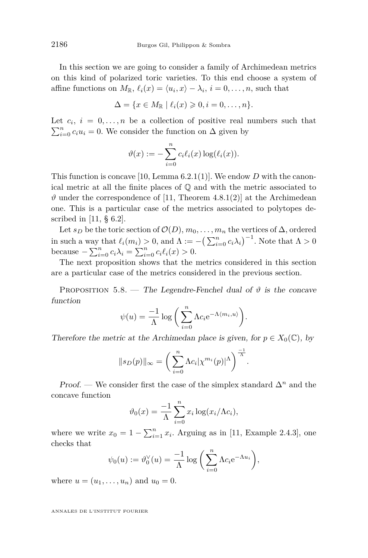<span id="page-42-0"></span>In this section we are going to consider a family of Archimedean metrics on this kind of polarized toric varieties. To this end choose a system of affine functions on  $M_{\mathbb{R}}$ ,  $\ell_i(x) = \langle u_i, x \rangle - \lambda_i$ ,  $i = 0, \ldots, n$ , such that

$$
\Delta = \{x \in M_{\mathbb{R}} \mid \ell_i(x) \geqslant 0, i = 0, \ldots, n\}.
$$

Let  $c_i$ ,  $i = 0, \ldots, n$  be a collection of positive real numbers such that  $\sum_{i=0}^{n} c_i u_i = 0$ . We consider the function on  $\Delta$  given by

$$
\vartheta(x) := -\sum_{i=0}^n c_i \ell_i(x) \log(\ell_i(x)).
$$

This function is concave [\[10,](#page-52-0) Lemma 6.2.1(1)]. We endow *D* with the canonical metric at all the finite places of  $\mathbb Q$  and with the metric associated to  $\vartheta$  under the correspondence of [\[11,](#page-52-0) Theorem 4.8.1(2)] at the Archimedean one. This is a particular case of the metrics associated to polytopes de-scribed in [\[11,](#page-52-0)  $\S$  6.2].

Let  $s_D$  be the toric section of  $\mathcal{O}(D)$ ,  $m_0, \ldots, m_n$  the vertices of  $\Delta$ , ordered in such a way that  $\ell_i(m_i) > 0$ , and  $\Lambda := -\left(\sum_{i=0}^n c_i \lambda_i\right)^{-1}$ . Note that  $\Lambda > 0$ because  $-\sum_{i=0}^{n} c_i \lambda_i = \sum_{i=0}^{n} c_i \ell_i(x) > 0.$ 

The next proposition shows that the metrics considered in this section are a particular case of the metrics considered in the previous section.

PROPOSITION 5.8. — The Legendre-Fenchel dual of  $\vartheta$  is the concave function

$$
\psi(u) = \frac{-1}{\Lambda} \log \bigg( \sum_{i=0}^{n} \Lambda c_i e^{-\Lambda \langle m_i, u \rangle} \bigg).
$$

Therefore the metric at the Archimedan place is given, for  $p \in X_0(\mathbb{C})$ , by

$$
||s_D(p)||_{\infty} = \left(\sum_{i=0}^n \Lambda c_i |\chi^{m_i}(p)|^{\Lambda}\right)^{\frac{-1}{\Lambda}}.
$$

Proof. — We consider first the case of the simplex standard ∆*<sup>n</sup>* and the concave function

$$
\vartheta_0(x) = \frac{-1}{\Lambda} \sum_{i=0}^n x_i \log(x_i/\Lambda c_i),
$$

where we write  $x_0 = 1 - \sum_{i=1}^n x_i$ . Arguing as in [\[11,](#page-52-0) Example 2.4.3], one checks that

$$
\psi_0(u) := \vartheta_0^{\vee}(u) = \frac{-1}{\Lambda} \log \left( \sum_{i=0}^n \Lambda c_i e^{-\Lambda u_i} \right),
$$

where  $u = (u_1, ..., u_n)$  and  $u_0 = 0$ .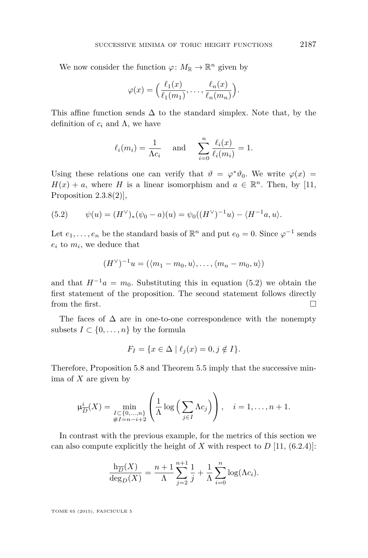We now consider the function  $\varphi \colon M_{\mathbb{R}} \to {\mathbb{R}}^n$  given by

$$
\varphi(x) = \left(\frac{\ell_1(x)}{\ell_1(m_1)}, \ldots, \frac{\ell_n(x)}{\ell_n(m_n)}\right).
$$

This affine function sends  $\Delta$  to the standard simplex. Note that, by the definition of  $c_i$  and  $\Lambda$ , we have

$$
\ell_i(m_i) = \frac{1}{\Lambda c_i} \quad \text{ and } \quad \sum_{i=0}^n \frac{\ell_i(x)}{\ell_i(m_i)} = 1.
$$

Using these relations one can verify that  $\vartheta = \varphi^* \vartheta_0$ . We write  $\varphi(x) =$  $H(x) + a$ , where *H* is a linear isomorphism and  $a \in \mathbb{R}^n$ . Then, by [\[11,](#page-52-0) Proposition  $2.3.8(2)$ ],

(5.2) 
$$
\psi(u) = (H^{\vee})_{*}(\psi_{0} - a)(u) = \psi_{0}((H^{\vee})^{-1}u) - \langle H^{-1}a, u \rangle.
$$

Let  $e_1, \ldots, e_n$  be the standard basis of  $\mathbb{R}^n$  and put  $e_0 = 0$ . Since  $\varphi^{-1}$  sends  $e_i$  to  $m_i$ , we deduce that

$$
(H^{\vee})^{-1}u = (\langle m_1 - m_0, u \rangle, \dots, \langle m_n - m_0, u \rangle)
$$

and that  $H^{-1}a = m_0$ . Substituting this in equation (5.2) we obtain the first statement of the proposition. The second statement follows directly from the first.

The faces of  $\Delta$  are in one-to-one correspondence with the nonempty subsets  $I \subset \{0, \ldots, n\}$  by the formula

$$
F_I = \{ x \in \Delta \mid \ell_j(x) = 0, j \notin I \}.
$$

Therefore, Proposition [5.8](#page-42-0) and Theorem [5.5](#page-39-0) imply that the successive minima of *X* are given by

$$
\mu_{\overline{D}}^{i}(X) = \min_{\substack{I \subset \{0,\ldots,n\} \\ \#I = n-i+2}} \left( \frac{1}{\Lambda} \log \left( \sum_{j \in I} \Lambda c_j \right) \right), \quad i = 1,\ldots,n+1.
$$

In contrast with the previous example, for the metrics of this section we can also compute explicitly the height of  $X$  with respect to  $D$  [\[11,](#page-52-0) (6.2.4)]:

$$
\frac{\mathrm{h}_{\overline{D}}(X)}{\mathrm{deg}_D(X)} = \frac{n+1}{\Lambda} \sum_{j=2}^{n+1} \frac{1}{j} + \frac{1}{\Lambda} \sum_{i=0}^n \log(\Lambda c_i).
$$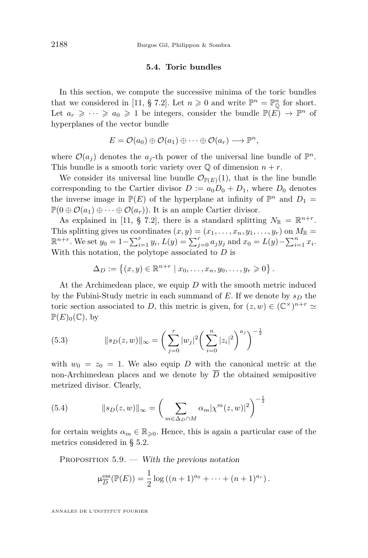#### **5.4. Toric bundles**

<span id="page-44-0"></span>In this section, we compute the successive minima of the toric bundles that we considered in [\[11,](#page-52-0) § 7.2]. Let  $n \geq 0$  and write  $\mathbb{P}^n = \mathbb{P}^n_{\mathbb{Q}}$  for short. Let  $a_r \geqslant \cdots \geqslant a_0 \geqslant 1$  be integers, consider the bundle  $\mathbb{P}(E) \to \mathbb{P}^n$  of hyperplanes of the vector bundle

$$
E = \mathcal{O}(a_0) \oplus \mathcal{O}(a_1) \oplus \cdots \oplus \mathcal{O}(a_r) \longrightarrow \mathbb{P}^n,
$$

where  $\mathcal{O}(a_j)$  denotes the  $a_j$ -th power of the universal line bundle of  $\mathbb{P}^n$ . This bundle is a smooth toric variety over  $\mathbb Q$  of dimension  $n + r$ .

We consider its universal line bundle  $\mathcal{O}_{\mathbb{P}(E)}(1)$ , that is the line bundle corresponding to the Cartier divisor  $D := a_0 D_0 + D_1$ , where  $D_0$  denotes the inverse image in  $\mathbb{P}(E)$  of the hyperplane at infinity of  $\mathbb{P}^n$  and  $D_1 =$  $\mathbb{P}(0 \oplus \mathcal{O}(a_1) \oplus \cdots \oplus \mathcal{O}(a_r)).$  It is an ample Cartier divisor.

As explained in [\[11,](#page-52-0) § 7.2], there is a standard splitting  $N_{\mathbb{R}} = \mathbb{R}^{n+r}$ . This splitting gives us coordinates  $(x, y) = (x_1, \ldots, x_n, y_1, \ldots, y_r)$  on  $M_{\mathbb{R}} =$  $\mathbb{R}^{n+r}$ . We set  $y_0 = 1 - \sum_{i=1}^r y_i$ ,  $L(y) = \sum_{j=0}^r a_j y_j$  and  $x_0 = L(y) - \sum_{i=1}^n x_i$ . With this notation, the polytope associated to *D* is

$$
\Delta_D := \{ (x, y) \in \mathbb{R}^{n+r} \mid x_0, \dots, x_n, y_0, \dots, y_r \geq 0 \}.
$$

At the Archimedean place, we equip *D* with the smooth metric induced by the Fubini-Study metric in each summand of *E*. If we denote by *s<sup>D</sup>* the toric section associated to *D*, this metric is given, for  $(z, w) \in (\mathbb{C}^\times)^{n+r} \simeq$  $\mathbb{P}(E)_0(\mathbb{C})$ , by

(5.3) 
$$
||s_D(z, w)||_{\infty} = \left(\sum_{j=0}^r |w_j|^2 \left(\sum_{i=0}^n |z_i|^2\right)^{a_j}\right)^{-\frac{1}{2}}
$$

with  $w_0 = z_0 = 1$ . We also equip *D* with the canonical metric at the non-Archimedean places and we denote by  $\overline{D}$  the obtained semipositive metrized divisor. Clearly,

(5.4) 
$$
||s_D(z, w)||_{\infty} = \left(\sum_{m \in \Delta_D \cap M} \alpha_m |\chi^m(z, w)|^2\right)^{-\frac{1}{2}}
$$

for certain weights  $\alpha_m \in \mathbb{R}_{\geq 0}$ . Hence, this is again a particular case of the metrics considered in § [5.2.](#page-37-0)

PROPOSITION  $5.9.$  — With the previous notation

$$
\mu_{\overline{D}}^{\text{ess}}(\mathbb{P}(E)) = \frac{1}{2}\log((n+1)^{a_0} + \cdots + (n+1)^{a_r}).
$$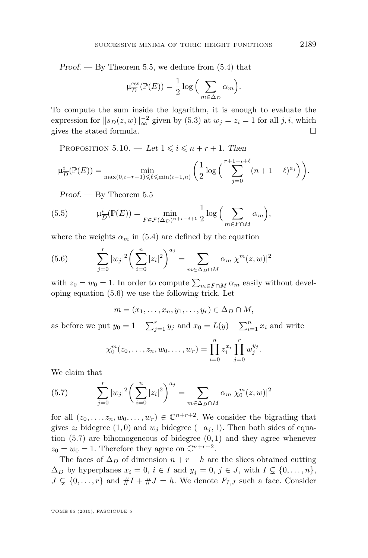<span id="page-45-0"></span>Proof.  $-$  By Theorem [5.5,](#page-39-0) we deduce from  $(5.4)$  that

$$
\mu_{\overline{D}}^{\text{ess}}(\mathbb{P}(E)) = \frac{1}{2} \log \left( \sum_{m \in \Delta_D} \alpha_m \right).
$$

To compute the sum inside the logarithm, it is enough to evaluate the expression for  $||s_D(z, w)||_{\infty}^{-2}$  given by [\(5.3\)](#page-44-0) at  $w_j = z_i = 1$  for all *j*, *i*, which gives the stated formula.  $\Box$ 

PROPOSITION 5.10. — Let  $1 \leq i \leq n+r+1$ . Then

$$
\mu_{\overline{D}}^{i}(\mathbb{P}(E)) = \min_{\max(0,i-r-1)\leq \ell \leq \min(i-1,n)} \left( \frac{1}{2} \log \left( \sum_{j=0}^{r+1-i+\ell} (n+1-\ell)^{a_j} \right) \right).
$$

Proof. — By Theorem [5.5](#page-39-0)

(5.5) 
$$
\mu_{\overline{D}}^{i}(\mathbb{P}(E)) = \min_{F \in \mathcal{F}(\Delta_D)^{n+r-i+1}} \frac{1}{2} \log \Big( \sum_{m \in F \cap M} \alpha_m \Big),
$$

where the weights  $\alpha_m$  in [\(5.4\)](#page-44-0) are defined by the equation

(5.6) 
$$
\sum_{j=0}^{r} |w_j|^2 \left(\sum_{i=0}^{n} |z_i|^2\right)^{a_j} = \sum_{m \in \Delta_D \cap M} \alpha_m |\chi^m(z, w)|^2
$$

with  $z_0 = w_0 = 1$ . In order to compute  $\sum_{m \in F \cap M} \alpha_m$  easily without developing equation (5.6) we use the following trick. Let

$$
m=(x_1,\ldots,x_n,y_1,\ldots,y_r)\in\Delta_D\cap M,
$$

as before we put  $y_0 = 1 - \sum_{j=1}^r y_j$  and  $x_0 = L(y) - \sum_{i=1}^n x_i$  and write

$$
\chi_0^m(z_0,\ldots,z_n,w_0,\ldots,w_r)=\prod_{i=0}^n z_i^{x_i}\prod_{j=0}^r w_j^{y_j}.
$$

We claim that

(5.7) 
$$
\sum_{j=0}^{r} |w_j|^2 \left(\sum_{i=0}^{n} |z_i|^2\right)^{a_j} = \sum_{m \in \Delta_D \cap M} \alpha_m |\chi_0^m(z, w)|^2
$$

for all  $(z_0, \ldots, z_n, w_0, \ldots, w_r) \in \mathbb{C}^{n+r+2}$ . We consider the bigrading that gives  $z_i$  bidegree (1,0) and  $w_j$  bidegree ( $-a_j$ , 1). Then both sides of equation (5.7) are bihomogeneous of bidegree (0*,* 1) and they agree whenever  $z_0 = w_0 = 1$ . Therefore they agree on  $\mathbb{C}^{n+r+2}$ .

The faces of  $\Delta_D$  of dimension  $n + r - h$  are the slices obtained cutting  $\Delta_D$  by hyperplanes  $x_i = 0$ ,  $i \in I$  and  $y_j = 0$ ,  $j \in J$ , with  $I \subsetneq \{0, \ldots, n\}$ ,  $J \subsetneq \{0, \ldots, r\}$  and  $\#I + \#J = h$ . We denote  $F_{I,J}$  such a face. Consider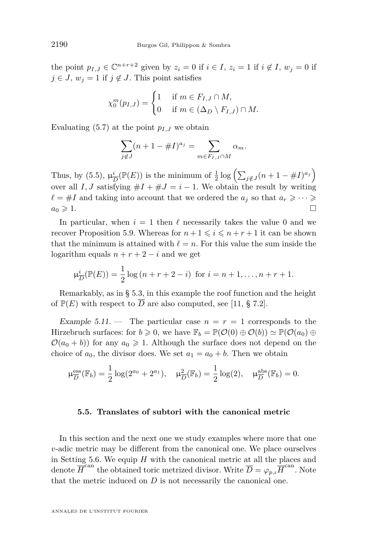<span id="page-46-0"></span>the point  $p_{I,J} \in \mathbb{C}^{n+r+2}$  given by  $z_i = 0$  if  $i \in I$ ,  $z_i = 1$  if  $i \notin I$ ,  $w_j = 0$  if  $j \in J$ ,  $w_j = 1$  if  $j \notin J$ . This point satisfies

$$
\chi_0^m(p_{I,J}) = \begin{cases} 1 & \text{if } m \in F_{I,J} \cap M, \\ 0 & \text{if } m \in (\Delta_D \setminus F_{I,J}) \cap M. \end{cases}
$$

Evaluating [\(5.7\)](#page-45-0) at the point  $p_{I,J}$  we obtain

$$
\sum_{j \notin J} (n+1 - \#I)^{a_j} = \sum_{m \in F_{I,J} \cap M} \alpha_m.
$$

Thus, by  $(5.5)$ ,  $\mu_{\overline{\ell}}^i$  $\frac{i}{D}(\mathbb{P}(E))$  is the minimum of  $\frac{1}{2}\log\left(\sum_{j\notin J}(n+1-\#I)^{a_j}\right)$ over all *I*, *J* satisfying  $#I + #J = i - 1$ . We obtain the result by writing  $\ell = \#I$  and taking into account that we ordered the  $a_j$  so that  $a_r \geqslant \cdots \geqslant$  $a_0 \geqslant 1.$ 

In particular, when  $i = 1$  then  $\ell$  necessarily takes the value 0 and we recover Proposition [5.9.](#page-44-0) Whereas for  $n+1 \leq i \leq n+r+1$  it can be shown that the minimum is attained with  $\ell = n$ . For this value the sum inside the logarithm equals  $n + r + 2 - i$  and we get

$$
\mu_{\overline{D}}^{i}(\mathbb{P}(E)) = \frac{1}{2}\log(n+r+2-i) \text{ for } i = n+1,\dots,n+r+1.
$$

Remarkably, as in § [5.3,](#page-41-0) in this example the roof function and the height of  $\mathbb{P}(E)$  with respect to  $\overline{D}$  are also computed, see [\[11,](#page-52-0) § 7.2].

Example 5.11. — The particular case  $n = r = 1$  corresponds to the Hirzebruch surfaces: for  $b \geq 0$ , we have  $\mathbb{F}_b = \mathbb{P}(\mathcal{O}(0) \oplus \mathcal{O}(b)) \simeq \mathbb{P}(\mathcal{O}(a_0) \oplus$  $\mathcal{O}(a_0 + b)$  for any  $a_0 \geq 1$ . Although the surface does not depend on the choice of  $a_0$ , the divisor does. We set  $a_1 = a_0 + b$ . Then we obtain

$$
\mu_{\overline{D}}^{\text{ess}}(\mathbb{F}_b) = \frac{1}{2}\log(2^{a_0} + 2^{a_1}), \quad \mu_{\overline{D}}^2(\mathbb{F}_b) = \frac{1}{2}\log(2), \quad \mu_{\overline{D}}^{\text{abs}}(\mathbb{F}_b) = 0.
$$

#### **5.5. Translates of subtori with the canonical metric**

In this section and the next one we study examples where more that one *v*-adic metric may be different from the canonical one. We place ourselves in Setting [5.6.](#page-40-0) We equip *H* with the canonical metric at all the places and denote  $\overline{H}^{\text{can}}$  the obtained toric metrized divisor. Write  $\overline{D} = \varphi_{p,\iota} \overline{H}^{\text{can}}$ . Note that the metric induced on *D* is not necessarily the canonical one.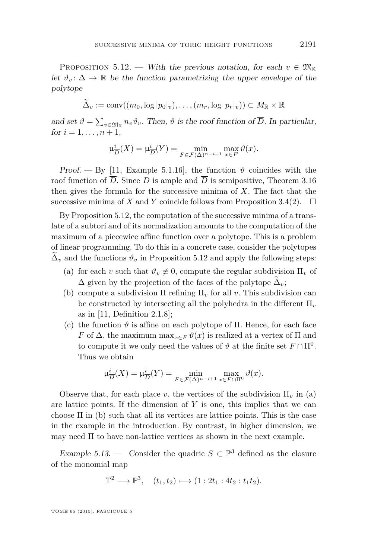<span id="page-47-0"></span>PROPOSITION 5.12. — With the previous notation, for each  $v \in \mathfrak{M}_{\mathbb{K}}$ let  $\vartheta_v : \Delta \to \mathbb{R}$  be the function parametrizing the upper envelope of the polytope

$$
\Delta_v := \mathrm{conv}((m_0, \log |p_0|_v), \ldots, (m_r, \log |p_r|_v)) \subset M_{\mathbb{R}} \times \mathbb{R}
$$

and set  $\vartheta = \sum_{v \in \mathfrak{M}_{\mathbb{K}}} n_v \vartheta_v$ . Then,  $\vartheta$  is the roof function of *D*. In particular, for  $i = 1, ..., n + 1$ ,

$$
\mu_{\overline{D}}^{i}(X) = \mu_{\overline{D}}^{i}(Y) = \min_{F \in \mathcal{F}(\Delta)^{n-i+1}} \max_{x \in F} \vartheta(x).
$$

Proof. — By [\[11,](#page-52-0) Example 5.1.16], the function  $\vartheta$  coincides with the roof function of *D*. Since *D* is ample and *D* is semipositive, Theorem [3.16](#page-29-0) then gives the formula for the successive minima of *X*. The fact that the successive minima of *X* and *Y* coincide follows from Proposition [3.4\(2\)](#page-19-0).  $\Box$ 

By Proposition 5.12, the computation of the successive minima of a translate of a subtori and of its normalization amounts to the computation of the maximum of a piecewice affine function over a polytope. This is a problem of linear programming. To do this in a concrete case, consider the polytopes  $\Delta_v$  and the functions  $\vartheta_v$  in Proposition 5.12 and apply the following steps:

- (a) for each *v* such that  $\vartheta_v \neq 0$ , compute the regular subdivision  $\Pi_v$  of  $\Delta$  given by the projection of the faces of the polytope  $\Delta_v$ ;
- (b) compute a subdivision  $\Pi$  refining  $\Pi_v$  for all *v*. This subdivision can be constructed by intersecting all the polyhedra in the different Π*<sup>v</sup>* as in [\[11,](#page-52-0) Definition 2.1.8];
- (c) the function  $\vartheta$  is affine on each polytope of  $\Pi$ . Hence, for each face *F* of  $\Delta$ , the maximum max<sub>*x*∈*F*</sub>  $\vartheta(x)$  is realized at a vertex of  $\Pi$  and to compute it we only need the values of  $\vartheta$  at the finite set  $F \cap \Pi^0$ . Thus we obtain

$$
\mu_{\overline{D}}^{i}(X) = \mu_{\overline{D}}^{i}(Y) = \min_{F \in \mathcal{F}(\Delta)^{n-i+1}} \max_{x \in F \cap \Pi^{0}} \vartheta(x).
$$

Observe that, for each place *v*, the vertices of the subdivision  $\Pi_v$  in (a) are lattice points. If the dimension of *Y* is one, this implies that we can choose  $\Pi$  in (b) such that all its vertices are lattice points. This is the case in the example in the introduction. By contrast, in higher dimension, we may need  $\Pi$  to have non-lattice vertices as shown in the next example.

Example 5.13. — Consider the quadric  $S \subset \mathbb{P}^3$  defined as the closure of the monomial map

$$
\mathbb{T}^2 \longrightarrow \mathbb{P}^3, \quad (t_1, t_2) \longmapsto (1: 2t_1: 4t_2: t_1t_2).
$$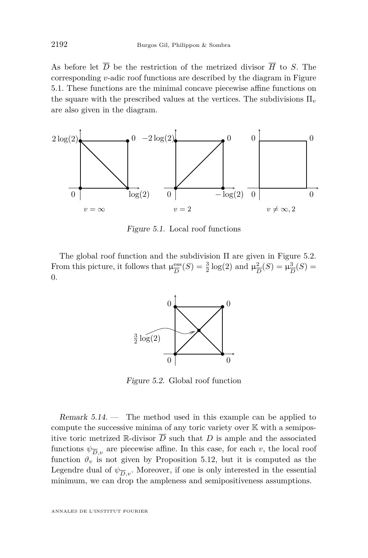As before let  $\overline{D}$  be the restriction of the metrized divisor  $\overline{H}$  to *S*. The corresponding *v*-adic roof functions are described by the diagram in Figure 5.1. These functions are the minimal concave piecewise affine functions on the square with the prescribed values at the vertices. The subdivisions  $\Pi_{\nu}$ are also given in the diagram.



Figure 5.1. Local roof functions

The global roof function and the subdivision Π are given in Figure 5.2. From this picture, it follows that  $\mu_{\overline{D}}^{\text{ess}}$  $\frac{\text{ess}}{D}(S) = \frac{3}{2} \log(2)$  and  $\mu_{\overline{L}}^2$  $\frac{2}{D}(S) = \mu_{\overline{I}}^3$  $\frac{3}{D}(S) =$ 0*.*



Figure 5.2. Global roof function

Remark  $5.14.$  — The method used in this example can be applied to compute the successive minima of any toric variety over  $\mathbb K$  with a semipositive toric metrized  $\mathbb R$ -divisor  $\overline D$  such that  $D$  is ample and the associated functions  $\psi_{\overline{D},v}$  are piecewise affine. In this case, for each *v*, the local roof function  $\vartheta_v$  is not given by Proposition [5.12,](#page-47-0) but it is computed as the Legendre dual of  $\psi_{\overline{D},v}$ . Moreover, if one is only interested in the essential minimum, we can drop the ampleness and semipositiveness assumptions.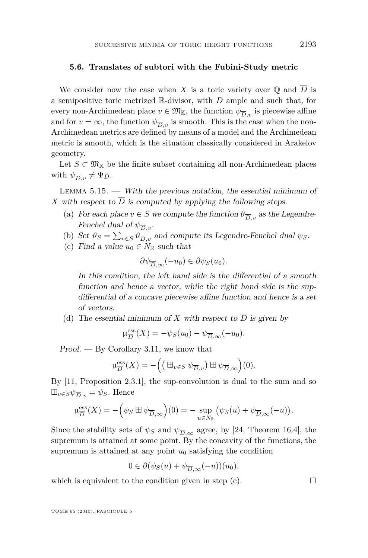#### <span id="page-49-0"></span>**5.6. Translates of subtori with the Fubini-Study metric**

We consider now the case when *X* is a toric variety over  $\mathbb{Q}$  and  $\overline{D}$  is a semipositive toric metrized R-divisor, with *D* ample and such that, for every non-Archimedean place  $v \in \mathfrak{M}_{\mathbb{K}}$ , the function  $\psi_{\overline{D},v}$  is piecewise affine and for  $v = \infty$ , the function  $\psi_{\overline{D},v}$  is smooth. This is the case when the non-Archimedean metrics are defined by means of a model and the Archimedean metric is smooth, which is the situation classically considered in Arakelov geometry.

Let  $S \subset \mathfrak{M}_{\mathbb{K}}$  be the finite subset containing all non-Archimedean places with  $\psi_{\overline{D},v} \neq \Psi_D$ .

LEMMA  $5.15.$  — With the previous notation, the essential minimum of *X* with respect to  $\overline{D}$  is computed by applying the following steps.

- (a) For each place  $v \in S$  we compute the function  $\vartheta_{\overline{D},v}$  as the Legendre-Fenchel dual of  $\psi_{\overline{D},v}$ .
- (b) Set  $\vartheta_S = \sum_{v \in S} \vartheta_{\overline{D}, v}$  and compute its Legendre-Fenchel dual  $\psi_S$ .
- (c) Find a value  $u_0 \in N_{\mathbb{R}}$  such that

$$
\partial \psi_{\overline{D},\infty}(-u_0) \in \partial \psi_S(u_0).
$$

In this condition, the left hand side is the differential of a smooth function and hence a vector, while the right hand side is the supdifferential of a concave piecewise affine function and hence is a set of vectors.

(d) The essential minimum of *X* with respect to  $\overline{D}$  is given by

$$
\mu_{\overline{D}}^{\text{ess}}(X) = -\psi_S(u_0) - \psi_{\overline{D},\infty}(-u_0).
$$

Proof. — By Corollary [3.11,](#page-26-0) we know that

$$
\mu_{\overline{D}}^{\text{ess}}(X) = -\Big(\big(\boxplus_{v \in S} \psi_{\overline{D},v}\big) \boxplus \psi_{\overline{D},\infty}\Big)(0).
$$

By [\[11,](#page-52-0) Proposition 2.3.1], the sup-convolution is dual to the sum and so  $\boxplus_{v \in S} \psi_{\overline{D},v} = \psi_S$ . Hence

$$
\mu_{\overline{D}}^{\mathrm{ess}}(X) = -\Big(\psi_S \boxplus \psi_{\overline{D},\infty}\Big)(0) = -\sup_{u \in N_{\mathbb{R}}} \big(\psi_S(u) + \psi_{\overline{D},\infty}(-u)\big).
$$

Since the stability sets of  $\psi_S$  and  $\psi_{\overline{D}, \infty}$  agree, by [\[24,](#page-53-0) Theorem 16.4], the supremum is attained at some point. By the concavity of the functions, the supremum is attained at any point  $u_0$  satisfying the condition

$$
0 \in \partial(\psi_S(u) + \psi_{\overline{D}, \infty}(-u))(u_0),
$$

which is equivalent to the condition given in step  $(c)$ .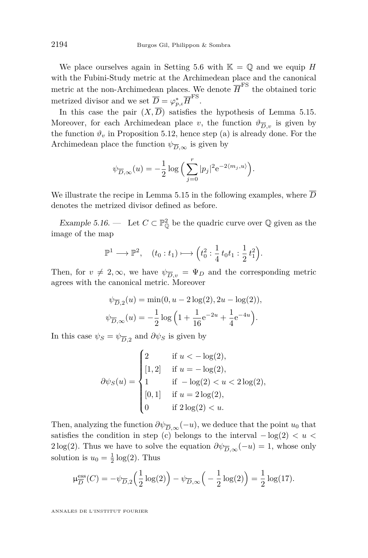We place ourselves again in Setting [5.6](#page-40-0) with  $\mathbb{K} = \mathbb{Q}$  and we equip *H* with the Fubini-Study metric at the Archimedean place and the canonical metric at the non-Archimedean places. We denote  $\overline{H}^{\text{FS}}$  the obtained toric metrized divisor and we set  $\overline{D} = \varphi_{p,\iota}^* \overline{H}^{\text{FS}}$ .

In this case the pair  $(X,\overline{D})$  satisfies the hypothesis of Lemma [5.15.](#page-49-0) Moreover, for each Archimedean place *v*, the function  $\vartheta_{\overline{D},v}$  is given by the function  $\vartheta_v$  in Proposition [5.12,](#page-47-0) hence step [\(a\)](#page-49-0) is already done. For the Archimedean place the function  $\psi_{\overline{D}, \infty}$  is given by

$$
\psi_{\overline{D},\infty}(u) = -\frac{1}{2} \log \left( \sum_{j=0}^r |p_j|^2 e^{-2\langle m_j, u \rangle} \right).
$$

We illustrate the recipe in Lemma [5.15](#page-49-0) in the following examples, where  $\overline{D}$ denotes the metrized divisor defined as before.

Example 5.16. — Let  $C \subset \mathbb{P}^2_{\mathbb{Q}}$  be the quadric curve over  $\mathbb{Q}$  given as the image of the map

$$
\mathbb{P}^1 \longrightarrow \mathbb{P}^2, \quad (t_0 : t_1) \longmapsto \left(t_0^2 : \frac{1}{4} t_0 t_1 : \frac{1}{2} t_1^2\right).
$$

Then, for  $v \neq 2, \infty$ , we have  $\psi_{\overline{D}_v} = \Psi_D$  and the corresponding metric agrees with the canonical metric. Moreover

$$
\psi_{\overline{D},2}(u) = \min(0, u - 2\log(2), 2u - \log(2)),
$$
  

$$
\psi_{\overline{D},\infty}(u) = -\frac{1}{2}\log\left(1 + \frac{1}{16}e^{-2u} + \frac{1}{4}e^{-4u}\right).
$$

In this case  $\psi_S = \psi_{\overline{D},2}$  and  $\partial \psi_S$  is given by

$$
\partial \psi_S(u) = \begin{cases}\n2 & \text{if } u < -\log(2), \\
[1, 2] & \text{if } u = -\log(2), \\
1 & \text{if } -\log(2) < u < 2\log(2), \\
[0, 1] & \text{if } u = 2\log(2), \\
0 & \text{if } 2\log(2) < u.\n\end{cases}
$$

Then, analyzing the function  $\partial \psi_{\overline{D}, \infty}(-u)$ , we deduce that the point  $u_0$  that satisfies the condition in step [\(c\)](#page-49-0) belongs to the interval − log(2) *< u <* 2 log(2). Thus we have to solve the equation  $\partial \psi_{\overline{D}, \infty}(-u) = 1$ , whose only solution is  $u_0 = \frac{1}{2} \log(2)$ . Thus

$$
\mu_{\overline{D}}^{\text{ess}}(C) = -\psi_{\overline{D},2}\left(\frac{1}{2}\log(2)\right) - \psi_{\overline{D},\infty}\left(-\frac{1}{2}\log(2)\right) = \frac{1}{2}\log(17).
$$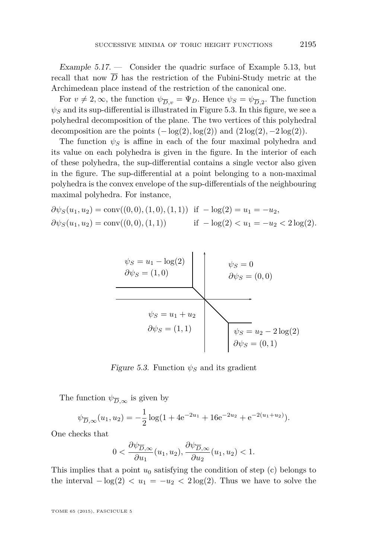Example  $5.17.$  - Consider the quadric surface of Example [5.13,](#page-47-0) but recall that now  $\overline{D}$  has the restriction of the Fubini-Study metric at the Archimedean place instead of the restriction of the canonical one.

For  $v \neq 2, \infty$ , the function  $\psi_{\overline{D},v} = \Psi_D$ . Hence  $\psi_S = \psi_{\overline{D},2}$ . The function  $\psi_S$  and its sup-differential is illustrated in Figure 5.3. In this figure, we see a polyhedral decomposition of the plane. The two vertices of this polyhedral decomposition are the points  $(-\log(2), \log(2))$  and  $(2\log(2), -2\log(2))$ .

The function  $\psi_{S}$  is affine in each of the four maximal polyhedra and its value on each polyhedra is given in the figure. In the interior of each of these polyhedra, the sup-differential contains a single vector also given in the figure. The sup-differential at a point belonging to a non-maximal polyhedra is the convex envelope of the sup-differentials of the neighbouring maximal polyhedra. For instance,

$$
\partial \psi_S(u_1, u_2) = \text{conv}((0, 0), (1, 0), (1, 1)) \quad \text{if} \quad -\log(2) = u_1 = -u_2,
$$
  

$$
\partial \psi_S(u_1, u_2) = \text{conv}((0, 0), (1, 1)) \quad \text{if} \quad -\log(2) < u_1 = -u_2 < 2\log(2).
$$



*Figure 5.3.* Function  $\psi$ <sup>*S*</sup> and its gradient

The function  $\psi_{\overline{D}, \infty}$  is given by

$$
\psi_{\overline{D},\infty}(u_1, u_2) = -\frac{1}{2}\log(1 + 4e^{-2u_1} + 16e^{-2u_2} + e^{-2(u_1 + u_2)}).
$$

One checks that

$$
0 < \frac{\partial \psi_{\overline{D}, \infty}}{\partial u_1}(u_1, u_2), \frac{\partial \psi_{\overline{D}, \infty}}{\partial u_2}(u_1, u_2) < 1.
$$

This implies that a point  $u_0$  satisfying the condition of step [\(c\)](#page-49-0) belongs to the interval  $-\log(2) < u_1 = -u_2 < 2 \log(2)$ . Thus we have to solve the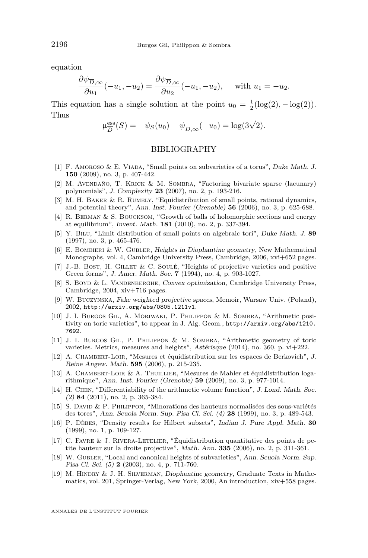<span id="page-52-0"></span>equation

$$
\frac{\partial \psi_{\overline{D},\infty}}{\partial u_1}(-u_1,-u_2) = \frac{\partial \psi_{\overline{D},\infty}}{\partial u_2}(-u_1,-u_2), \quad \text{with } u_1 = -u_2.
$$

This equation has a single solution at the point  $u_0 = \frac{1}{2}(\log(2), -\log(2)).$ Thus

$$
\mu_{\overline{D}}^{\text{ess}}(S) = -\psi_S(u_0) - \psi_{\overline{D},\infty}(-u_0) = \log(3\sqrt{2}).
$$

#### BIBLIOGRAPHY

- [1] F. Amoroso & E. Viada, "Small points on subvarieties of a torus", Duke Math. J. **150** (2009), no. 3, p. 407-442.
- [2] M. Avendaño, T. Krick & M. Sombra, "Factoring bivariate sparse (lacunary) polynomials", J. Complexity **23** (2007), no. 2, p. 193-216.
- [3] M. H. BAKER & R. RUMELY, "Equidistribution of small points, rational dynamics, and potential theory", Ann. Inst. Fourier (Grenoble) **56** (2006), no. 3, p. 625-688.
- [4] R. Berman & S. Boucksom, "Growth of balls of holomorphic sections and energy at equilibrium", Invent. Math. **181** (2010), no. 2, p. 337-394.
- [5] Y. Bilu, "Limit distribution of small points on algebraic tori", Duke Math. J. **89** (1997), no. 3, p. 465-476.
- [6] E. BOMBIERI & W. GUBLER, Heights in Diophantine geometry, New Mathematical Monographs, vol. 4, Cambridge University Press, Cambridge, 2006, xvi+652 pages.
- [7] J.-B. Bost, H. Gillet & C. Soulé, "Heights of projective varieties and positive Green forms", J. Amer. Math. Soc. **7** (1994), no. 4, p. 903-1027.
- [8] S. Boyd & L. VANDENBERGHE, Convex optimization, Cambridge University Press, Cambridge, 2004, xiv+716 pages.
- [9] W. Buczynska, Fake weighted projective spaces, Memoir, Warsaw Univ. (Poland), 2002, <http://arxiv.org/abs/0805.1211v1>.
- [10] J. I. BURGOS GIL, A. MORIWAKI, P. PHILIPPON & M. SOMBRA, "Arithmetic positivity on toric varieties", to appear in J. Alg. Geom., [http://arxiv.org/abs/1210.](http://arxiv.org/abs/1210.7692) [7692](http://arxiv.org/abs/1210.7692).
- [11] J. I. Burgos Gil, P. Philippon & M. Sombra, "Arithmetic geometry of toric varieties. Metrics, measures and heights", Astérisque (2014), no. 360, p. vi+222.
- [12] A. Chambert-Loir, "Mesures et équidistribution sur les espaces de Berkovich", J. Reine Angew. Math. **595** (2006), p. 215-235.
- [13] A. Chambert-Loir & A. Thuillier, "Mesures de Mahler et équidistribution logarithmique", Ann. Inst. Fourier (Grenoble) **59** (2009), no. 3, p. 977-1014.
- [14] H. CHEN, "Differentiability of the arithmetic volume function", J. Lond. Math. Soc. (2) **84** (2011), no. 2, p. 365-384.
- [15] S. David & P. Philippon, "Minorations des hauteurs normalisées des sous-variétés des tores", Ann. Scuola Norm. Sup. Pisa Cl. Sci. (4) **28** (1999), no. 3, p. 489-543.
- [16] P. Dèbes, "Density results for Hilbert subsets", Indian J. Pure Appl. Math. **30** (1999), no. 1, p. 109-127.
- [17] C. FAVRE  $\&$  J. RIVERA-LETELIER, "Équidistribution quantitative des points de petite hauteur sur la droite projective", Math. Ann. **335** (2006), no. 2, p. 311-361.
- [18] W. GUBLER, "Local and canonical heights of subvarieties", Ann. Scuola Norm. Sup. Pisa Cl. Sci. (5) **2** (2003), no. 4, p. 711-760.
- [19] M. Hindry & J. H. Silverman, Diophantine geometry, Graduate Texts in Mathematics, vol. 201, Springer-Verlag, New York, 2000, An introduction, xiv+558 pages.